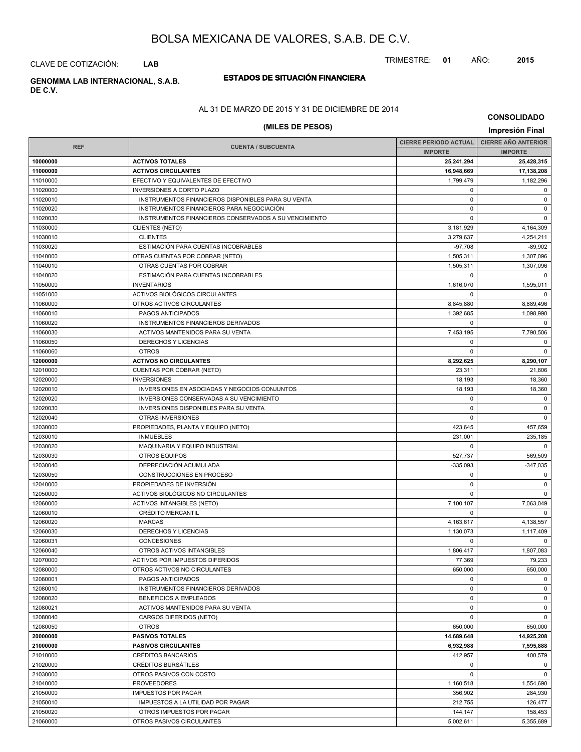TRIMESTRE: **01** AÑO: **2015**

CLAVE DE COTIZACIÓN: **LAB**

# **ESTADOS DE SITUACIÓN FINANCIERA GENOMMA LAB INTERNACIONAL, S.A.B.**

**DE C.V.**

# AL 31 DE MARZO DE 2015 Y 31 DE DICIEMBRE DE 2014

# **(MILES DE PESOS) Impresión Final**

|            |                                                       | <b>CIERRE PERIODO ACTUAL</b> | <b>CIERRE AÑO ANTERIOR</b> |
|------------|-------------------------------------------------------|------------------------------|----------------------------|
| <b>REF</b> | <b>CUENTA / SUBCUENTA</b>                             | <b>IMPORTE</b>               | <b>IMPORTE</b>             |
| 10000000   | <b>ACTIVOS TOTALES</b>                                | 25,241,294                   | 25,428,315                 |
| 11000000   | <b>ACTIVOS CIRCULANTES</b>                            | 16,948,669                   | 17,138,208                 |
| 11010000   | EFECTIVO Y EQUIVALENTES DE EFECTIVO                   | 1,799,479                    | 1,182,296                  |
| 11020000   | <b>INVERSIONES A CORTO PLAZO</b>                      | $\mathbf 0$                  | $\mathbf 0$                |
| 11020010   | INSTRUMENTOS FINANCIEROS DISPONIBLES PARA SU VENTA    | $\mathbf 0$                  | 0                          |
| 11020020   | INSTRUMENTOS FINANCIEROS PARA NEGOCIACIÓN             | $\mathbf 0$                  | $\mathbf 0$                |
| 11020030   | INSTRUMENTOS FINANCIEROS CONSERVADOS A SU VENCIMIENTO | $\mathbf 0$                  | $\mathbf 0$                |
| 11030000   | CLIENTES (NETO)                                       | 3,181,929                    | 4,164,309                  |
| 11030010   | <b>CLIENTES</b>                                       | 3,279,637                    | 4,254,211                  |
| 11030020   | ESTIMACIÓN PARA CUENTAS INCOBRABLES                   | $-97,708$                    | $-89,902$                  |
| 11040000   | OTRAS CUENTAS POR COBRAR (NETO)                       | 1,505,311                    | 1,307,096                  |
| 11040010   | OTRAS CUENTAS POR COBRAR                              | 1,505,311                    | 1,307,096                  |
| 11040020   | ESTIMACIÓN PARA CUENTAS INCOBRABLES                   | $\mathbf 0$                  | $\mathbf 0$                |
| 11050000   | <b>INVENTARIOS</b>                                    | 1,616,070                    | 1,595,011                  |
| 11051000   | ACTIVOS BIOLÓGICOS CIRCULANTES                        | $\Omega$                     | $\Omega$                   |
| 11060000   | OTROS ACTIVOS CIRCULANTES                             | 8,845,880                    | 8,889,496                  |
| 11060010   | PAGOS ANTICIPADOS                                     | 1,392,685                    | 1,098,990                  |
| 11060020   | INSTRUMENTOS FINANCIEROS DERIVADOS                    | 0                            | $\mathbf 0$                |
| 11060030   | ACTIVOS MANTENIDOS PARA SU VENTA                      | 7,453,195                    | 7,790,506                  |
| 11060050   | DERECHOS Y LICENCIAS                                  | 0                            | $\mathbf 0$                |
| 11060060   | <b>OTROS</b>                                          | $\mathbf 0$                  | $\mathbf 0$                |
| 12000000   | <b>ACTIVOS NO CIRCULANTES</b>                         | 8,292,625                    | 8,290,107                  |
| 12010000   | CUENTAS POR COBRAR (NETO)                             | 23,311                       | 21,806                     |
| 12020000   | <b>INVERSIONES</b>                                    | 18,193                       | 18,360                     |
| 12020010   | INVERSIONES EN ASOCIADAS Y NEGOCIOS CONJUNTOS         | 18,193                       | 18,360                     |
| 12020020   | INVERSIONES CONSERVADAS A SU VENCIMIENTO              | 0                            | $\mathbf 0$                |
| 12020030   | <b>INVERSIONES DISPONIBLES PARA SU VENTA</b>          | $\mathbf 0$                  | $\mathbf 0$                |
|            |                                                       | 0                            | $\mathbf 0$                |
| 12020040   | OTRAS INVERSIONES                                     |                              |                            |
| 12030000   | PROPIEDADES, PLANTA Y EQUIPO (NETO)                   | 423,645                      | 457,659                    |
| 12030010   | <b>INMUEBLES</b>                                      | 231,001                      | 235,185<br>$\mathbf 0$     |
| 12030020   | MAQUINARIA Y EQUIPO INDUSTRIAL                        | $\mathbf 0$                  |                            |
| 12030030   | OTROS EQUIPOS                                         | 527,737                      | 569,509                    |
| 12030040   | DEPRECIACIÓN ACUMULADA                                | $-335,093$                   | -347,035                   |
| 12030050   | CONSTRUCCIONES EN PROCESO                             | $\mathbf 0$                  | $\mathbf 0$                |
| 12040000   | PROPIEDADES DE INVERSIÓN                              | $\mathbf 0$                  | $\mathbf 0$                |
| 12050000   | ACTIVOS BIOLÓGICOS NO CIRCULANTES                     | $\mathbf 0$                  | $\mathbf 0$                |
| 12060000   | <b>ACTIVOS INTANGIBLES (NETO)</b>                     | 7,100,107                    | 7,063,049                  |
| 12060010   | CRÉDITO MERCANTIL                                     | $\mathbf 0$                  | $\mathbf 0$                |
| 12060020   | <b>MARCAS</b>                                         | 4,163,617                    | 4,138,557                  |
| 12060030   | DERECHOS Y LICENCIAS                                  | 1,130,073                    | 1,117,409                  |
| 12060031   | <b>CONCESIONES</b>                                    | 0                            | $\mathbf 0$                |
| 12060040   | OTROS ACTIVOS INTANGIBLES                             | 1,806,417                    | 1,807,083                  |
| 12070000   | ACTIVOS POR IMPUESTOS DIFERIDOS                       | 77,369                       | 79,233                     |
| 12080000   | OTROS ACTIVOS NO CIRCULANTES                          | 650,000                      | 650,000                    |
| 12080001   | PAGOS ANTICIPADOS                                     | 0                            | $\mathbf 0$                |
| 12080010   | INSTRUMENTOS FINANCIEROS DERIVADOS                    | 0                            | $\mathbf 0$                |
| 12080020   | <b>BENEFICIOS A EMPLEADOS</b>                         | $\mathsf 0$                  | 0                          |
| 12080021   | ACTIVOS MANTENIDOS PARA SU VENTA                      | $\mathsf 0$                  | 0                          |
| 12080040   | CARGOS DIFERIDOS (NETO)                               | $\mathbf 0$                  | $\mathbf 0$                |
| 12080050   | <b>OTROS</b>                                          | 650,000                      | 650,000                    |
| 20000000   | <b>PASIVOS TOTALES</b>                                | 14,689,648                   | 14,925,208                 |
| 21000000   | <b>PASIVOS CIRCULANTES</b>                            | 6,932,988                    | 7,595,888                  |
| 21010000   | <b>CRÉDITOS BANCARIOS</b>                             | 412,957                      | 400,579                    |
| 21020000   | <b>CRÉDITOS BURSÁTILES</b>                            | 0                            | $\mathbf 0$                |
| 21030000   | OTROS PASIVOS CON COSTO                               | 0                            | $\mathbf 0$                |
| 21040000   | <b>PROVEEDORES</b>                                    | 1,160,518                    | 1,554,690                  |
| 21050000   | <b>IMPUESTOS POR PAGAR</b>                            | 356,902                      | 284,930                    |
| 21050010   | IMPUESTOS A LA UTILIDAD POR PAGAR                     | 212,755                      | 126,477                    |
| 21050020   | OTROS IMPUESTOS POR PAGAR                             | 144,147                      | 158,453                    |
| 21060000   | OTROS PASIVOS CIRCULANTES                             | 5,002,611                    | 5,355,689                  |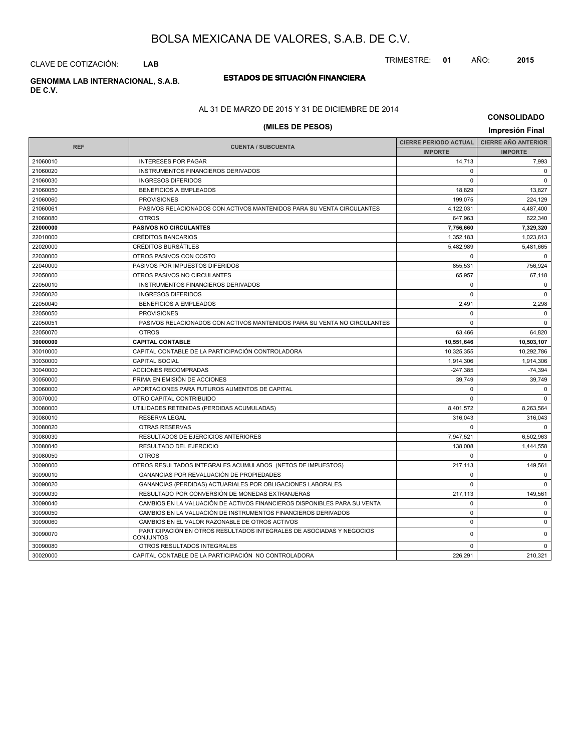TRIMESTRE: **01** AÑO: **2015**

CLAVE DE COTIZACIÓN: **LAB**

## **ESTADOS DE SITUACIÓN FINANCIERA GENOMMA LAB INTERNACIONAL, S.A.B. DE C.V.**

# AL 31 DE MARZO DE 2015 Y 31 DE DICIEMBRE DE 2014

# **(MILES DE PESOS) Impresión Final**

|            |                                                                                          | <b>CIERRE PERIODO ACTUAL</b> | <b>CIERRE AÑO ANTERIOR</b> |
|------------|------------------------------------------------------------------------------------------|------------------------------|----------------------------|
| <b>REF</b> | <b>CUENTA / SUBCUENTA</b>                                                                | <b>IMPORTE</b>               | <b>IMPORTE</b>             |
| 21060010   | <b>INTERESES POR PAGAR</b>                                                               | 14.713                       | 7,993                      |
| 21060020   | <b>INSTRUMENTOS FINANCIEROS DERIVADOS</b>                                                | $\Omega$                     | $\Omega$                   |
| 21060030   | <b>INGRESOS DIFERIDOS</b>                                                                | $\Omega$                     | $\Omega$                   |
| 21060050   | BENEFICIOS A EMPLEADOS                                                                   | 18.829                       | 13,827                     |
| 21060060   | <b>PROVISIONES</b>                                                                       | 199,075                      | 224,129                    |
| 21060061   | PASIVOS RELACIONADOS CON ACTIVOS MANTENIDOS PARA SU VENTA CIRCULANTES                    | 4,122,031                    | 4,487,400                  |
| 21060080   | <b>OTROS</b>                                                                             | 647.963                      | 622,340                    |
| 22000000   | <b>PASIVOS NO CIRCULANTES</b>                                                            | 7,756,660                    | 7,329,320                  |
| 22010000   | <b>CRÉDITOS BANCARIOS</b>                                                                | 1,352,183                    | 1,023,613                  |
| 22020000   | <b>CRÉDITOS BURSÁTILES</b>                                                               | 5,482,989                    | 5,481,665                  |
| 22030000   | OTROS PASIVOS CON COSTO                                                                  | $\Omega$                     | $\Omega$                   |
| 22040000   | PASIVOS POR IMPUESTOS DIFERIDOS                                                          | 855,531                      | 756,924                    |
| 22050000   | OTROS PASIVOS NO CIRCULANTES                                                             | 65.957                       | 67.118                     |
| 22050010   | <b>INSTRUMENTOS FINANCIEROS DERIVADOS</b>                                                | $\Omega$                     | $\Omega$                   |
| 22050020   | <b>INGRESOS DIFERIDOS</b>                                                                | $\Omega$                     | $\Omega$                   |
| 22050040   | BENEFICIOS A EMPLEADOS                                                                   | 2,491                        | 2,298                      |
| 22050050   | <b>PROVISIONES</b>                                                                       | $\Omega$                     | $\Omega$                   |
| 22050051   | PASIVOS RELACIONADOS CON ACTIVOS MANTENIDOS PARA SU VENTA NO CIRCULANTES                 | $\Omega$                     | $\Omega$                   |
| 22050070   | <b>OTROS</b>                                                                             | 63,466                       | 64,820                     |
| 30000000   | <b>CAPITAL CONTABLE</b>                                                                  | 10,551,646                   | 10,503,107                 |
| 30010000   | CAPITAL CONTABLE DE LA PARTICIPACIÓN CONTROLADORA                                        | 10,325,355                   | 10,292,786                 |
| 30030000   | <b>CAPITAL SOCIAL</b>                                                                    | 1,914,306                    | 1,914,306                  |
| 30040000   | <b>ACCIONES RECOMPRADAS</b>                                                              | $-247,385$                   | $-74,394$                  |
| 30050000   | PRIMA EN EMISIÓN DE ACCIONES                                                             | 39,749                       | 39,749                     |
| 30060000   | APORTACIONES PARA FUTUROS AUMENTOS DE CAPITAL                                            | $\Omega$                     | $\Omega$                   |
| 30070000   | OTRO CAPITAL CONTRIBUIDO                                                                 | 0                            | $\Omega$                   |
| 30080000   | UTILIDADES RETENIDAS (PERDIDAS ACUMULADAS)                                               | 8,401,572                    | 8,263,564                  |
| 30080010   | <b>RESERVA LEGAL</b>                                                                     | 316.043                      | 316,043                    |
| 30080020   | OTRAS RESERVAS                                                                           | $\Omega$                     | $\Omega$                   |
| 30080030   | RESULTADOS DE EJERCICIOS ANTERIORES                                                      | 7.947.521                    | 6.502.963                  |
| 30080040   | RESULTADO DEL EJERCICIO                                                                  | 138,008                      | 1,444,558                  |
| 30080050   | <b>OTROS</b>                                                                             | $\Omega$                     | $\Omega$                   |
| 30090000   | OTROS RESULTADOS INTEGRALES ACUMULADOS (NETOS DE IMPUESTOS)                              | 217,113                      | 149,561                    |
| 30090010   | GANANCIAS POR REVALUACIÓN DE PROPIEDADES                                                 | $\Omega$                     | $\mathbf 0$                |
| 30090020   | GANANCIAS (PERDIDAS) ACTUARIALES POR OBLIGACIONES LABORALES                              | $\Omega$                     | $\Omega$                   |
| 30090030   | RESULTADO POR CONVERSIÓN DE MONEDAS EXTRANJERAS                                          | 217,113                      | 149,561                    |
| 30090040   | CAMBIOS EN LA VALUACIÓN DE ACTIVOS FINANCIEROS DISPONIBLES PARA SU VENTA                 | $\mathbf 0$                  | $\mathbf 0$                |
| 30090050   | CAMBIOS EN LA VALUACIÓN DE INSTRUMENTOS FINANCIEROS DERIVADOS                            | $\Omega$                     | $\Omega$                   |
| 30090060   | CAMBIOS EN EL VALOR RAZONABLE DE OTROS ACTIVOS                                           | $\mathbf 0$                  | $\mathbf 0$                |
| 30090070   | PARTICIPACIÓN EN OTROS RESULTADOS INTEGRALES DE ASOCIADAS Y NEGOCIOS<br><b>CONJUNTOS</b> | $\mathbf 0$                  | $\mathbf 0$                |
| 30090080   | OTROS RESULTADOS INTEGRALES                                                              | $\mathbf 0$                  | $\mathbf 0$                |
| 30020000   | CAPITAL CONTABLE DE LA PARTICIPACIÓN NO CONTROLADORA                                     | 226,291                      | 210,321                    |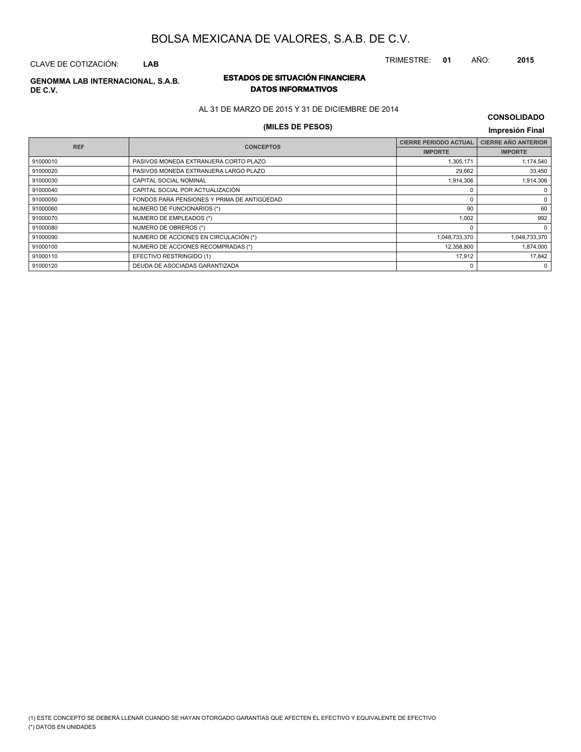TRIMESTRE: **01** AÑO: **2015**

# CLAVE DE COTIZACIÓN: **LAB**

# **DE C.V.**

# **ESTADOS DE SITUACIÓN FINANCIERA GENOMMA LAB INTERNACIONAL, S.A.B. DATOS INFORMATIVOS**

AL 31 DE MARZO DE 2015 Y 31 DE DICIEMBRE DE 2014

# **(MILES DE PESOS) Impresión Final**

|                                             | <b>CIERRE PERIODO ACTUAL</b> | <b>CIERRE AÑO ANTERIOR</b> |
|---------------------------------------------|------------------------------|----------------------------|
| <b>REF</b>                                  |                              | <b>IMPORTE</b>             |
| PASIVOS MONEDA EXTRANJERA CORTO PLAZO       | 1,305,171                    | 1,174,540                  |
| PASIVOS MONEDA EXTRANJERA LARGO PLAZO       | 29,662                       | 33,450                     |
| <b>CAPITAL SOCIAL NOMINAL</b>               | 1,914,306                    | 1,914,306                  |
| CAPITAL SOCIAL POR ACTUALIZACIÓN            |                              | 0                          |
| FONDOS PARA PENSIONES Y PRIMA DE ANTIGÜEDAD |                              | 0                          |
| NUMERO DE FUNCIONARIOS (*)                  | 90                           | 60                         |
| NUMERO DE EMPLEADOS (*)                     | 1,002                        | 992                        |
| NUMERO DE OBREROS (*)                       |                              | 0                          |
| NUMERO DE ACCIONES EN CIRCULACIÓN (*)       | 1,048,733,370                | 1,048,733,370              |
| NUMERO DE ACCIONES RECOMPRADAS (*)          | 12,358,800                   | 1,874,000                  |
| EFECTIVO RESTRINGIDO (1)                    | 17,912                       | 17,842                     |
| DEUDA DE ASOCIADAS GARANTIZADA              |                              | $\mathbf 0$                |
|                                             | <b>CONCEPTOS</b>             | <b>IMPORTE</b>             |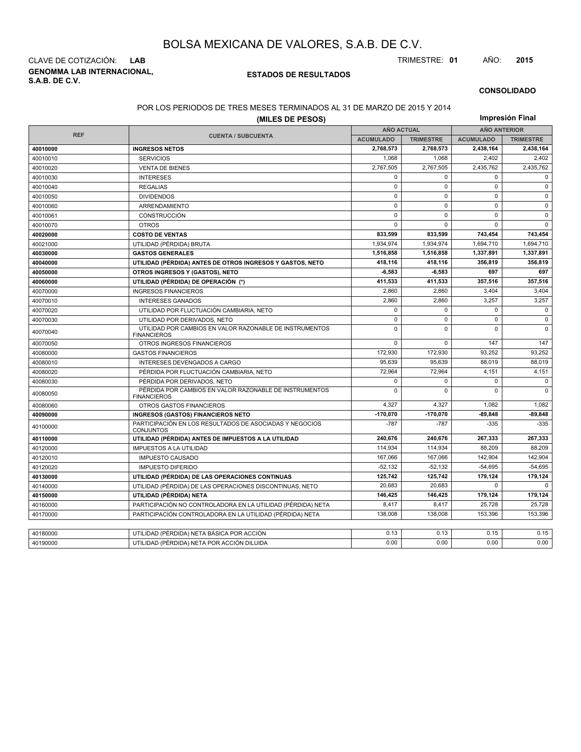**GENOMMA LAB INTERNACIONAL, S.A.B. DE C.V.** CLAVE DE COTIZACIÓN: **LAB** TRIMESTRE: **01** AÑO: **2015**

## **ESTADOS DE RESULTADOS**

### **CONSOLIDADO**

### POR LOS PERIODOS DE TRES MESES TERMINADOS AL 31 DE MARZO DE 2015 Y 2014

| (MILES DE PESOS) |                                                                               |                   |                  |                     | Impresión Final  |  |
|------------------|-------------------------------------------------------------------------------|-------------------|------------------|---------------------|------------------|--|
|                  |                                                                               | <b>AÑO ACTUAL</b> |                  | <b>AÑO ANTERIOR</b> |                  |  |
| <b>REF</b>       | <b>CUENTA / SUBCUENTA</b>                                                     | <b>ACUMULADO</b>  | <b>TRIMESTRE</b> | <b>ACUMULADO</b>    | <b>TRIMESTRE</b> |  |
| 40010000         | <b>INGRESOS NETOS</b>                                                         | 2,768,573         | 2,768,573        | 2,438,164           | 2,438,164        |  |
| 40010010         | <b>SERVICIOS</b>                                                              | 1.068             | 1.068            | 2,402               | 2,402            |  |
| 40010020         | <b>VENTA DE BIENES</b>                                                        | 2,767,505         | 2,767,505        | 2,435,762           | 2,435,762        |  |
| 40010030         | <b>INTERESES</b>                                                              | $\mathbf 0$       | $\Omega$         | $\mathbf 0$         | $\Omega$         |  |
| 40010040         | <b>REGALIAS</b>                                                               | $\mathbf 0$       | $\mathbf 0$      | $\pmb{0}$           | $\mathbf 0$      |  |
| 40010050         | <b>DIVIDENDOS</b>                                                             | $\mathbf 0$       | $\mathbf 0$      | $\mathbf 0$         | $\mathbf 0$      |  |
| 40010060         | ARRENDAMIENTO                                                                 | $\mathbf 0$       | $\Omega$         | $\Omega$            | $\mathbf 0$      |  |
| 40010061         | <b>CONSTRUCCIÓN</b>                                                           | $\mathbf 0$       | $\mathbf 0$      | $\mathbf 0$         | $\mathbf 0$      |  |
| 40010070         | <b>OTROS</b>                                                                  | 0                 | $\Omega$         | $\mathbf 0$         | $\Omega$         |  |
| 40020000         | <b>COSTO DE VENTAS</b>                                                        | 833,599           | 833,599          | 743,454             | 743,454          |  |
| 40021000         | UTILIDAD (PÉRDIDA) BRUTA                                                      | 1,934,974         | 1,934,974        | 1,694,710           | 1,694,710        |  |
| 40030000         | <b>GASTOS GENERALES</b>                                                       | 1,516,858         | 1.516.858        | 1,337,891           | 1,337,891        |  |
| 40040000         | UTILIDAD (PÉRDIDA) ANTES DE OTROS INGRESOS Y GASTOS, NETO                     | 418,116           | 418,116          | 356,819             | 356,819          |  |
| 40050000         | OTROS INGRESOS Y (GASTOS), NETO                                               | $-6,583$          | $-6,583$         | 697                 | 697              |  |
| 40060000         | UTILIDAD (PÉRDIDA) DE OPERACIÓN (*)                                           | 411,533           | 411,533          | 357,516             | 357,516          |  |
| 40070000         | <b>INGRESOS FINANCIEROS</b>                                                   | 2.860             | 2.860            | 3,404               | 3,404            |  |
| 40070010         | <b>INTERESES GANADOS</b>                                                      | 2.860             | 2,860            | 3,257               | 3,257            |  |
| 40070020         | UTILIDAD POR FLUCTUACIÓN CAMBIARIA, NETO                                      | $\mathbf 0$       | $\mathbf 0$      | $\mathbf 0$         | $\Omega$         |  |
| 40070030         | UTILIDAD POR DERIVADOS, NETO                                                  | 0                 | $\mathbf 0$      | $\mathbf 0$         | $\mathbf 0$      |  |
| 40070040         | UTILIDAD POR CAMBIOS EN VALOR RAZONABLE DE INSTRUMENTOS<br><b>FINANCIEROS</b> | 0                 | $\Omega$         | $\mathbf 0$         | $\mathbf 0$      |  |
| 40070050         | OTROS INGRESOS FINANCIEROS                                                    | 0                 | $\Omega$         | 147                 | 147              |  |
| 40080000         | <b>GASTOS FINANCIEROS</b>                                                     | 172,930           | 172,930          | 93,252              | 93,252           |  |
| 40080010         | INTERESES DEVENGADOS A CARGO                                                  | 95,639            | 95,639           | 88,019              | 88,019           |  |
| 40080020         | PÉRDIDA POR FLUCTUACIÓN CAMBIARIA, NETO                                       | 72.964            | 72.964           | 4.151               | 4,151            |  |
| 40080030         | PÉRDIDA POR DERIVADOS. NETO                                                   | $\mathbf 0$       | $\Omega$         | $\mathbf 0$         | $\mathbf 0$      |  |
| 40080050         | PÉRDIDA POR CAMBIOS EN VALOR RAZONABLE DE INSTRUMENTOS<br><b>FINANCIEROS</b>  | $\Omega$          | $\Omega$         | $\Omega$            | $\Omega$         |  |
| 40080060         | OTROS GASTOS FINANCIEROS                                                      | 4,327             | 4,327            | 1,082               | 1,082            |  |
| 40090000         | <b>INGRESOS (GASTOS) FINANCIEROS NETO</b>                                     | $-170,070$        | $-170,070$       | $-89,848$           | 89,848           |  |
| 40100000         | PARTICIPACIÓN EN LOS RESULTADOS DE ASOCIADAS Y NEGOCIOS<br><b>CONJUNTOS</b>   | $-787$            | $-787$           | $-335$              | $-335$           |  |
| 40110000         | UTILIDAD (PÉRDIDA) ANTES DE IMPUESTOS A LA UTILIDAD                           | 240,676           | 240.676          | 267,333             | 267,333          |  |
| 40120000         | <b>IMPUESTOS A LA UTILIDAD</b>                                                | 114.934           | 114.934          | 88.209              | 88.209           |  |
| 40120010         | <b>IMPUESTO CAUSADO</b>                                                       | 167,066           | 167,066          | 142,904             | 142,904          |  |
| 40120020         | <b>IMPUESTO DIFERIDO</b>                                                      | $-52,132$         | $-52.132$        | $-54.695$           | $-54,695$        |  |
| 40130000         | UTILIDAD (PÉRDIDA) DE LAS OPERACIONES CONTINUAS                               | 125,742           | 125,742          | 179,124             | 179,124          |  |
| 40140000         | UTILIDAD (PÉRDIDA) DE LAS OPERACIONES DISCONTINUAS, NETO                      | 20,683            | 20,683           | 0                   | $\Omega$         |  |
| 40150000         | UTILIDAD (PÉRDIDA) NETA                                                       | 146.425           | 146.425          | 179,124             | 179,124          |  |
| 40160000         | PARTICIPACIÓN NO CONTROLADORA EN LA UTILIDAD (PÉRDIDA) NETA                   | 8,417             | 8,417            | 25,728              | 25,728           |  |
| 40170000         | PARTICIPACIÓN CONTROLADORA EN LA UTILIDAD (PÉRDIDA) NETA                      | 138,008           | 138,008          | 153,396             | 153.396          |  |
|                  |                                                                               |                   |                  |                     |                  |  |
| 40180000         | UTILIDAD (PÉRDIDA) NETA BÁSICA POR ACCIÓN                                     | 0.13              | 0.13             | 0.15                | 0.15             |  |
| 40190000         | UTILIDAD (PÉRDIDA) NETA POR ACCIÓN DILUIDA                                    | 0.00              | 0.00             | 0.00                | 0.00             |  |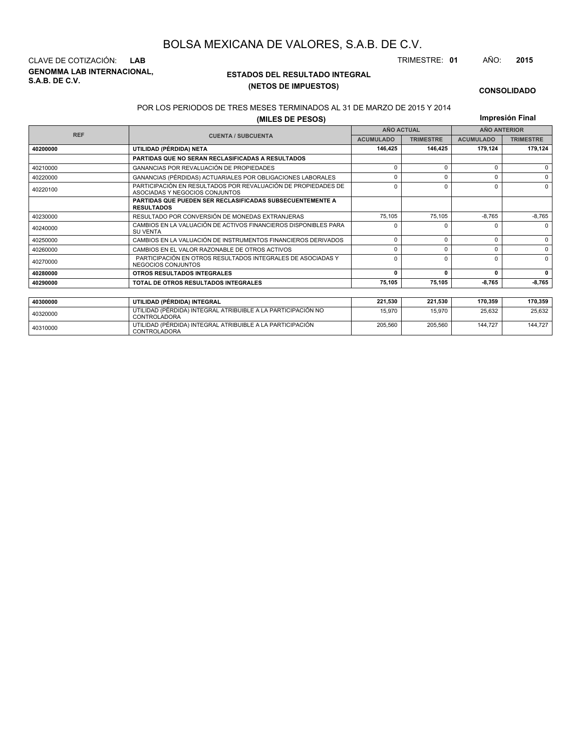**GENOMMA LAB INTERNACIONAL, S.A.B. DE C.V.** CLAVE DE COTIZACIÓN: **LAB** TRIMESTRE: **01** AÑO: **2015**

<sup>40310000</sup> UTILIDAD (PÉRDIDA) INTEGRAL ATRIBUIBLE A LA PARTICIPACIÓN CONTROLADORA

# **ESTADOS DEL RESULTADO INTEGRAL (NETOS DE IMPUESTOS)**

205,560 205,560 144,727 144,727

#### **CONSOLIDADO**

#### POR LOS PERIODOS DE TRES MESES TERMINADOS AL 31 DE MARZO DE 2015 Y 2014

**(MILES DE PESOS)**

**Impresión Final**

| <b>INILES DE LESOSI</b> |                                                                                                 |                   |                  |                     |                  |  |
|-------------------------|-------------------------------------------------------------------------------------------------|-------------------|------------------|---------------------|------------------|--|
| <b>REF</b>              |                                                                                                 | <b>AÑO ACTUAL</b> |                  | <b>AÑO ANTERIOR</b> |                  |  |
|                         | <b>CUENTA / SUBCUENTA</b>                                                                       | <b>ACUMULADO</b>  | <b>TRIMESTRE</b> | <b>ACUMULADO</b>    | <b>TRIMESTRE</b> |  |
| 40200000                | UTILIDAD (PÉRDIDA) NETA                                                                         | 146.425           | 146.425          | 179.124             | 179,124          |  |
|                         | <b>PARTIDAS QUE NO SERAN RECLASIFICADAS A RESULTADOS</b>                                        |                   |                  |                     |                  |  |
| 40210000                | GANANCIAS POR REVALUACIÓN DE PROPIEDADES                                                        | 0                 | $\Omega$         |                     | $\Omega$         |  |
| 40220000                | GANANCIAS (PÉRDIDAS) ACTUARIALES POR OBLIGACIONES LABORALES                                     | U                 |                  |                     | $\Omega$         |  |
| 40220100                | PARTICIPACIÓN EN RESULTADOS POR REVALUACIÓN DE PROPIEDADES DE<br>ASOCIADAS Y NEGOCIOS CONJUNTOS | $\Omega$          | $\Omega$         |                     | $\Omega$         |  |
|                         | <b>PARTIDAS QUE PUEDEN SER RECLASIFICADAS SUBSECUENTEMENTE A</b><br><b>RESULTADOS</b>           |                   |                  |                     |                  |  |
| 40230000                | RESULTADO POR CONVERSIÓN DE MONEDAS EXTRANJERAS                                                 | 75.105            | 75.105           | $-8,765$            | $-8,765$         |  |
| 40240000                | CAMBIOS EN LA VALUACIÓN DE ACTIVOS FINANCIEROS DISPONIBLES PARA<br><b>SU VENTA</b>              | <sup>0</sup>      |                  |                     | $\Omega$         |  |
| 40250000                | CAMBIOS EN LA VALUACIÓN DE INSTRUMENTOS FINANCIEROS DERIVADOS                                   | 0                 | $\Omega$         | $\Omega$            | $\Omega$         |  |
| 40260000                | CAMBIOS EN EL VALOR RAZONABLE DE OTROS ACTIVOS                                                  | $\Omega$          | $\Omega$         |                     | $\Omega$         |  |
| 40270000                | PARTICIPACIÓN EN OTROS RESULTADOS INTEGRALES DE ASOCIADAS Y<br>NEGOCIOS CONJUNTOS               | 0                 | $\Omega$         |                     | $\Omega$         |  |
| 40280000                | <b>OTROS RESULTADOS INTEGRALES</b>                                                              | 0                 | $\Omega$         | $\Omega$            | $\mathbf{0}$     |  |
| 40290000                | TOTAL DE OTROS RESULTADOS INTEGRALES                                                            | 75.105            | 75,105           | $-8.765$            | $-8,765$         |  |
|                         |                                                                                                 |                   |                  |                     |                  |  |
| 40300000                | UTILIDAD (PÉRDIDA) INTEGRAL                                                                     | 221,530           | 221.530          | 170,359             | 170,359          |  |
| 40320000                | UTILIDAD (PÉRDIDA) INTEGRAL ATRIBUIBLE A LA PARTICIPACIÓN NO<br><b>CONTROLADORA</b>             | 15,970            | 15,970           | 25,632              | 25,632           |  |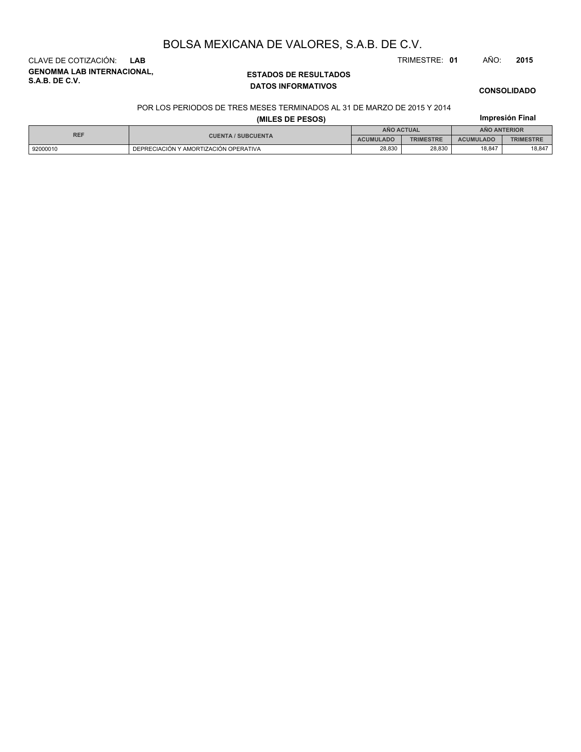**CONSOLIDADO**

**Impresión Final**

# **GENOMMA LAB INTERNACIONAL, S.A.B. DE C.V.** CLAVE DE COTIZACIÓN: **LAB** TRIMESTRE: **01** AÑO: **2015**

# **ESTADOS DE RESULTADOS DATOS INFORMATIVOS**

## POR LOS PERIODOS DE TRES MESES TERMINADOS AL 31 DE MARZO DE 2015 Y 2014

|  |  |  | (MILES DE PESOS) |  |
|--|--|--|------------------|--|
|--|--|--|------------------|--|

| <b>REF</b> |                                       | ANO ACTUAL       |                  | <b>ANO ANTERIOR</b> |                  |
|------------|---------------------------------------|------------------|------------------|---------------------|------------------|
|            | <b>CUENTA / SUBCUENTA</b>             | <b>ACUMULADO</b> | <b>TRIMESTRE</b> | <b>ACUMULADO</b>    | <b>TRIMESTRE</b> |
| 92000010   | DEPRECIACIÓN Y AMORTIZACIÓN OPERATIVA | 28.830           | 28.830           | 18.847              | 18.847           |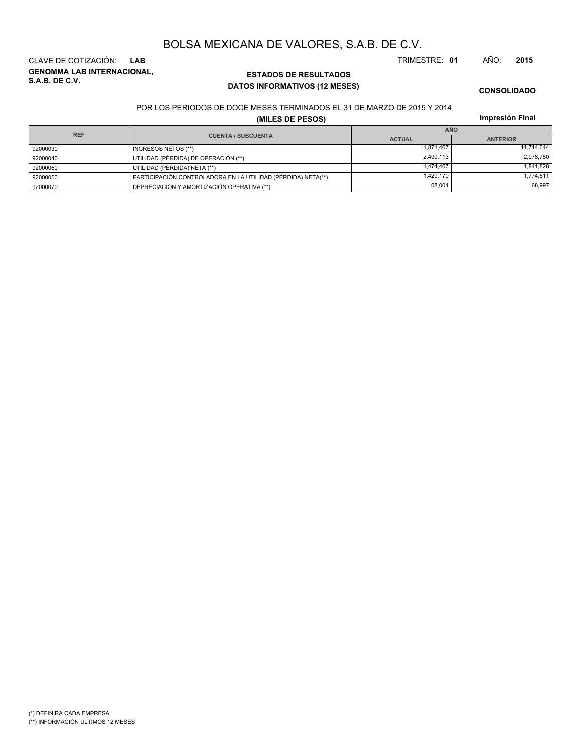**GENOMMA LAB INTERNACIONAL, S.A.B. DE C.V.** CLAVE DE COTIZACIÓN: **LAB** TRIMESTRE: **01** AÑO: **2015**

# **ESTADOS DE RESULTADOS DATOS INFORMATIVOS (12 MESES)**

**CONSOLIDADO**

## POR LOS PERIODOS DE DOCE MESES TERMINADOS EL 31 DE MARZO DE 2015 Y 2014

**(MILES DE PESOS)**

**Impresión Final**

| <b>REF</b> |                                                              | <b>AÑO</b>    |                 |
|------------|--------------------------------------------------------------|---------------|-----------------|
|            | <b>CUENTA / SUBCUENTA</b>                                    | <b>ACTUAL</b> | <b>ANTERIOR</b> |
| 92000030   | INGRESOS NETOS (**)                                          | 11.871.407    | 11.714.644      |
| 92000040   | UTILIDAD (PÉRDIDA) DE OPERACIÓN (**)                         | 2.499.113     | 2,978,780       |
| 92000060   | UTILIDAD (PÉRDIDA) NETA (**)                                 | 1.474.407     | 1.841.828       |
| 92000050   | PARTICIPACIÓN CONTROLADORA EN LA UTILIDAD (PÉRDIDA) NETA(**) | 1.429.170     | 1.774.611       |
| 92000070   | DEPRECIACIÓN Y AMORTIZACIÓN OPERATIVA (**)                   | 108.004       | 68.997          |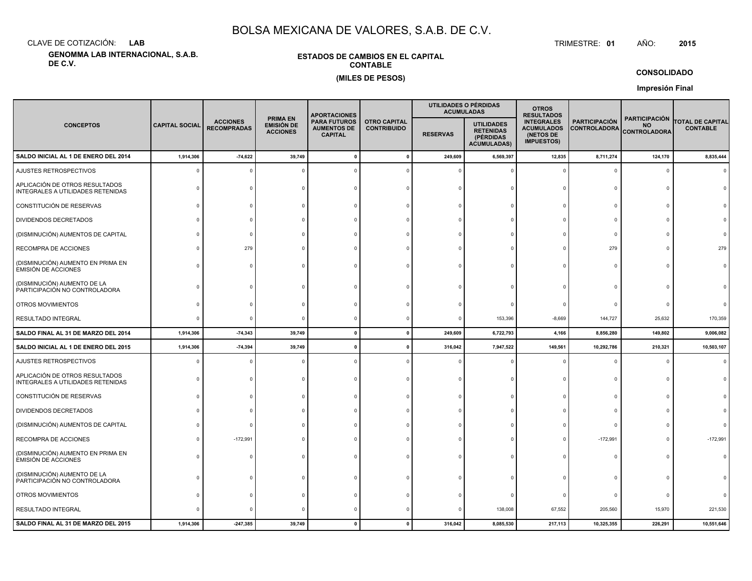CLAVE DE COTIZACIÓN:**LAB**

**GENOMMA LAB INTERNACIONAL, S.A.B. DE C.V.**

# **ESTADOS DE CAMBIOS EN EL CAPITALCONTABLE(MILES DE PESOS)**

 TRIMESTRE:TRIMESTRE: 01 AÑO: **<sup>2015</sup>**

**CONSOLIDADO**

**Impresión Final**

|                                                                     |                       |                                       |                                                         | <b>APORTACIONES</b>                                                                                      |  |                 | UTILIDADES O PÉRDIDAS<br><b>ACUMULADAS</b>                               | <b>OTROS</b><br><b>RESULTADOS</b>                                        |                                             |                                                          |                                            |
|---------------------------------------------------------------------|-----------------------|---------------------------------------|---------------------------------------------------------|----------------------------------------------------------------------------------------------------------|--|-----------------|--------------------------------------------------------------------------|--------------------------------------------------------------------------|---------------------------------------------|----------------------------------------------------------|--------------------------------------------|
| <b>CONCEPTOS</b>                                                    | <b>CAPITAL SOCIAL</b> | <b>ACCIONES</b><br><b>RECOMPRADAS</b> | <b>PRIMA EN</b><br><b>EMISIÓN DE</b><br><b>ACCIONES</b> | <b>PARA FUTUROS</b><br><b>OTRO CAPITAL</b><br><b>AUMENTOS DE</b><br><b>CONTRIBUIDO</b><br><b>CAPITAL</b> |  | <b>RESERVAS</b> | <b>UTILIDADES</b><br><b>RETENIDAS</b><br>(PÉRDIDAS<br><b>ACUMULADAS)</b> | <b>INTEGRALES</b><br><b>ACUMULADOS</b><br>(NETOS DE<br><b>IMPUESTOS)</b> | <b>PARTICIPACIÓN</b><br><b>CONTROLADORA</b> | <b>PARTICIPACIÓN</b><br><b>NO</b><br><b>CONTROLADORA</b> | <b>TOTAL DE CAPITAL</b><br><b>CONTABLE</b> |
| SALDO INICIAL AL 1 DE ENERO DEL 2014                                | 1,914,306             | $-74,622$                             | 39,749                                                  |                                                                                                          |  | 249,609         | 6,569,397                                                                | 12,835                                                                   | 8,711,274                                   | 124,170                                                  | 8,835,444                                  |
| AJUSTES RETROSPECTIVOS                                              | $\Omega$              |                                       |                                                         |                                                                                                          |  |                 |                                                                          |                                                                          | $\Omega$                                    | $\Omega$                                                 |                                            |
| APLICACIÓN DE OTROS RESULTADOS<br>INTEGRALES A UTILIDADES RETENIDAS |                       |                                       |                                                         |                                                                                                          |  |                 |                                                                          |                                                                          | $\Omega$                                    |                                                          |                                            |
| CONSTITUCIÓN DE RESERVAS                                            |                       |                                       |                                                         |                                                                                                          |  |                 |                                                                          |                                                                          | $\Omega$                                    | $\Omega$                                                 |                                            |
| DIVIDENDOS DECRETADOS                                               |                       |                                       |                                                         |                                                                                                          |  |                 |                                                                          |                                                                          | $\Omega$                                    |                                                          |                                            |
| (DISMINUCIÓN) AUMENTOS DE CAPITAL                                   |                       |                                       |                                                         |                                                                                                          |  |                 |                                                                          |                                                                          | $\Omega$                                    |                                                          |                                            |
| RECOMPRA DE ACCIONES                                                |                       | 279                                   |                                                         |                                                                                                          |  |                 |                                                                          |                                                                          | 279                                         |                                                          |                                            |
| (DISMINUCIÓN) AUMENTO EN PRIMA EN<br><b>EMISIÓN DE ACCIONES</b>     |                       |                                       |                                                         |                                                                                                          |  |                 |                                                                          |                                                                          | $\Omega$                                    |                                                          |                                            |
| (DISMINUCIÓN) AUMENTO DE LA<br>PARTICIPACIÓN NO CONTROLADORA        |                       |                                       |                                                         |                                                                                                          |  |                 |                                                                          |                                                                          |                                             |                                                          |                                            |
| OTROS MOVIMIENTOS                                                   |                       |                                       |                                                         |                                                                                                          |  |                 |                                                                          |                                                                          | $\Omega$                                    | $\Omega$                                                 |                                            |
| <b>RESULTADO INTEGRAL</b>                                           |                       |                                       |                                                         |                                                                                                          |  |                 | 153,396                                                                  | $-8,669$                                                                 | 144,727                                     | 25,632                                                   | 170,359                                    |
| SALDO FINAL AL 31 DE MARZO DEL 2014                                 | 1,914,306             | $-74,343$                             | 39,749                                                  | $\mathbf{0}$                                                                                             |  | 249,609         | 6,722,793                                                                | 4,166                                                                    | 8,856,280                                   | 149,802                                                  | 9,006,082                                  |
| SALDO INICIAL AL 1 DE ENERO DEL 2015                                | 1,914,306             | $-74,394$                             | 39,749                                                  | $\mathbf{0}$                                                                                             |  | 316,042         | 7,947,522                                                                | 149,561                                                                  | 10,292,786                                  | 210,321                                                  | 10,503,107                                 |
| AJUSTES RETROSPECTIVOS                                              | $\Omega$              |                                       |                                                         |                                                                                                          |  |                 |                                                                          |                                                                          | $\Omega$                                    | $\Omega$                                                 | $\Omega$                                   |
| APLICACIÓN DE OTROS RESULTADOS<br>INTEGRALES A UTILIDADES RETENIDAS |                       |                                       |                                                         |                                                                                                          |  |                 |                                                                          |                                                                          | $\Omega$                                    | $\Omega$                                                 |                                            |
| CONSTITUCIÓN DE RESERVAS                                            |                       |                                       |                                                         |                                                                                                          |  |                 |                                                                          |                                                                          | $\Omega$                                    | $\Omega$                                                 |                                            |
| DIVIDENDOS DECRETADOS                                               |                       |                                       |                                                         |                                                                                                          |  |                 |                                                                          |                                                                          | $\Omega$                                    |                                                          |                                            |
| (DISMINUCIÓN) AUMENTOS DE CAPITAL                                   |                       |                                       |                                                         |                                                                                                          |  |                 |                                                                          |                                                                          | $\Omega$                                    |                                                          |                                            |
| RECOMPRA DE ACCIONES                                                |                       | $-172,991$                            |                                                         |                                                                                                          |  |                 |                                                                          |                                                                          | $-172,991$                                  |                                                          | $-172,991$                                 |
| (DISMINUCIÓN) AUMENTO EN PRIMA EN<br><b>EMISIÓN DE ACCIONES</b>     |                       |                                       |                                                         |                                                                                                          |  |                 |                                                                          |                                                                          |                                             |                                                          |                                            |
| (DISMINUCIÓN) AUMENTO DE LA<br>PARTICIPACIÓN NO CONTROLADORA        |                       |                                       |                                                         |                                                                                                          |  |                 |                                                                          |                                                                          | $\Omega$                                    | $\Omega$                                                 |                                            |
| OTROS MOVIMIENTOS                                                   |                       |                                       |                                                         |                                                                                                          |  |                 |                                                                          |                                                                          | $^{\circ}$                                  |                                                          |                                            |
| <b>RESULTADO INTEGRAL</b>                                           |                       |                                       |                                                         |                                                                                                          |  |                 | 138,008                                                                  | 67,552                                                                   | 205,560                                     | 15,970                                                   | 221,530                                    |
| SALDO FINAL AL 31 DE MARZO DEL 2015                                 | 1,914,306             | $-247,385$                            | 39,749                                                  | $\Omega$                                                                                                 |  | 316,042         | 8,085,530                                                                | 217,113                                                                  | 10,325,355                                  | 226,291                                                  | 10,551,646                                 |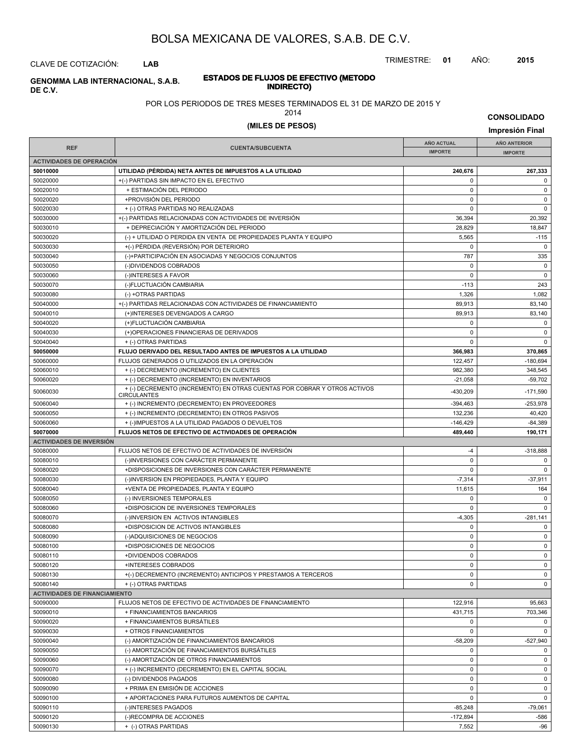TRIMESTRE: **01** AÑO: **2015**

# CLAVE DE COTIZACIÓN: **LAB**

# **ESTADOS DE FLUJOS DE EFECTIVO (METODO INDIRECTO) GENOMMA LAB INTERNACIONAL, S.A.B. DE C.V.**

# POR LOS PERIODOS DE TRES MESES TERMINADOS EL 31 DE MARZO DE 2015 Y

## 2014

# **(MILES DE PESOS) Impresión Final**

| <b>REF</b>                           | <b>CUENTA/SUBCUENTA</b>                                                                                                   | <b>AÑO ACTUAL</b><br><b>IMPORTE</b> | AÑO ANTERIOR          |
|--------------------------------------|---------------------------------------------------------------------------------------------------------------------------|-------------------------------------|-----------------------|
| <b>ACTIVIDADES DE OPERACIÓN</b>      |                                                                                                                           |                                     | <b>IMPORTE</b>        |
| 50010000                             | UTILIDAD (PÉRDIDA) NETA ANTES DE IMPUESTOS A LA UTILIDAD                                                                  | 240,676                             | 267,333               |
| 50020000                             | +(-) PARTIDAS SIN IMPACTO EN EL EFECTIVO                                                                                  | 0                                   | 0                     |
| 50020010                             | + ESTIMACIÓN DEL PERIODO                                                                                                  | $\mathbf 0$                         | $\mathsf 0$           |
| 50020020                             | +PROVISIÓN DEL PERIODO                                                                                                    | $\mathbf 0$                         | 0                     |
| 50020030                             | + (-) OTRAS PARTIDAS NO REALIZADAS                                                                                        | $\mathbf 0$                         | $\mathsf 0$           |
| 50030000                             | +(-) PARTIDAS RELACIONADAS CON ACTIVIDADES DE INVERSIÓN                                                                   | 36,394                              | 20,392                |
| 50030010                             | + DEPRECIACIÓN Y AMORTIZACIÓN DEL PERIODO                                                                                 | 28,829                              | 18,847                |
| 50030020                             | (-) + UTILIDAD O PERDIDA EN VENTA DE PROPIEDADES PLANTA Y EQUIPO                                                          | 5,565                               | $-115$                |
| 50030030                             | +(-) PÉRDIDA (REVERSIÓN) POR DETERIORO                                                                                    | $\mathbf 0$                         | $\mathbf 0$           |
| 50030040                             | (-)+PARTICIPACIÓN EN ASOCIADAS Y NEGOCIOS CONJUNTOS                                                                       | 787                                 | 335                   |
| 50030050                             | (-)DIVIDENDOS COBRADOS                                                                                                    | 0                                   | $\pmb{0}$             |
| 50030060                             | (-)INTERESES A FAVOR                                                                                                      | $\mathbf 0$                         | $\pmb{0}$             |
| 50030070                             | (-)FLUCTUACIÓN CAMBIARIA                                                                                                  | $-113$                              | 243                   |
| 50030080                             | (-) +OTRAS PARTIDAS                                                                                                       | 1,326                               | 1,082                 |
| 50040000                             | +(-) PARTIDAS RELACIONADAS CON ACTIVIDADES DE FINANCIAMIENTO                                                              | 89,913                              | 83,140                |
|                                      |                                                                                                                           |                                     |                       |
| 50040010                             | (+)INTERESES DEVENGADOS A CARGO                                                                                           | 89,913                              | 83,140                |
| 50040020<br>50040030                 | (+)FLUCTUACIÓN CAMBIARIA                                                                                                  | 0<br>$\pmb{0}$                      | 0<br>$\pmb{0}$        |
|                                      | (+)OPERACIONES FINANCIERAS DE DERIVADOS                                                                                   |                                     |                       |
| 50040040                             | + (-) OTRAS PARTIDAS                                                                                                      | 0                                   | 0                     |
| 50050000                             | FLUJO DERIVADO DEL RESULTADO ANTES DE IMPUESTOS A LA UTILIDAD                                                             | 366,983                             | 370,865               |
| 50060000                             | FLUJOS GENERADOS O UTILIZADOS EN LA OPERACIÓN                                                                             | 122,457                             | $-180,694$            |
| 50060010                             | + (-) DECREMENTO (INCREMENTO) EN CLIENTES                                                                                 | 982,380                             | 348,545               |
| 50060020<br>50060030                 | + (-) DECREMENTO (INCREMENTO) EN INVENTARIOS<br>+ (-) DECREMENTO (INCREMENTO) EN OTRAS CUENTAS POR COBRAR Y OTROS ACTIVOS | $-21,058$<br>$-430.209$             | -59,702<br>$-171,590$ |
| 50060040                             | <b>CIRCULANTES</b><br>+ (-) INCREMENTO (DECREMENTO) EN PROVEEDORES                                                        | $-394,463$                          | $-253,978$            |
| 50060050                             | + (-) INCREMENTO (DECREMENTO) EN OTROS PASIVOS                                                                            | 132,236                             | 40,420                |
| 50060060                             | + (-)IMPUESTOS A LA UTILIDAD PAGADOS O DEVUELTOS                                                                          | $-146,429$                          | $-84,389$             |
| 50070000                             | FLUJOS NETOS DE EFECTIVO DE ACTIVIDADES DE OPERACIÓN                                                                      | 489,440                             | 190,171               |
| <b>ACTIVIDADES DE INVERSIÓN</b>      |                                                                                                                           |                                     |                       |
| 50080000                             | FLUJOS NETOS DE EFECTIVO DE ACTIVIDADES DE INVERSIÓN                                                                      | -4                                  | $-318,888$            |
| 50080010                             | (-)INVERSIONES CON CARÁCTER PERMANENTE                                                                                    | $\mathbf 0$                         | $\mathbf 0$           |
| 50080020                             | +DISPOSICIONES DE INVERSIONES CON CARÁCTER PERMANENTE                                                                     | $\mathbf 0$                         | $\mathsf 0$           |
| 50080030                             | (-)INVERSION EN PROPIEDADES, PLANTA Y EQUIPO                                                                              | $-7,314$                            | -37,911               |
| 50080040                             | +VENTA DE PROPIEDADES, PLANTA Y EQUIPO                                                                                    | 11,615                              | 164                   |
| 50080050                             | (-) INVERSIONES TEMPORALES                                                                                                | 0                                   | $\mathbf 0$           |
| 50080060                             | +DISPOSICION DE INVERSIONES TEMPORALES                                                                                    | $\mathbf 0$                         | $\mathbf 0$           |
| 50080070                             | (-)INVERSION EN ACTIVOS INTANGIBLES                                                                                       | $-4,305$                            | $-281,141$            |
| 50080080                             | +DISPOSICION DE ACTIVOS INTANGIBLES                                                                                       | $\pmb{0}$                           | $\mathbf 0$           |
| 50080090                             | (-)ADQUISICIONES DE NEGOCIOS                                                                                              | $\mathbf 0$                         | 0                     |
| 50080100                             | +DISPOSICIONES DE NEGOCIOS                                                                                                | $\pmb{0}$                           | $\pmb{0}$             |
| 50080110                             | +DIVIDENDOS COBRADOS                                                                                                      | 0                                   | $\mathbf 0$           |
| 50080120                             | +INTERESES COBRADOS                                                                                                       | $\mathbf 0$                         | $\mathbf 0$           |
| 50080130                             | +(-) DECREMENTO (INCREMENTO) ANTICIPOS Y PRESTAMOS A TERCEROS                                                             | $\pmb{0}$                           | $\mathbf 0$           |
| 50080140                             | + (-) OTRAS PARTIDAS                                                                                                      | $\mathbf 0$                         | $\mathbf 0$           |
| <b>ACTIVIDADES DE FINANCIAMIENTO</b> |                                                                                                                           |                                     |                       |
| 50090000                             | FLUJOS NETOS DE EFECTIVO DE ACTIVIDADES DE FINANCIAMIENTO                                                                 | 122,916                             | 95,663                |
| 50090010                             | + FINANCIAMIENTOS BANCARIOS                                                                                               | 431,715                             | 703,346               |
| 50090020                             | + FINANCIAMIENTOS BURSÁTILES                                                                                              | 0                                   | 0                     |
| 50090030                             | + OTROS FINANCIAMIENTOS                                                                                                   | $\mathbf 0$                         | $\mathbf 0$           |
| 50090040                             | (-) AMORTIZACIÓN DE FINANCIAMIENTOS BANCARIOS                                                                             | $-58.209$                           | $-527,940$            |
| 50090050                             | (-) AMORTIZACIÓN DE FINANCIAMIENTOS BURSÁTILES                                                                            |                                     |                       |
|                                      |                                                                                                                           | 0                                   | 0<br>$\mathbf 0$      |
| 50090060                             | (-) AMORTIZACIÓN DE OTROS FINANCIAMIENTOS                                                                                 | $\mathbf 0$<br>$\mathbf 0$          | $\mathbf 0$           |
| 50090070                             | + (-) INCREMENTO (DECREMENTO) EN EL CAPITAL SOCIAL                                                                        |                                     |                       |
| 50090080                             | (-) DIVIDENDOS PAGADOS                                                                                                    | $\mathbf 0$                         | 0                     |
| 50090090                             | + PRIMA EN EMISIÓN DE ACCIONES                                                                                            | $\mathbf 0$                         | $\mathbf 0$           |
| 50090100                             | + APORTACIONES PARA FUTUROS AUMENTOS DE CAPITAL                                                                           | $\mathbf 0$                         | $\mathbf 0$           |
| 50090110                             | (-)INTERESES PAGADOS                                                                                                      | $-85,248$                           | $-79,061$             |
| 50090120                             | (-)RECOMPRA DE ACCIONES                                                                                                   | $-172,894$                          | -586                  |
| 50090130                             | + (-) OTRAS PARTIDAS                                                                                                      | 7,552                               | -96                   |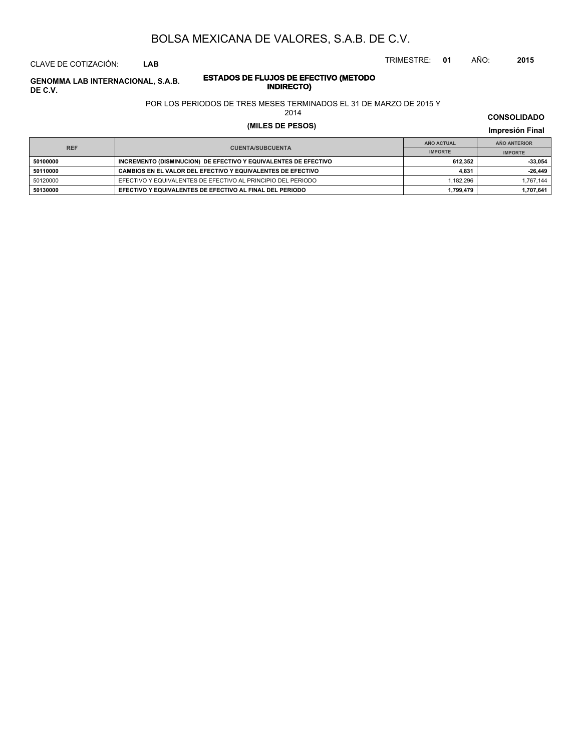CLAVE DE COTIZACIÓN: **LAB**

# **ESTADOS DE FLUJOS DE EFECTIVO (METODO INDIRECTO) GENOMMA LAB INTERNACIONAL, S.A.B. DE C.V.**

# POR LOS PERIODOS DE TRES MESES TERMINADOS EL 31 DE MARZO DE 2015 Y

2014

# **(MILES DE PESOS) Impresión Final**

|            |                                                                 | AÑO ACTUAL     | AÑO ANTERIOR   |
|------------|-----------------------------------------------------------------|----------------|----------------|
| <b>REF</b> | <b>CUENTA/SUBCUENTA</b>                                         | <b>IMPORTE</b> | <b>IMPORTE</b> |
| 50100000   | INCREMENTO (DISMINUCION) DE EFECTIVO Y EQUIVALENTES DE EFECTIVO | 612.352        | -33.054        |
| 50110000   | CAMBIOS EN EL VALOR DEL EFECTIVO Y EQUIVALENTES DE EFECTIVO     | 4.831          | $-26.449$      |
| 50120000   | EFECTIVO Y EQUIVALENTES DE EFECTIVO AL PRINCIPIO DEL PERIODO    | .182.296       | 1.767.144      |
| 50130000   | EFECTIVO Y EQUIVALENTES DE EFECTIVO AL FINAL DEL PERIODO        | 1,799,479      | 1.707.641      |

# **CONSOLIDADO**

TRIMESTRE: **01** AÑO: **2015**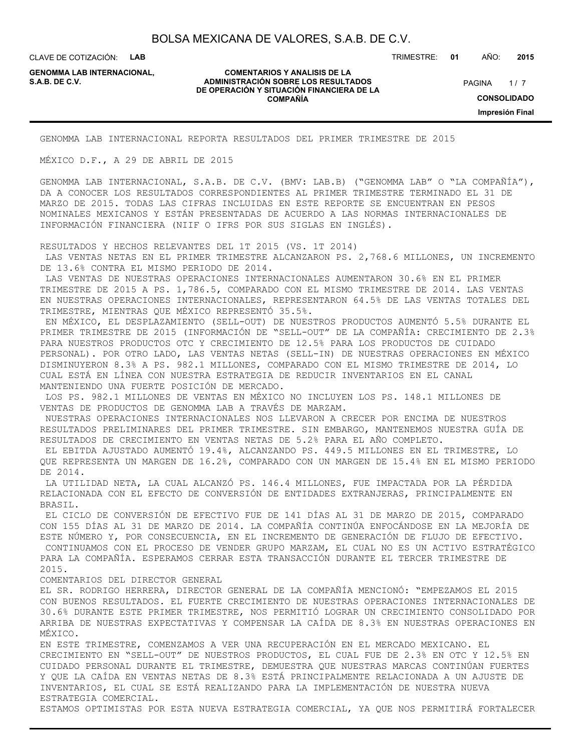CLAVE DE COTIZACIÓN: **LAB**

**GENOMMA LAB INTERNACIONAL,**

#### **COMENTARIOS Y ANALISIS DE LA ADMINISTRACIÓN SOBRE LOS RESULTADOS** PAGINA 1/7 **DE OPERACIÓN Y SITUACIÓN FINANCIERA DE LA COMPAÑÍA**

 $1/7$ 

TRIMESTRE: **01** AÑO: **2015**

**CONSOLIDADO Impresión Final**

GENOMMA LAB INTERNACIONAL REPORTA RESULTADOS DEL PRIMER TRIMESTRE DE 2015

MÉXICO D.F., A 29 DE ABRIL DE 2015

GENOMMA LAB INTERNACIONAL, S.A.B. DE C.V. (BMV: LAB.B) ("GENOMMA LAB" O "LA COMPAÑÍA"), DA A CONOCER LOS RESULTADOS CORRESPONDIENTES AL PRIMER TRIMESTRE TERMINADO EL 31 DE MARZO DE 2015. TODAS LAS CIFRAS INCLUIDAS EN ESTE REPORTE SE ENCUENTRAN EN PESOS NOMINALES MEXICANOS Y ESTÁN PRESENTADAS DE ACUERDO A LAS NORMAS INTERNACIONALES DE INFORMACIÓN FINANCIERA (NIIF O IFRS POR SUS SIGLAS EN INGLÉS).

RESULTADOS Y HECHOS RELEVANTES DEL 1T 2015 (VS. 1T 2014)

 LAS VENTAS NETAS EN EL PRIMER TRIMESTRE ALCANZARON PS. 2,768.6 MILLONES, UN INCREMENTO DE 13.6% CONTRA EL MISMO PERIODO DE 2014.

 LAS VENTAS DE NUESTRAS OPERACIONES INTERNACIONALES AUMENTARON 30.6% EN EL PRIMER TRIMESTRE DE 2015 A PS. 1,786.5, COMPARADO CON EL MISMO TRIMESTRE DE 2014. LAS VENTAS EN NUESTRAS OPERACIONES INTERNACIONALES, REPRESENTARON 64.5% DE LAS VENTAS TOTALES DEL TRIMESTRE, MIENTRAS QUE MÉXICO REPRESENTÓ 35.5%.

 EN MÉXICO, EL DESPLAZAMIENTO (SELL-OUT) DE NUESTROS PRODUCTOS AUMENTÓ 5.5% DURANTE EL PRIMER TRIMESTRE DE 2015 (INFORMACIÓN DE "SELL-OUT" DE LA COMPAÑÍA: CRECIMIENTO DE 2.3% PARA NUESTROS PRODUCTOS OTC Y CRECIMIENTO DE 12.5% PARA LOS PRODUCTOS DE CUIDADO PERSONAL). POR OTRO LADO, LAS VENTAS NETAS (SELL-IN) DE NUESTRAS OPERACIONES EN MÉXICO DISMINUYERON 8.3% A PS. 982.1 MILLONES, COMPARADO CON EL MISMO TRIMESTRE DE 2014, LO CUAL ESTÁ EN LÍNEA CON NUESTRA ESTRATEGIA DE REDUCIR INVENTARIOS EN EL CANAL MANTENIENDO UNA FUERTE POSICIÓN DE MERCADO.

 LOS PS. 982.1 MILLONES DE VENTAS EN MÉXICO NO INCLUYEN LOS PS. 148.1 MILLONES DE VENTAS DE PRODUCTOS DE GENOMMA LAB A TRAVÉS DE MARZAM.

 NUESTRAS OPERACIONES INTERNACIONALES NOS LLEVARON A CRECER POR ENCIMA DE NUESTROS RESULTADOS PRELIMINARES DEL PRIMER TRIMESTRE. SIN EMBARGO, MANTENEMOS NUESTRA GUÍA DE RESULTADOS DE CRECIMIENTO EN VENTAS NETAS DE 5.2% PARA EL AÑO COMPLETO.

 EL EBITDA AJUSTADO AUMENTÓ 19.4%, ALCANZANDO PS. 449.5 MILLONES EN EL TRIMESTRE, LO QUE REPRESENTA UN MARGEN DE 16.2%, COMPARADO CON UN MARGEN DE 15.4% EN EL MISMO PERIODO DE 2014.

 LA UTILIDAD NETA, LA CUAL ALCANZÓ PS. 146.4 MILLONES, FUE IMPACTADA POR LA PÉRDIDA RELACIONADA CON EL EFECTO DE CONVERSIÓN DE ENTIDADES EXTRANJERAS, PRINCIPALMENTE EN BRASIL.

 EL CICLO DE CONVERSIÓN DE EFECTIVO FUE DE 141 DÍAS AL 31 DE MARZO DE 2015, COMPARADO CON 155 DÍAS AL 31 DE MARZO DE 2014. LA COMPAÑÍA CONTINÚA ENFOCÁNDOSE EN LA MEJORÍA DE ESTE NÚMERO Y, POR CONSECUENCIA, EN EL INCREMENTO DE GENERACIÓN DE FLUJO DE EFECTIVO. CONTINUAMOS CON EL PROCESO DE VENDER GRUPO MARZAM, EL CUAL NO ES UN ACTIVO ESTRATÉGICO PARA LA COMPAÑÍA. ESPERAMOS CERRAR ESTA TRANSACCIÓN DURANTE EL TERCER TRIMESTRE DE 2015.

COMENTARIOS DEL DIRECTOR GENERAL

EL SR. RODRIGO HERRERA, DIRECTOR GENERAL DE LA COMPAÑÍA MENCIONÓ: "EMPEZAMOS EL 2015 CON BUENOS RESULTADOS. EL FUERTE CRECIMIENTO DE NUESTRAS OPERACIONES INTERNACIONALES DE 30.6% DURANTE ESTE PRIMER TRIMESTRE, NOS PERMITIÓ LOGRAR UN CRECIMIENTO CONSOLIDADO POR ARRIBA DE NUESTRAS EXPECTATIVAS Y COMPENSAR LA CAÍDA DE 8.3% EN NUESTRAS OPERACIONES EN MÉXICO.

EN ESTE TRIMESTRE, COMENZAMOS A VER UNA RECUPERACIÓN EN EL MERCADO MEXICANO. EL CRECIMIENTO EN "SELL-OUT" DE NUESTROS PRODUCTOS, EL CUAL FUE DE 2.3% EN OTC Y 12.5% EN CUIDADO PERSONAL DURANTE EL TRIMESTRE, DEMUESTRA QUE NUESTRAS MARCAS CONTINÚAN FUERTES Y QUE LA CAÍDA EN VENTAS NETAS DE 8.3% ESTÁ PRINCIPALMENTE RELACIONADA A UN AJUSTE DE INVENTARIOS, EL CUAL SE ESTÁ REALIZANDO PARA LA IMPLEMENTACIÓN DE NUESTRA NUEVA ESTRATEGIA COMERCIAL.

ESTAMOS OPTIMISTAS POR ESTA NUEVA ESTRATEGIA COMERCIAL, YA QUE NOS PERMITIRÁ FORTALECER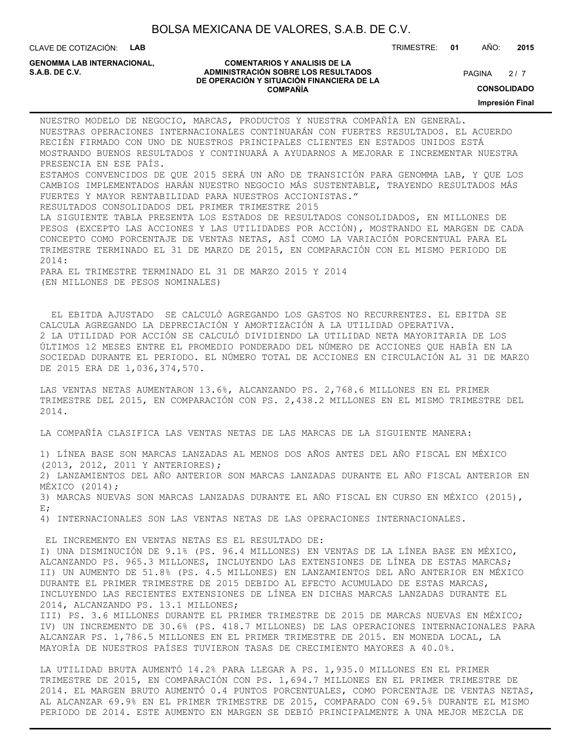| BOLSA MEXICANA DE VALORES, S.A.B. DE C.V. |  |  |  |
|-------------------------------------------|--|--|--|
|-------------------------------------------|--|--|--|

CLAVE DE COTIZACIÓN: **LAB**

**GENOMMA LAB INTERNACIONAL,**

#### **COMENTARIOS Y ANALISIS DE LA ADMINISTRACIÓN SOBRE LOS RESULTADOS S.A.B. DE C.V.** PAGINA / 7 **DE OPERACIÓN Y SITUACIÓN FINANCIERA DE LA COMPAÑÍA**

 $2/7$ 

TRIMESTRE: **01** AÑO: **2015**

**CONSOLIDADO**

**Impresión Final**

NUESTRO MODELO DE NEGOCIO, MARCAS, PRODUCTOS Y NUESTRA COMPAÑÍA EN GENERAL. NUESTRAS OPERACIONES INTERNACIONALES CONTINUARÁN CON FUERTES RESULTADOS. EL ACUERDO RECIÉN FIRMADO CON UNO DE NUESTROS PRINCIPALES CLIENTES EN ESTADOS UNIDOS ESTÁ MOSTRANDO BUENOS RESULTADOS Y CONTINUARÁ A AYUDARNOS A MEJORAR E INCREMENTAR NUESTRA PRESENCIA EN ESE PAÍS. ESTAMOS CONVENCIDOS DE QUE 2015 SERÁ UN AÑO DE TRANSICIÓN PARA GENOMMA LAB, Y QUE LOS CAMBIOS IMPLEMENTADOS HARÁN NUESTRO NEGOCIO MÁS SUSTENTABLE, TRAYENDO RESULTADOS MÁS FUERTES Y MAYOR RENTABILIDAD PARA NUESTROS ACCIONISTAS." RESULTADOS CONSOLIDADOS DEL PRIMER TRIMESTRE 2015 LA SIGUIENTE TABLA PRESENTA LOS ESTADOS DE RESULTADOS CONSOLIDADOS, EN MILLONES DE PESOS (EXCEPTO LAS ACCIONES Y LAS UTILIDADES POR ACCIÓN), MOSTRANDO EL MARGEN DE CADA CONCEPTO COMO PORCENTAJE DE VENTAS NETAS, ASÍ COMO LA VARIACIÓN PORCENTUAL PARA EL TRIMESTRE TERMINADO EL 31 DE MARZO DE 2015, EN COMPARACIÓN CON EL MISMO PERIODO DE 2014: PARA EL TRIMESTRE TERMINADO EL 31 DE MARZO 2015 Y 2014 (EN MILLONES DE PESOS NOMINALES)

 EL EBITDA AJUSTADO SE CALCULÓ AGREGANDO LOS GASTOS NO RECURRENTES. EL EBITDA SE CALCULA AGREGANDO LA DEPRECIACIÓN Y AMORTIZACIÓN A LA UTILIDAD OPERATIVA. 2 LA UTILIDAD POR ACCIÓN SE CALCULÓ DIVIDIENDO LA UTILIDAD NETA MAYORITARIA DE LOS ÚLTIMOS 12 MESES ENTRE EL PROMEDIO PONDERADO DEL NÚMERO DE ACCIONES QUE HABÍA EN LA SOCIEDAD DURANTE EL PERIODO. EL NÚMERO TOTAL DE ACCIONES EN CIRCULACIÓN AL 31 DE MARZO DE 2015 ERA DE 1,036,374,570.

LAS VENTAS NETAS AUMENTARON 13.6%, ALCANZANDO PS. 2,768.6 MILLONES EN EL PRIMER TRIMESTRE DEL 2015, EN COMPARACIÓN CON PS. 2,438.2 MILLONES EN EL MISMO TRIMESTRE DEL 2014.

LA COMPAÑÍA CLASIFICA LAS VENTAS NETAS DE LAS MARCAS DE LA SIGUIENTE MANERA:

1) LÍNEA BASE SON MARCAS LANZADAS AL MENOS DOS AÑOS ANTES DEL AÑO FISCAL EN MÉXICO (2013, 2012, 2011 Y ANTERIORES);

2) LANZAMIENTOS DEL AÑO ANTERIOR SON MARCAS LANZADAS DURANTE EL AÑO FISCAL ANTERIOR EN MÉXICO (2014);

3) MARCAS NUEVAS SON MARCAS LANZADAS DURANTE EL AÑO FISCAL EN CURSO EN MÉXICO (2015), E;

4) INTERNACIONALES SON LAS VENTAS NETAS DE LAS OPERACIONES INTERNACIONALES.

EL INCREMENTO EN VENTAS NETAS ES EL RESULTADO DE:

I) UNA DISMINUCIÓN DE 9.1% (PS. 96.4 MILLONES) EN VENTAS DE LA LÍNEA BASE EN MÉXICO, ALCANZANDO PS. 965.3 MILLONES, INCLUYENDO LAS EXTENSIONES DE LÍNEA DE ESTAS MARCAS; II) UN AUMENTO DE 51.8% (PS. 4.5 MILLONES) EN LANZAMIENTOS DEL AÑO ANTERIOR EN MÉXICO DURANTE EL PRIMER TRIMESTRE DE 2015 DEBIDO AL EFECTO ACUMULADO DE ESTAS MARCAS, INCLUYENDO LAS RECIENTES EXTENSIONES DE LÍNEA EN DICHAS MARCAS LANZADAS DURANTE EL 2014, ALCANZANDO PS. 13.1 MILLONES;

III) PS. 3.6 MILLONES DURANTE EL PRIMER TRIMESTRE DE 2015 DE MARCAS NUEVAS EN MÉXICO; IV) UN INCREMENTO DE 30.6% (PS. 418.7 MILLONES) DE LAS OPERACIONES INTERNACIONALES PARA ALCANZAR PS. 1,786.5 MILLONES EN EL PRIMER TRIMESTRE DE 2015. EN MONEDA LOCAL, LA MAYORÍA DE NUESTROS PAÍSES TUVIERON TASAS DE CRECIMIENTO MAYORES A 40.0%.

LA UTILIDAD BRUTA AUMENTÓ 14.2% PARA LLEGAR A PS. 1,935.0 MILLONES EN EL PRIMER TRIMESTRE DE 2015, EN COMPARACIÓN CON PS. 1,694.7 MILLONES EN EL PRIMER TRIMESTRE DE 2014. EL MARGEN BRUTO AUMENTÓ 0.4 PUNTOS PORCENTUALES, COMO PORCENTAJE DE VENTAS NETAS, AL ALCANZAR 69.9% EN EL PRIMER TRIMESTRE DE 2015, COMPARADO CON 69.5% DURANTE EL MISMO PERIODO DE 2014. ESTE AUMENTO EN MARGEN SE DEBIÓ PRINCIPALMENTE A UNA MEJOR MEZCLA DE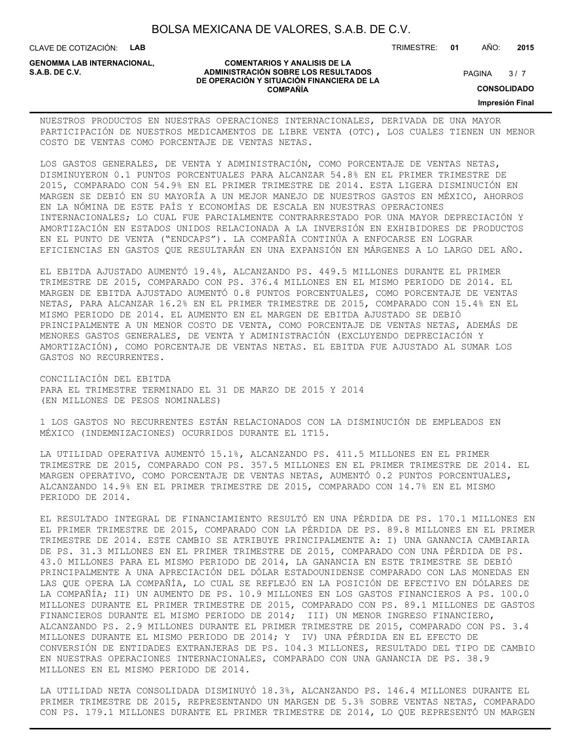CLAVE DE COTIZACIÓN: **LAB**

**GENOMMA LAB INTERNACIONAL,**

#### **COMENTARIOS Y ANALISIS DE LA ADMINISTRACIÓN SOBRE LOS RESULTADOS S.A.B. DE C.V.** PAGINA / 7 **DE OPERACIÓN Y SITUACIÓN FINANCIERA DE LA COMPAÑÍA**

 $3/7$ 

TRIMESTRE: **01** AÑO: **2015**

**CONSOLIDADO**

**Impresión Final**

NUESTROS PRODUCTOS EN NUESTRAS OPERACIONES INTERNACIONALES, DERIVADA DE UNA MAYOR PARTICIPACIÓN DE NUESTROS MEDICAMENTOS DE LIBRE VENTA (OTC), LOS CUALES TIENEN UN MENOR COSTO DE VENTAS COMO PORCENTAJE DE VENTAS NETAS.

LOS GASTOS GENERALES, DE VENTA Y ADMINISTRACIÓN, COMO PORCENTAJE DE VENTAS NETAS, DISMINUYERON 0.1 PUNTOS PORCENTUALES PARA ALCANZAR 54.8% EN EL PRIMER TRIMESTRE DE 2015, COMPARADO CON 54.9% EN EL PRIMER TRIMESTRE DE 2014. ESTA LIGERA DISMINUCIÓN EN MARGEN SE DEBIÓ EN SU MAYORÍA A UN MEJOR MANEJO DE NUESTROS GASTOS EN MÉXICO, AHORROS EN LA NÓMINA DE ESTE PAÍS Y ECONOMÍAS DE ESCALA EN NUESTRAS OPERACIONES INTERNACIONALES; LO CUAL FUE PARCIALMENTE CONTRARRESTADO POR UNA MAYOR DEPRECIACIÓN Y AMORTIZACIÓN EN ESTADOS UNIDOS RELACIONADA A LA INVERSIÓN EN EXHIBIDORES DE PRODUCTOS EN EL PUNTO DE VENTA ("ENDCAPS"). LA COMPAÑÍA CONTINÚA A ENFOCARSE EN LOGRAR EFICIENCIAS EN GASTOS QUE RESULTARÁN EN UNA EXPANSIÓN EN MÁRGENES A LO LARGO DEL AÑO.

EL EBITDA AJUSTADO AUMENTÓ 19.4%, ALCANZANDO PS. 449.5 MILLONES DURANTE EL PRIMER TRIMESTRE DE 2015, COMPARADO CON PS. 376.4 MILLONES EN EL MISMO PERIODO DE 2014. EL MARGEN DE EBITDA AJUSTADO AUMENTÓ 0.8 PUNTOS PORCENTUALES, COMO PORCENTAJE DE VENTAS NETAS, PARA ALCANZAR 16.2% EN EL PRIMER TRIMESTRE DE 2015, COMPARADO CON 15.4% EN EL MISMO PERIODO DE 2014. EL AUMENTO EN EL MARGEN DE EBITDA AJUSTADO SE DEBIÓ PRINCIPALMENTE A UN MENOR COSTO DE VENTA, COMO PORCENTAJE DE VENTAS NETAS, ADEMÁS DE MENORES GASTOS GENERALES, DE VENTA Y ADMINISTRACIÓN (EXCLUYENDO DEPRECIACIÓN Y AMORTIZACIÓN), COMO PORCENTAJE DE VENTAS NETAS. EL EBITDA FUE AJUSTADO AL SUMAR LOS GASTOS NO RECURRENTES.

CONCILIACIÓN DEL EBITDA PARA EL TRIMESTRE TERMINADO EL 31 DE MARZO DE 2015 Y 2014 (EN MILLONES DE PESOS NOMINALES)

1 LOS GASTOS NO RECURRENTES ESTÁN RELACIONADOS CON LA DISMINUCIÓN DE EMPLEADOS EN MÉXICO (INDEMNIZACIONES) OCURRIDOS DURANTE EL 1T15.

LA UTILIDAD OPERATIVA AUMENTÓ 15.1%, ALCANZANDO PS. 411.5 MILLONES EN EL PRIMER TRIMESTRE DE 2015, COMPARADO CON PS. 357.5 MILLONES EN EL PRIMER TRIMESTRE DE 2014. EL MARGEN OPERATIVO, COMO PORCENTAJE DE VENTAS NETAS, AUMENTÓ 0.2 PUNTOS PORCENTUALES, ALCANZANDO 14.9% EN EL PRIMER TRIMESTRE DE 2015, COMPARADO CON 14.7% EN EL MISMO PERIODO DE 2014.

EL RESULTADO INTEGRAL DE FINANCIAMIENTO RESULTÓ EN UNA PÉRDIDA DE PS. 170.1 MILLONES EN EL PRIMER TRIMESTRE DE 2015, COMPARADO CON LA PÉRDIDA DE PS. 89.8 MILLONES EN EL PRIMER TRIMESTRE DE 2014. ESTE CAMBIO SE ATRIBUYE PRINCIPALMENTE A: I) UNA GANANCIA CAMBIARIA DE PS. 31.3 MILLONES EN EL PRIMER TRIMESTRE DE 2015, COMPARADO CON UNA PÉRDIDA DE PS. 43.0 MILLONES PARA EL MISMO PERIODO DE 2014, LA GANANCIA EN ESTE TRIMESTRE SE DEBIÓ PRINCIPALMENTE A UNA APRECIACIÓN DEL DÓLAR ESTADOUNIDENSE COMPARADO CON LAS MONEDAS EN LAS QUE OPERA LA COMPAÑÍA, LO CUAL SE REFLEJÓ EN LA POSICIÓN DE EFECTIVO EN DÓLARES DE LA COMPAÑÍA; II) UN AUMENTO DE PS. 10.9 MILLONES EN LOS GASTOS FINANCIEROS A PS. 100.0 MILLONES DURANTE EL PRIMER TRIMESTRE DE 2015, COMPARADO CON PS. 89.1 MILLONES DE GASTOS FINANCIEROS DURANTE EL MISMO PERIODO DE 2014; III) UN MENOR INGRESO FINANCIERO, ALCANZANDO PS. 2.9 MILLONES DURANTE EL PRIMER TRIMESTRE DE 2015, COMPARADO CON PS. 3.4 MILLONES DURANTE EL MISMO PERIODO DE 2014; Y IV) UNA PÉRDIDA EN EL EFECTO DE CONVERSIÓN DE ENTIDADES EXTRANJERAS DE PS. 104.3 MILLONES, RESULTADO DEL TIPO DE CAMBIO EN NUESTRAS OPERACIONES INTERNACIONALES, COMPARADO CON UNA GANANCIA DE PS. 38.9 MILLONES EN EL MISMO PERIODO DE 2014.

LA UTILIDAD NETA CONSOLIDADA DISMINUYÓ 18.3%, ALCANZANDO PS. 146.4 MILLONES DURANTE EL PRIMER TRIMESTRE DE 2015, REPRESENTANDO UN MARGEN DE 5.3% SOBRE VENTAS NETAS, COMPARADO CON PS. 179.1 MILLONES DURANTE EL PRIMER TRIMESTRE DE 2014, LO QUE REPRESENTÓ UN MARGEN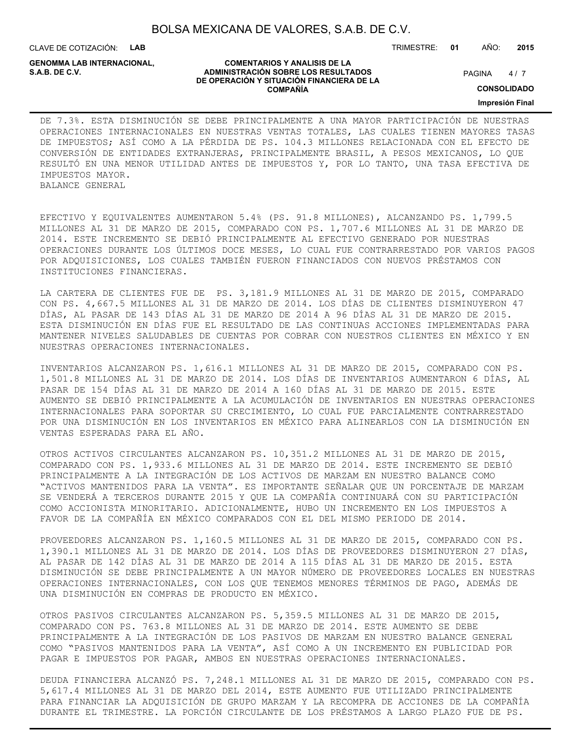CLAVE DE COTIZACIÓN: **LAB**

**GENOMMA LAB INTERNACIONAL,**

#### **COMENTARIOS Y ANALISIS DE LA ADMINISTRACIÓN SOBRE LOS RESULTADOS** PAGINA 4/7 **DE OPERACIÓN Y SITUACIÓN FINANCIERA DE LA COMPAÑÍA**

 $4/7$ 

TRIMESTRE: **01** AÑO: **2015**

**CONSOLIDADO**

**Impresión Final**

# DE 7.3%. ESTA DISMINUCIÓN SE DEBE PRINCIPALMENTE A UNA MAYOR PARTICIPACIÓN DE NUESTRAS OPERACIONES INTERNACIONALES EN NUESTRAS VENTAS TOTALES, LAS CUALES TIENEN MAYORES TASAS DE IMPUESTOS; ASÍ COMO A LA PÉRDIDA DE PS. 104.3 MILLONES RELACIONADA CON EL EFECTO DE CONVERSIÓN DE ENTIDADES EXTRANJERAS, PRINCIPALMENTE BRASIL, A PESOS MEXICANOS, LO QUE RESULTÓ EN UNA MENOR UTILIDAD ANTES DE IMPUESTOS Y, POR LO TANTO, UNA TASA EFECTIVA DE IMPUESTOS MAYOR. BALANCE GENERAL

EFECTIVO Y EQUIVALENTES AUMENTARON 5.4% (PS. 91.8 MILLONES), ALCANZANDO PS. 1,799.5 MILLONES AL 31 DE MARZO DE 2015, COMPARADO CON PS. 1,707.6 MILLONES AL 31 DE MARZO DE 2014. ESTE INCREMENTO SE DEBIÓ PRINCIPALMENTE AL EFECTIVO GENERADO POR NUESTRAS OPERACIONES DURANTE LOS ÚLTIMOS DOCE MESES, LO CUAL FUE CONTRARRESTADO POR VARIOS PAGOS POR ADQUISICIONES, LOS CUALES TAMBIÉN FUERON FINANCIADOS CON NUEVOS PRÉSTAMOS CON INSTITUCIONES FINANCIERAS.

LA CARTERA DE CLIENTES FUE DE PS. 3,181.9 MILLONES AL 31 DE MARZO DE 2015, COMPARADO CON PS. 4,667.5 MILLONES AL 31 DE MARZO DE 2014. LOS DÍAS DE CLIENTES DISMINUYERON 47 DÍAS, AL PASAR DE 143 DÍAS AL 31 DE MARZO DE 2014 A 96 DÍAS AL 31 DE MARZO DE 2015. ESTA DISMINUCIÓN EN DÍAS FUE EL RESULTADO DE LAS CONTINUAS ACCIONES IMPLEMENTADAS PARA MANTENER NIVELES SALUDABLES DE CUENTAS POR COBRAR CON NUESTROS CLIENTES EN MÉXICO Y EN NUESTRAS OPERACIONES INTERNACIONALES.

INVENTARIOS ALCANZARON PS. 1,616.1 MILLONES AL 31 DE MARZO DE 2015, COMPARADO CON PS. 1,501.8 MILLONES AL 31 DE MARZO DE 2014. LOS DÍAS DE INVENTARIOS AUMENTARON 6 DÍAS, AL PASAR DE 154 DÍAS AL 31 DE MARZO DE 2014 A 160 DÍAS AL 31 DE MARZO DE 2015. ESTE AUMENTO SE DEBIÓ PRINCIPALMENTE A LA ACUMULACIÓN DE INVENTARIOS EN NUESTRAS OPERACIONES INTERNACIONALES PARA SOPORTAR SU CRECIMIENTO, LO CUAL FUE PARCIALMENTE CONTRARRESTADO POR UNA DISMINUCIÓN EN LOS INVENTARIOS EN MÉXICO PARA ALINEARLOS CON LA DISMINUCIÓN EN VENTAS ESPERADAS PARA EL AÑO.

OTROS ACTIVOS CIRCULANTES ALCANZARON PS. 10,351.2 MILLONES AL 31 DE MARZO DE 2015, COMPARADO CON PS. 1,933.6 MILLONES AL 31 DE MARZO DE 2014. ESTE INCREMENTO SE DEBIÓ PRINCIPALMENTE A LA INTEGRACIÓN DE LOS ACTIVOS DE MARZAM EN NUESTRO BALANCE COMO "ACTIVOS MANTENIDOS PARA LA VENTA". ES IMPORTANTE SEÑALAR QUE UN PORCENTAJE DE MARZAM SE VENDERÁ A TERCEROS DURANTE 2015 Y QUE LA COMPAÑÍA CONTINUARÁ CON SU PARTICIPACIÓN COMO ACCIONISTA MINORITARIO. ADICIONALMENTE, HUBO UN INCREMENTO EN LOS IMPUESTOS A FAVOR DE LA COMPAÑÍA EN MÉXICO COMPARADOS CON EL DEL MISMO PERIODO DE 2014.

PROVEEDORES ALCANZARON PS. 1,160.5 MILLONES AL 31 DE MARZO DE 2015, COMPARADO CON PS. 1,390.1 MILLONES AL 31 DE MARZO DE 2014. LOS DÍAS DE PROVEEDORES DISMINUYERON 27 DÍAS, AL PASAR DE 142 DÍAS AL 31 DE MARZO DE 2014 A 115 DÍAS AL 31 DE MARZO DE 2015. ESTA DISMINUCIÓN SE DEBE PRINCIPALMENTE A UN MAYOR NÚMERO DE PROVEEDORES LOCALES EN NUESTRAS OPERACIONES INTERNACIONALES, CON LOS QUE TENEMOS MENORES TÉRMINOS DE PAGO, ADEMÁS DE UNA DISMINUCIÓN EN COMPRAS DE PRODUCTO EN MÉXICO.

OTROS PASIVOS CIRCULANTES ALCANZARON PS. 5,359.5 MILLONES AL 31 DE MARZO DE 2015, COMPARADO CON PS. 763.8 MILLONES AL 31 DE MARZO DE 2014. ESTE AUMENTO SE DEBE PRINCIPALMENTE A LA INTEGRACIÓN DE LOS PASIVOS DE MARZAM EN NUESTRO BALANCE GENERAL COMO "PASIVOS MANTENIDOS PARA LA VENTA", ASÍ COMO A UN INCREMENTO EN PUBLICIDAD POR PAGAR E IMPUESTOS POR PAGAR, AMBOS EN NUESTRAS OPERACIONES INTERNACIONALES.

DEUDA FINANCIERA ALCANZÓ PS. 7,248.1 MILLONES AL 31 DE MARZO DE 2015, COMPARADO CON PS. 5,617.4 MILLONES AL 31 DE MARZO DEL 2014, ESTE AUMENTO FUE UTILIZADO PRINCIPALMENTE PARA FINANCIAR LA ADQUISICIÓN DE GRUPO MARZAM Y LA RECOMPRA DE ACCIONES DE LA COMPAÑÍA DURANTE EL TRIMESTRE. LA PORCIÓN CIRCULANTE DE LOS PRÉSTAMOS A LARGO PLAZO FUE DE PS.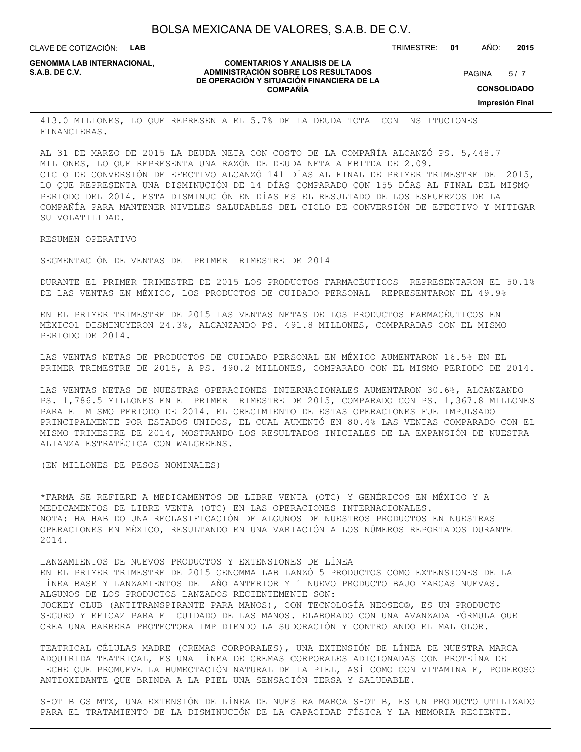CLAVE DE COTIZACIÓN: **LAB**

**GENOMMA LAB INTERNACIONAL,**

## **COMENTARIOS Y ANALISIS DE LA ADMINISTRACIÓN SOBRE LOS RESULTADOS S.A.B. DE C.V.** PAGINA / 7 **DE OPERACIÓN Y SITUACIÓN FINANCIERA DE LA COMPAÑÍA**

 $5/7$ 

TRIMESTRE: **01** AÑO: **2015**

**CONSOLIDADO**

**Impresión Final**

413.0 MILLONES, LO QUE REPRESENTA EL 5.7% DE LA DEUDA TOTAL CON INSTITUCIONES FINANCIERAS.

AL 31 DE MARZO DE 2015 LA DEUDA NETA CON COSTO DE LA COMPAÑÍA ALCANZÓ PS. 5,448.7 MILLONES, LO QUE REPRESENTA UNA RAZÓN DE DEUDA NETA A EBITDA DE 2.09. CICLO DE CONVERSIÓN DE EFECTIVO ALCANZÓ 141 DÍAS AL FINAL DE PRIMER TRIMESTRE DEL 2015, LO QUE REPRESENTA UNA DISMINUCIÓN DE 14 DÍAS COMPARADO CON 155 DÍAS AL FINAL DEL MISMO PERIODO DEL 2014. ESTA DISMINUCIÓN EN DÍAS ES EL RESULTADO DE LOS ESFUERZOS DE LA COMPAÑÍA PARA MANTENER NIVELES SALUDABLES DEL CICLO DE CONVERSIÓN DE EFECTIVO Y MITIGAR SU VOLATILIDAD.

RESUMEN OPERATIVO

SEGMENTACIÓN DE VENTAS DEL PRIMER TRIMESTRE DE 2014

DURANTE EL PRIMER TRIMESTRE DE 2015 LOS PRODUCTOS FARMACÉUTICOS REPRESENTARON EL 50.1% DE LAS VENTAS EN MÉXICO, LOS PRODUCTOS DE CUIDADO PERSONAL REPRESENTARON EL 49.9%

EN EL PRIMER TRIMESTRE DE 2015 LAS VENTAS NETAS DE LOS PRODUCTOS FARMACÉUTICOS EN MÉXICO1 DISMINUYERON 24.3%, ALCANZANDO PS. 491.8 MILLONES, COMPARADAS CON EL MISMO PERIODO DE 2014.

LAS VENTAS NETAS DE PRODUCTOS DE CUIDADO PERSONAL EN MÉXICO AUMENTARON 16.5% EN EL PRIMER TRIMESTRE DE 2015, A PS. 490.2 MILLONES, COMPARADO CON EL MISMO PERIODO DE 2014.

LAS VENTAS NETAS DE NUESTRAS OPERACIONES INTERNACIONALES AUMENTARON 30.6%, ALCANZANDO PS. 1,786.5 MILLONES EN EL PRIMER TRIMESTRE DE 2015, COMPARADO CON PS. 1,367.8 MILLONES PARA EL MISMO PERIODO DE 2014. EL CRECIMIENTO DE ESTAS OPERACIONES FUE IMPULSADO PRINCIPALMENTE POR ESTADOS UNIDOS, EL CUAL AUMENTÓ EN 80.4% LAS VENTAS COMPARADO CON EL MISMO TRIMESTRE DE 2014, MOSTRANDO LOS RESULTADOS INICIALES DE LA EXPANSIÓN DE NUESTRA ALIANZA ESTRATÉGICA CON WALGREENS.

(EN MILLONES DE PESOS NOMINALES)

\*FARMA SE REFIERE A MEDICAMENTOS DE LIBRE VENTA (OTC) Y GENÉRICOS EN MÉXICO Y A MEDICAMENTOS DE LIBRE VENTA (OTC) EN LAS OPERACIONES INTERNACIONALES. NOTA: HA HABIDO UNA RECLASIFICACIÓN DE ALGUNOS DE NUESTROS PRODUCTOS EN NUESTRAS OPERACIONES EN MÉXICO, RESULTANDO EN UNA VARIACIÓN A LOS NÚMEROS REPORTADOS DURANTE 2014.

LANZAMIENTOS DE NUEVOS PRODUCTOS Y EXTENSIONES DE LÍNEA EN EL PRIMER TRIMESTRE DE 2015 GENOMMA LAB LANZÓ 5 PRODUCTOS COMO EXTENSIONES DE LA LÍNEA BASE Y LANZAMIENTOS DEL AÑO ANTERIOR Y 1 NUEVO PRODUCTO BAJO MARCAS NUEVAS. ALGUNOS DE LOS PRODUCTOS LANZADOS RECIENTEMENTE SON: JOCKEY CLUB (ANTITRANSPIRANTE PARA MANOS), CON TECNOLOGÍA NEOSEC®, ES UN PRODUCTO SEGURO Y EFICAZ PARA EL CUIDADO DE LAS MANOS. ELABORADO CON UNA AVANZADA FÓRMULA QUE CREA UNA BARRERA PROTECTORA IMPIDIENDO LA SUDORACIÓN Y CONTROLANDO EL MAL OLOR.

TEATRICAL CÉLULAS MADRE (CREMAS CORPORALES), UNA EXTENSIÓN DE LÍNEA DE NUESTRA MARCA ADQUIRIDA TEATRICAL, ES UNA LÍNEA DE CREMAS CORPORALES ADICIONADAS CON PROTEÍNA DE LECHE QUE PROMUEVE LA HUMECTACIÓN NATURAL DE LA PIEL, ASÍ COMO CON VITAMINA E, PODEROSO ANTIOXIDANTE QUE BRINDA A LA PIEL UNA SENSACIÓN TERSA Y SALUDABLE.

SHOT B GS MTX, UNA EXTENSIÓN DE LÍNEA DE NUESTRA MARCA SHOT B, ES UN PRODUCTO UTILIZADO PARA EL TRATAMIENTO DE LA DISMINUCIÓN DE LA CAPACIDAD FÍSICA Y LA MEMORIA RECIENTE.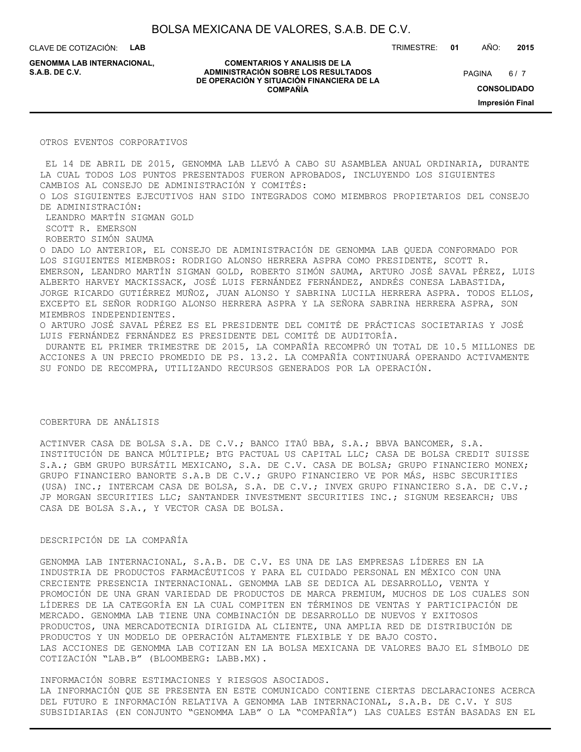CLAVE DE COTIZACIÓN: **LAB**

**GENOMMA LAB INTERNACIONAL,**

### **COMENTARIOS Y ANALISIS DE LA ADMINISTRACIÓN SOBRE LOS RESULTADOS S.A.B. DE C.V.** PAGINA / 7 **DE OPERACIÓN Y SITUACIÓN FINANCIERA DE LA COMPAÑÍA**

TRIMESTRE: **01** AÑO: **2015**

 $6/7$ 

**CONSOLIDADO**

**Impresión Final**

OTROS EVENTOS CORPORATIVOS

 EL 14 DE ABRIL DE 2015, GENOMMA LAB LLEVÓ A CABO SU ASAMBLEA ANUAL ORDINARIA, DURANTE LA CUAL TODOS LOS PUNTOS PRESENTADOS FUERON APROBADOS, INCLUYENDO LOS SIGUIENTES CAMBIOS AL CONSEJO DE ADMINISTRACIÓN Y COMITÉS: O LOS SIGUIENTES EJECUTIVOS HAN SIDO INTEGRADOS COMO MIEMBROS PROPIETARIOS DEL CONSEJO DE ADMINISTRACIÓN: LEANDRO MARTÍN SIGMAN GOLD SCOTT R. EMERSON ROBERTO SIMÓN SAUMA O DADO LO ANTERIOR, EL CONSEJO DE ADMINISTRACIÓN DE GENOMMA LAB QUEDA CONFORMADO POR LOS SIGUIENTES MIEMBROS: RODRIGO ALONSO HERRERA ASPRA COMO PRESIDENTE, SCOTT R. EMERSON, LEANDRO MARTÍN SIGMAN GOLD, ROBERTO SIMÓN SAUMA, ARTURO JOSÉ SAVAL PÉREZ, LUIS ALBERTO HARVEY MACKISSACK, JOSÉ LUIS FERNÁNDEZ FERNÁNDEZ, ANDRÉS CONESA LABASTIDA,

JORGE RICARDO GUTIÉRREZ MUÑOZ, JUAN ALONSO Y SABRINA LUCILA HERRERA ASPRA. TODOS ELLOS, EXCEPTO EL SEÑOR RODRIGO ALONSO HERRERA ASPRA Y LA SEÑORA SABRINA HERRERA ASPRA, SON MIEMBROS INDEPENDIENTES.

O ARTURO JOSÉ SAVAL PÉREZ ES EL PRESIDENTE DEL COMITÉ DE PRÁCTICAS SOCIETARIAS Y JOSÉ LUIS FERNÁNDEZ FERNÁNDEZ ES PRESIDENTE DEL COMITÉ DE AUDITORÍA.

 DURANTE EL PRIMER TRIMESTRE DE 2015, LA COMPAÑÍA RECOMPRÓ UN TOTAL DE 10.5 MILLONES DE ACCIONES A UN PRECIO PROMEDIO DE PS. 13.2. LA COMPAÑÍA CONTINUARÁ OPERANDO ACTIVAMENTE SU FONDO DE RECOMPRA, UTILIZANDO RECURSOS GENERADOS POR LA OPERACIÓN.

## COBERTURA DE ANÁLISIS

ACTINVER CASA DE BOLSA S.A. DE C.V.; BANCO ITAÚ BBA, S.A.; BBVA BANCOMER, S.A. INSTITUCIÓN DE BANCA MÚLTIPLE; BTG PACTUAL US CAPITAL LLC; CASA DE BOLSA CREDIT SUISSE S.A.; GBM GRUPO BURSÁTIL MEXICANO, S.A. DE C.V. CASA DE BOLSA; GRUPO FINANCIERO MONEX; GRUPO FINANCIERO BANORTE S.A.B DE C.V.; GRUPO FINANCIERO VE POR MÁS, HSBC SECURITIES (USA) INC.; INTERCAM CASA DE BOLSA, S.A. DE C.V.; INVEX GRUPO FINANCIERO S.A. DE C.V.; JP MORGAN SECURITIES LLC; SANTANDER INVESTMENT SECURITIES INC.; SIGNUM RESEARCH; UBS CASA DE BOLSA S.A., Y VECTOR CASA DE BOLSA.

## DESCRIPCIÓN DE LA COMPAÑÍA

GENOMMA LAB INTERNACIONAL, S.A.B. DE C.V. ES UNA DE LAS EMPRESAS LÍDERES EN LA INDUSTRIA DE PRODUCTOS FARMACÉUTICOS Y PARA EL CUIDADO PERSONAL EN MÉXICO CON UNA CRECIENTE PRESENCIA INTERNACIONAL. GENOMMA LAB SE DEDICA AL DESARROLLO, VENTA Y PROMOCIÓN DE UNA GRAN VARIEDAD DE PRODUCTOS DE MARCA PREMIUM, MUCHOS DE LOS CUALES SON LÍDERES DE LA CATEGORÍA EN LA CUAL COMPITEN EN TÉRMINOS DE VENTAS Y PARTICIPACIÓN DE MERCADO. GENOMMA LAB TIENE UNA COMBINACIÓN DE DESARROLLO DE NUEVOS Y EXITOSOS PRODUCTOS, UNA MERCADOTECNIA DIRIGIDA AL CLIENTE, UNA AMPLIA RED DE DISTRIBUCIÓN DE PRODUCTOS Y UN MODELO DE OPERACIÓN ALTAMENTE FLEXIBLE Y DE BAJO COSTO. LAS ACCIONES DE GENOMMA LAB COTIZAN EN LA BOLSA MEXICANA DE VALORES BAJO EL SÍMBOLO DE COTIZACIÓN "LAB.B" (BLOOMBERG: LABB.MX).

# INFORMACIÓN SOBRE ESTIMACIONES Y RIESGOS ASOCIADOS.

LA INFORMACIÓN QUE SE PRESENTA EN ESTE COMUNICADO CONTIENE CIERTAS DECLARACIONES ACERCA DEL FUTURO E INFORMACIÓN RELATIVA A GENOMMA LAB INTERNACIONAL, S.A.B. DE C.V. Y SUS SUBSIDIARIAS (EN CONJUNTO "GENOMMA LAB" O LA "COMPAÑÍA") LAS CUALES ESTÁN BASADAS EN EL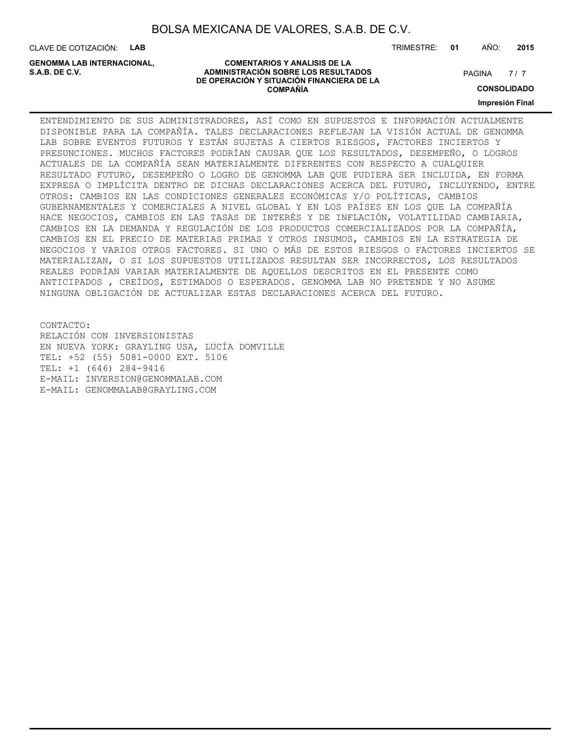CLAVE DE COTIZACIÓN: **LAB**

**ADMINISTRACIÓN SOBRE LOS RESULTADOS S.A.B. DE C.V.** PAGINA / 7 **GENOMMA LAB INTERNACIONAL,**

TRIMESTRE: **01** AÑO: **2015**

 $7/7$ 

**DE OPERACIÓN Y SITUACIÓN FINANCIERA DE LA COMPAÑÍA**

**COMENTARIOS Y ANALISIS DE LA**

**CONSOLIDADO**

**Impresión Final**

ENTENDIMIENTO DE SUS ADMINISTRADORES, ASÍ COMO EN SUPUESTOS E INFORMACIÓN ACTUALMENTE DISPONIBLE PARA LA COMPAÑÍA. TALES DECLARACIONES REFLEJAN LA VISIÓN ACTUAL DE GENOMMA LAB SOBRE EVENTOS FUTUROS Y ESTÁN SUJETAS A CIERTOS RIESGOS, FACTORES INCIERTOS Y PRESUNCIONES. MUCHOS FACTORES PODRÍAN CAUSAR QUE LOS RESULTADOS, DESEMPEÑO, O LOGROS ACTUALES DE LA COMPAÑÍA SEAN MATERIALMENTE DIFERENTES CON RESPECTO A CUALQUIER RESULTADO FUTURO, DESEMPEÑO O LOGRO DE GENOMMA LAB QUE PUDIERA SER INCLUIDA, EN FORMA EXPRESA O IMPLÍCITA DENTRO DE DICHAS DECLARACIONES ACERCA DEL FUTURO, INCLUYENDO, ENTRE OTROS: CAMBIOS EN LAS CONDICIONES GENERALES ECONÓMICAS Y/O POLÍTICAS, CAMBIOS GUBERNAMENTALES Y COMERCIALES A NIVEL GLOBAL Y EN LOS PAÍSES EN LOS QUE LA COMPAÑÍA HACE NEGOCIOS, CAMBIOS EN LAS TASAS DE INTERÉS Y DE INFLACIÓN, VOLATILIDAD CAMBIARIA, CAMBIOS EN LA DEMANDA Y REGULACIÓN DE LOS PRODUCTOS COMERCIALIZADOS POR LA COMPAÑÍA, CAMBIOS EN EL PRECIO DE MATERIAS PRIMAS Y OTROS INSUMOS, CAMBIOS EN LA ESTRATEGIA DE NEGOCIOS Y VARIOS OTROS FACTORES. SI UNO O MÁS DE ESTOS RIESGOS O FACTORES INCIERTOS SE MATERIALIZAN, O SI LOS SUPUESTOS UTILIZADOS RESULTAN SER INCORRECTOS, LOS RESULTADOS REALES PODRÍAN VARIAR MATERIALMENTE DE AQUELLOS DESCRITOS EN EL PRESENTE COMO ANTICIPADOS , CREÍDOS, ESTIMADOS O ESPERADOS. GENOMMA LAB NO PRETENDE Y NO ASUME NINGUNA OBLIGACIÓN DE ACTUALIZAR ESTAS DECLARACIONES ACERCA DEL FUTURO.

CONTACTO:

RELACIÓN CON INVERSIONISTAS EN NUEVA YORK: GRAYLING USA, LUCÍA DOMVILLE TEL: +52 (55) 5081-0000 EXT. 5106 TEL: +1 (646) 284-9416 E-MAIL: INVERSION@GENOMMALAB.COM E-MAIL: GENOMMALAB@GRAYLING.COM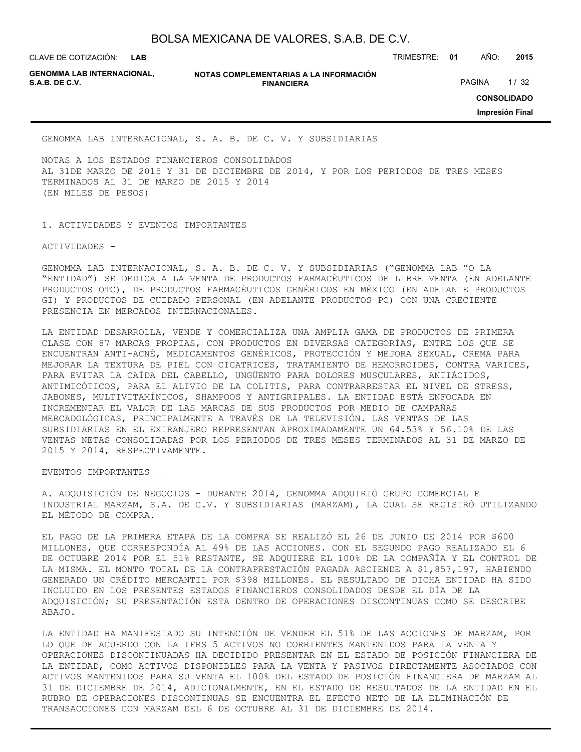**LAB GENOMMA LAB INTERNACIONAL,**

**NOTAS COMPLEMENTARIAS A LA INFORMACIÓN FINANCIERA S.A.B. DE C.V.** PAGINA 1/32

CLAVE DE COTIZACIÓN: TRIMESTRE: **01** AÑO: **2015**

**CONSOLIDADO**

**Impresión Final**

GENOMMA LAB INTERNACIONAL, S. A. B. DE C. V. Y SUBSIDIARIAS

NOTAS A LOS ESTADOS FINANCIEROS CONSOLIDADOS AL 31DE MARZO DE 2015 Y 31 DE DICIEMBRE DE 2014, Y POR LOS PERIODOS DE TRES MESES TERMINADOS AL 31 DE MARZO DE 2015 Y 2014 (EN MILES DE PESOS)

1. ACTIVIDADES Y EVENTOS IMPORTANTES

ACTIVIDADES -

GENOMMA LAB INTERNACIONAL, S. A. B. DE C. V. Y SUBSIDIARIAS ("GENOMMA LAB "O LA "ENTIDAD") SE DEDICA A LA VENTA DE PRODUCTOS FARMACÉUTICOS DE LIBRE VENTA (EN ADELANTE PRODUCTOS OTC), DE PRODUCTOS FARMACÉUTICOS GENÉRICOS EN MÉXICO (EN ADELANTE PRODUCTOS GI) Y PRODUCTOS DE CUIDADO PERSONAL (EN ADELANTE PRODUCTOS PC) CON UNA CRECIENTE PRESENCIA EN MERCADOS INTERNACIONALES.

LA ENTIDAD DESARROLLA, VENDE Y COMERCIALIZA UNA AMPLIA GAMA DE PRODUCTOS DE PRIMERA CLASE CON 87 MARCAS PROPIAS, CON PRODUCTOS EN DIVERSAS CATEGORÍAS, ENTRE LOS QUE SE ENCUENTRAN ANTI-ACNÉ, MEDICAMENTOS GENÉRICOS, PROTECCIÓN Y MEJORA SEXUAL, CREMA PARA MEJORAR LA TEXTURA DE PIEL CON CICATRICES, TRATAMIENTO DE HEMORROIDES, CONTRA VARICES, PARA EVITAR LA CAÍDA DEL CABELLO, UNGÜENTO PARA DOLORES MUSCULARES, ANTIÁCIDOS, ANTIMICÓTICOS, PARA EL ALIVIO DE LA COLITIS, PARA CONTRARRESTAR EL NIVEL DE STRESS, JABONES, MULTIVITAMÍNICOS, SHAMPOOS Y ANTIGRIPALES. LA ENTIDAD ESTÁ ENFOCADA EN INCREMENTAR EL VALOR DE LAS MARCAS DE SUS PRODUCTOS POR MEDIO DE CAMPAÑAS MERCADOLÓGICAS, PRINCIPALMENTE A TRAVÉS DE LA TELEVISIÓN. LAS VENTAS DE LAS SUBSIDIARIAS EN EL EXTRANJERO REPRESENTAN APROXIMADAMENTE UN 64.53% Y 56.10% DE LAS VENTAS NETAS CONSOLIDADAS POR LOS PERIODOS DE TRES MESES TERMINADOS AL 31 DE MARZO DE 2015 Y 2014, RESPECTIVAMENTE.

EVENTOS IMPORTANTES –

A. ADQUISICIÓN DE NEGOCIOS - DURANTE 2014, GENOMMA ADQUIRIÓ GRUPO COMERCIAL E INDUSTRIAL MARZAM, S.A. DE C.V. Y SUBSIDIARIAS (MARZAM), LA CUAL SE REGISTRÓ UTILIZANDO EL MÉTODO DE COMPRA.

EL PAGO DE LA PRIMERA ETAPA DE LA COMPRA SE REALIZÓ EL 26 DE JUNIO DE 2014 POR \$600 MILLONES, QUE CORRESPONDÍA AL 49% DE LAS ACCIONES. CON EL SEGUNDO PAGO REALIZADO EL 6 DE OCTUBRE 2014 POR EL 51% RESTANTE, SE ADQUIERE EL 100% DE LA COMPAÑÍA Y EL CONTROL DE LA MISMA. EL MONTO TOTAL DE LA CONTRAPRESTACIÓN PAGADA ASCIENDE A \$1,857,197, HABIENDO GENERADO UN CRÉDITO MERCANTIL POR \$398 MILLONES. EL RESULTADO DE DICHA ENTIDAD HA SIDO INCLUIDO EN LOS PRESENTES ESTADOS FINANCIEROS CONSOLIDADOS DESDE EL DÍA DE LA ADQUISICIÓN; SU PRESENTACIÓN ESTA DENTRO DE OPERACIONES DISCONTINUAS COMO SE DESCRIBE ABAJO.

LA ENTIDAD HA MANIFESTADO SU INTENCIÓN DE VENDER EL 51% DE LAS ACCIONES DE MARZAM, POR LO QUE DE ACUERDO CON LA IFRS 5 ACTIVOS NO CORRIENTES MANTENIDOS PARA LA VENTA Y OPERACIONES DISCONTINUADAS HA DECIDIDO PRESENTAR EN EL ESTADO DE POSICIÓN FINANCIERA DE LA ENTIDAD, COMO ACTIVOS DISPONIBLES PARA LA VENTA Y PASIVOS DIRECTAMENTE ASOCIADOS CON ACTIVOS MANTENIDOS PARA SU VENTA EL 100% DEL ESTADO DE POSICIÓN FINANCIERA DE MARZAM AL 31 DE DICIEMBRE DE 2014, ADICIONALMENTE, EN EL ESTADO DE RESULTADOS DE LA ENTIDAD EN EL RUBRO DE OPERACIONES DISCONTINUAS SE ENCUENTRA EL EFECTO NETO DE LA ELIMINACIÓN DE TRANSACCIONES CON MARZAM DEL 6 DE OCTUBRE AL 31 DE DICIEMBRE DE 2014.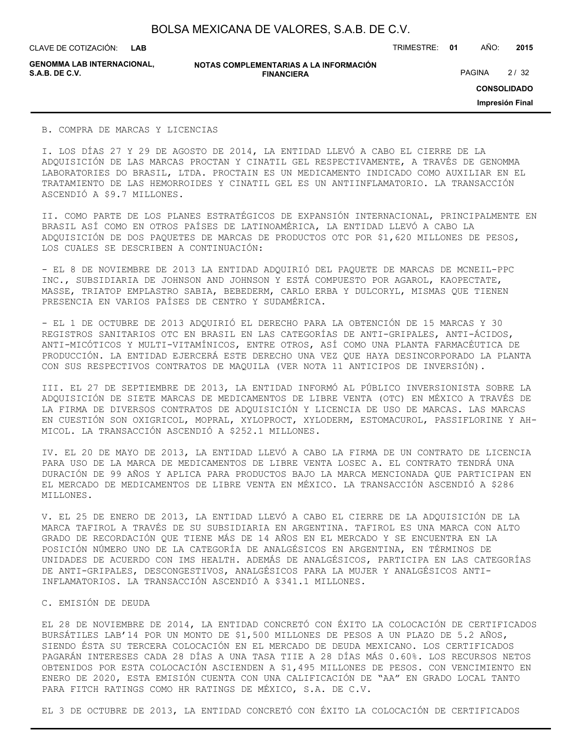**LAB**

CLAVE DE COTIZACIÓN: TRIMESTRE: **01** AÑO: **2015**

**GENOMMA LAB INTERNACIONAL,**

**NOTAS COMPLEMENTARIAS A LA INFORMACIÓN FINANCIERA S.A.B. DE C.V.** PAGINA 2 / 32

**CONSOLIDADO**

**Impresión Final**

B. COMPRA DE MARCAS Y LICENCIAS

I. LOS DÍAS 27 Y 29 DE AGOSTO DE 2014, LA ENTIDAD LLEVÓ A CABO EL CIERRE DE LA ADQUISICIÓN DE LAS MARCAS PROCTAN Y CINATIL GEL RESPECTIVAMENTE, A TRAVÉS DE GENOMMA LABORATORIES DO BRASIL, LTDA. PROCTAIN ES UN MEDICAMENTO INDICADO COMO AUXILIAR EN EL TRATAMIENTO DE LAS HEMORROIDES Y CINATIL GEL ES UN ANTIINFLAMATORIO. LA TRANSACCIÓN ASCENDIÓ A \$9.7 MILLONES.

II. COMO PARTE DE LOS PLANES ESTRATÉGICOS DE EXPANSIÓN INTERNACIONAL, PRINCIPALMENTE EN BRASIL ASÍ COMO EN OTROS PAÍSES DE LATINOAMÉRICA, LA ENTIDAD LLEVÓ A CABO LA ADQUISICIÓN DE DOS PAQUETES DE MARCAS DE PRODUCTOS OTC POR \$1,620 MILLONES DE PESOS, LOS CUALES SE DESCRIBEN A CONTINUACIÓN:

- EL 8 DE NOVIEMBRE DE 2013 LA ENTIDAD ADQUIRIÓ DEL PAQUETE DE MARCAS DE MCNEIL-PPC INC., SUBSIDIARIA DE JOHNSON AND JOHNSON Y ESTÁ COMPUESTO POR AGAROL, KAOPECTATE, MASSE, TRIATOP EMPLASTRO SABIA, BEBEDERM, CARLO ERBA Y DULCORYL, MISMAS QUE TIENEN PRESENCIA EN VARIOS PAÍSES DE CENTRO Y SUDAMÉRICA.

- EL 1 DE OCTUBRE DE 2013 ADQUIRIÓ EL DERECHO PARA LA OBTENCIÓN DE 15 MARCAS Y 30 REGISTROS SANITARIOS OTC EN BRASIL EN LAS CATEGORÍAS DE ANTI-GRIPALES, ANTI-ÁCIDOS, ANTI-MICÓTICOS Y MULTI-VITAMÍNICOS, ENTRE OTROS, ASÍ COMO UNA PLANTA FARMACÉUTICA DE PRODUCCIÓN. LA ENTIDAD EJERCERÁ ESTE DERECHO UNA VEZ QUE HAYA DESINCORPORADO LA PLANTA CON SUS RESPECTIVOS CONTRATOS DE MAQUILA (VER NOTA 11 ANTICIPOS DE INVERSIÓN).

III. EL 27 DE SEPTIEMBRE DE 2013, LA ENTIDAD INFORMÓ AL PÚBLICO INVERSIONISTA SOBRE LA ADQUISICIÓN DE SIETE MARCAS DE MEDICAMENTOS DE LIBRE VENTA (OTC) EN MÉXICO A TRAVÉS DE LA FIRMA DE DIVERSOS CONTRATOS DE ADQUISICIÓN Y LICENCIA DE USO DE MARCAS. LAS MARCAS EN CUESTIÓN SON OXIGRICOL, MOPRAL, XYLOPROCT, XYLODERM, ESTOMACUROL, PASSIFLORINE Y AH-MICOL. LA TRANSACCIÓN ASCENDIÓ A \$252.1 MILLONES.

IV. EL 20 DE MAYO DE 2013, LA ENTIDAD LLEVÓ A CABO LA FIRMA DE UN CONTRATO DE LICENCIA PARA USO DE LA MARCA DE MEDICAMENTOS DE LIBRE VENTA LOSEC A. EL CONTRATO TENDRÁ UNA DURACIÓN DE 99 AÑOS Y APLICA PARA PRODUCTOS BAJO LA MARCA MENCIONADA QUE PARTICIPAN EN EL MERCADO DE MEDICAMENTOS DE LIBRE VENTA EN MÉXICO. LA TRANSACCIÓN ASCENDIÓ A \$286 MILLONES.

V. EL 25 DE ENERO DE 2013, LA ENTIDAD LLEVÓ A CABO EL CIERRE DE LA ADQUISICIÓN DE LA MARCA TAFIROL A TRAVÉS DE SU SUBSIDIARIA EN ARGENTINA. TAFIROL ES UNA MARCA CON ALTO GRADO DE RECORDACIÓN QUE TIENE MÁS DE 14 AÑOS EN EL MERCADO Y SE ENCUENTRA EN LA POSICIÓN NÚMERO UNO DE LA CATEGORÍA DE ANALGÉSICOS EN ARGENTINA, EN TÉRMINOS DE UNIDADES DE ACUERDO CON IMS HEALTH. ADEMÁS DE ANALGÉSICOS, PARTICIPA EN LAS CATEGORÍAS DE ANTI-GRIPALES, DESCONGESTIVOS, ANALGÉSICOS PARA LA MUJER Y ANALGÉSICOS ANTI-INFLAMATORIOS. LA TRANSACCIÓN ASCENDIÓ A \$341.1 MILLONES.

#### C. EMISIÓN DE DEUDA

EL 28 DE NOVIEMBRE DE 2014, LA ENTIDAD CONCRETÓ CON ÉXITO LA COLOCACIÓN DE CERTIFICADOS BURSÁTILES LAB'14 POR UN MONTO DE \$1,500 MILLONES DE PESOS A UN PLAZO DE 5.2 AÑOS, SIENDO ÉSTA SU TERCERA COLOCACIÓN EN EL MERCADO DE DEUDA MEXICANO. LOS CERTIFICADOS PAGARÁN INTERESES CADA 28 DÍAS A UNA TASA TIIE A 28 DÍAS MÁS 0.60%. LOS RECURSOS NETOS OBTENIDOS POR ESTA COLOCACIÓN ASCIENDEN A \$1,495 MILLONES DE PESOS. CON VENCIMIENTO EN ENERO DE 2020, ESTA EMISIÓN CUENTA CON UNA CALIFICACIÓN DE "AA" EN GRADO LOCAL TANTO PARA FITCH RATINGS COMO HR RATINGS DE MÉXICO, S.A. DE C.V.

EL 3 DE OCTUBRE DE 2013, LA ENTIDAD CONCRETÓ CON ÉXITO LA COLOCACIÓN DE CERTIFICADOS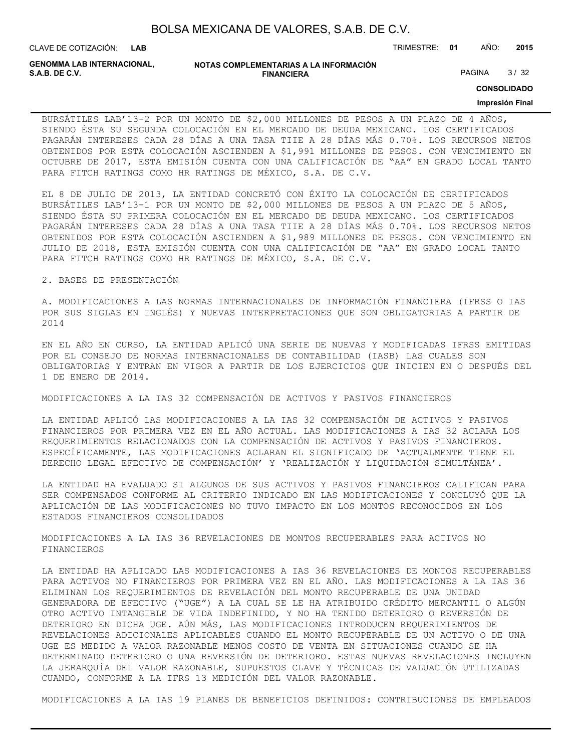CLAVE DE COTIZACIÓN: TRIMESTRE: **01** AÑO: **2015 LAB**

**GENOMMA LAB INTERNACIONAL,**

#### **NOTAS COMPLEMENTARIAS A LA INFORMACIÓN FINANCIERA S.A.B. DE C.V.** PAGINA 3 / 32

**CONSOLIDADO**

#### **Impresión Final**

BURSÁTILES LAB'13-2 POR UN MONTO DE \$2,000 MILLONES DE PESOS A UN PLAZO DE 4 AÑOS, SIENDO ÉSTA SU SEGUNDA COLOCACIÓN EN EL MERCADO DE DEUDA MEXICANO. LOS CERTIFICADOS PAGARÁN INTERESES CADA 28 DÍAS A UNA TASA TIIE A 28 DÍAS MÁS 0.70%. LOS RECURSOS NETOS OBTENIDOS POR ESTA COLOCACIÓN ASCIENDEN A \$1,991 MILLONES DE PESOS. CON VENCIMIENTO EN OCTUBRE DE 2017, ESTA EMISIÓN CUENTA CON UNA CALIFICACIÓN DE "AA" EN GRADO LOCAL TANTO PARA FITCH RATINGS COMO HR RATINGS DE MÉXICO, S.A. DE C.V.

EL 8 DE JULIO DE 2013, LA ENTIDAD CONCRETÓ CON ÉXITO LA COLOCACIÓN DE CERTIFICADOS BURSÁTILES LAB'13-1 POR UN MONTO DE \$2,000 MILLONES DE PESOS A UN PLAZO DE 5 AÑOS, SIENDO ÉSTA SU PRIMERA COLOCACIÓN EN EL MERCADO DE DEUDA MEXICANO. LOS CERTIFICADOS PAGARÁN INTERESES CADA 28 DÍAS A UNA TASA TIIE A 28 DÍAS MÁS 0.70%. LOS RECURSOS NETOS OBTENIDOS POR ESTA COLOCACIÓN ASCIENDEN A \$1,989 MILLONES DE PESOS. CON VENCIMIENTO EN JULIO DE 2018, ESTA EMISIÓN CUENTA CON UNA CALIFICACIÓN DE "AA" EN GRADO LOCAL TANTO PARA FITCH RATINGS COMO HR RATINGS DE MÉXICO, S.A. DE C.V.

2. BASES DE PRESENTACIÓN

A. MODIFICACIONES A LAS NORMAS INTERNACIONALES DE INFORMACIÓN FINANCIERA (IFRSS O IAS POR SUS SIGLAS EN INGLÉS) Y NUEVAS INTERPRETACIONES QUE SON OBLIGATORIAS A PARTIR DE 2014

EN EL AÑO EN CURSO, LA ENTIDAD APLICÓ UNA SERIE DE NUEVAS Y MODIFICADAS IFRSS EMITIDAS POR EL CONSEJO DE NORMAS INTERNACIONALES DE CONTABILIDAD (IASB) LAS CUALES SON OBLIGATORIAS Y ENTRAN EN VIGOR A PARTIR DE LOS EJERCICIOS QUE INICIEN EN O DESPUÉS DEL 1 DE ENERO DE 2014.

MODIFICACIONES A LA IAS 32 COMPENSACIÓN DE ACTIVOS Y PASIVOS FINANCIEROS

LA ENTIDAD APLICÓ LAS MODIFICACIONES A LA IAS 32 COMPENSACIÓN DE ACTIVOS Y PASIVOS FINANCIEROS POR PRIMERA VEZ EN EL AÑO ACTUAL. LAS MODIFICACIONES A IAS 32 ACLARA LOS REQUERIMIENTOS RELACIONADOS CON LA COMPENSACIÓN DE ACTIVOS Y PASIVOS FINANCIEROS. ESPECÍFICAMENTE, LAS MODIFICACIONES ACLARAN EL SIGNIFICADO DE 'ACTUALMENTE TIENE EL DERECHO LEGAL EFECTIVO DE COMPENSACIÓN' Y 'REALIZACIÓN Y LIQUIDACIÓN SIMULTÁNEA'.

LA ENTIDAD HA EVALUADO SI ALGUNOS DE SUS ACTIVOS Y PASIVOS FINANCIEROS CALIFICAN PARA SER COMPENSADOS CONFORME AL CRITERIO INDICADO EN LAS MODIFICACIONES Y CONCLUYÓ QUE LA APLICACIÓN DE LAS MODIFICACIONES NO TUVO IMPACTO EN LOS MONTOS RECONOCIDOS EN LOS ESTADOS FINANCIEROS CONSOLIDADOS

MODIFICACIONES A LA IAS 36 REVELACIONES DE MONTOS RECUPERABLES PARA ACTIVOS NO FINANCIEROS

LA ENTIDAD HA APLICADO LAS MODIFICACIONES A IAS 36 REVELACIONES DE MONTOS RECUPERABLES PARA ACTIVOS NO FINANCIEROS POR PRIMERA VEZ EN EL AÑO. LAS MODIFICACIONES A LA IAS 36 ELIMINAN LOS REQUERIMIENTOS DE REVELACIÓN DEL MONTO RECUPERABLE DE UNA UNIDAD GENERADORA DE EFECTIVO ("UGE") A LA CUAL SE LE HA ATRIBUIDO CRÉDITO MERCANTIL O ALGÚN OTRO ACTIVO INTANGIBLE DE VIDA INDEFINIDO, Y NO HA TENIDO DETERIORO O REVERSIÓN DE DETERIORO EN DICHA UGE. AÚN MÁS, LAS MODIFICACIONES INTRODUCEN REQUERIMIENTOS DE REVELACIONES ADICIONALES APLICABLES CUANDO EL MONTO RECUPERABLE DE UN ACTIVO O DE UNA UGE ES MEDIDO A VALOR RAZONABLE MENOS COSTO DE VENTA EN SITUACIONES CUANDO SE HA DETERMINADO DETERIORO O UNA REVERSIÓN DE DETERIORO. ESTAS NUEVAS REVELACIONES INCLUYEN LA JERARQUÍA DEL VALOR RAZONABLE, SUPUESTOS CLAVE Y TÉCNICAS DE VALUACIÓN UTILIZADAS CUANDO, CONFORME A LA IFRS 13 MEDICIÓN DEL VALOR RAZONABLE.

MODIFICACIONES A LA IAS 19 PLANES DE BENEFICIOS DEFINIDOS: CONTRIBUCIONES DE EMPLEADOS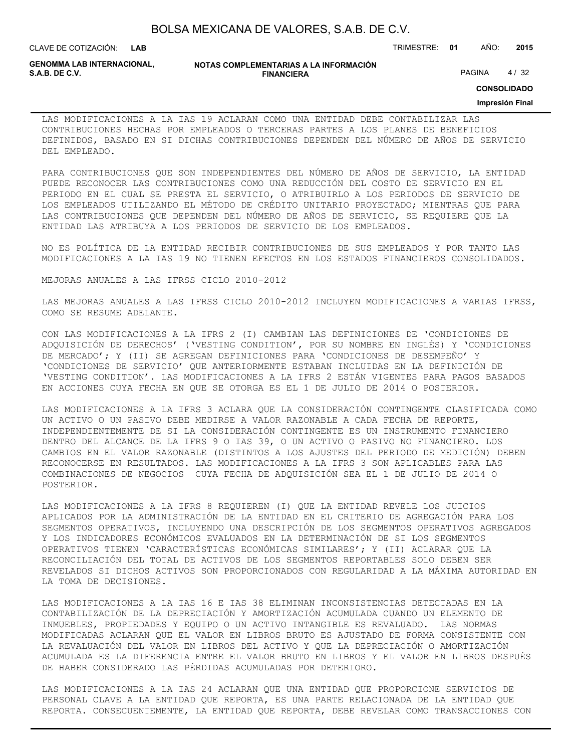| BOLSA MEXICANA DE VALORES, S.A.B. DE C.V. |  |  |
|-------------------------------------------|--|--|
|-------------------------------------------|--|--|

**LAB**

CLAVE DE COTIZACIÓN: TRIMESTRE: **01** AÑO: **2015**

**GENOMMA LAB INTERNACIONAL,**

**NOTAS COMPLEMENTARIAS A LA INFORMACIÓN FINANCIERA S.A.B. DE C.V.** PAGINA 4 / 32

**CONSOLIDADO**

#### **Impresión Final**

LAS MODIFICACIONES A LA IAS 19 ACLARAN COMO UNA ENTIDAD DEBE CONTABILIZAR LAS CONTRIBUCIONES HECHAS POR EMPLEADOS O TERCERAS PARTES A LOS PLANES DE BENEFICIOS DEFINIDOS, BASADO EN SI DICHAS CONTRIBUCIONES DEPENDEN DEL NÚMERO DE AÑOS DE SERVICIO DEL EMPLEADO.

PARA CONTRIBUCIONES QUE SON INDEPENDIENTES DEL NÚMERO DE AÑOS DE SERVICIO, LA ENTIDAD PUEDE RECONOCER LAS CONTRIBUCIONES COMO UNA REDUCCIÓN DEL COSTO DE SERVICIO EN EL PERIODO EN EL CUAL SE PRESTA EL SERVICIO, O ATRIBUIRLO A LOS PERIODOS DE SERVICIO DE LOS EMPLEADOS UTILIZANDO EL MÉTODO DE CRÉDITO UNITARIO PROYECTADO; MIENTRAS QUE PARA LAS CONTRIBUCIONES QUE DEPENDEN DEL NÚMERO DE AÑOS DE SERVICIO, SE REQUIERE QUE LA ENTIDAD LAS ATRIBUYA A LOS PERIODOS DE SERVICIO DE LOS EMPLEADOS.

NO ES POLÍTICA DE LA ENTIDAD RECIBIR CONTRIBUCIONES DE SUS EMPLEADOS Y POR TANTO LAS MODIFICACIONES A LA IAS 19 NO TIENEN EFECTOS EN LOS ESTADOS FINANCIEROS CONSOLIDADOS.

MEJORAS ANUALES A LAS IFRSS CICLO 2010-2012

LAS MEJORAS ANUALES A LAS IFRSS CICLO 2010-2012 INCLUYEN MODIFICACIONES A VARIAS IFRSS, COMO SE RESUME ADELANTE.

CON LAS MODIFICACIONES A LA IFRS 2 (I) CAMBIAN LAS DEFINICIONES DE 'CONDICIONES DE ADQUISICIÓN DE DERECHOS' ('VESTING CONDITION', POR SU NOMBRE EN INGLÉS) Y 'CONDICIONES DE MERCADO'; Y (II) SE AGREGAN DEFINICIONES PARA 'CONDICIONES DE DESEMPEÑO' Y 'CONDICIONES DE SERVICIO' QUE ANTERIORMENTE ESTABAN INCLUIDAS EN LA DEFINICIÓN DE 'VESTING CONDITION'. LAS MODIFICACIONES A LA IFRS 2 ESTÁN VIGENTES PARA PAGOS BASADOS EN ACCIONES CUYA FECHA EN QUE SE OTORGA ES EL 1 DE JULIO DE 2014 O POSTERIOR.

LAS MODIFICACIONES A LA IFRS 3 ACLARA QUE LA CONSIDERACIÓN CONTINGENTE CLASIFICADA COMO UN ACTIVO O UN PASIVO DEBE MEDIRSE A VALOR RAZONABLE A CADA FECHA DE REPORTE, INDEPENDIENTEMENTE DE SI LA CONSIDERACIÓN CONTINGENTE ES UN INSTRUMENTO FINANCIERO DENTRO DEL ALCANCE DE LA IFRS 9 O IAS 39, O UN ACTIVO O PASIVO NO FINANCIERO. LOS CAMBIOS EN EL VALOR RAZONABLE (DISTINTOS A LOS AJUSTES DEL PERIODO DE MEDICIÓN) DEBEN RECONOCERSE EN RESULTADOS. LAS MODIFICACIONES A LA IFRS 3 SON APLICABLES PARA LAS COMBINACIONES DE NEGOCIOS CUYA FECHA DE ADQUISICIÓN SEA EL 1 DE JULIO DE 2014 O POSTERIOR.

LAS MODIFICACIONES A LA IFRS 8 REQUIEREN (I) QUE LA ENTIDAD REVELE LOS JUICIOS APLICADOS POR LA ADMINISTRACIÓN DE LA ENTIDAD EN EL CRITERIO DE AGREGACIÓN PARA LOS SEGMENTOS OPERATIVOS, INCLUYENDO UNA DESCRIPCIÓN DE LOS SEGMENTOS OPERATIVOS AGREGADOS Y LOS INDICADORES ECONÓMICOS EVALUADOS EN LA DETERMINACIÓN DE SI LOS SEGMENTOS OPERATIVOS TIENEN 'CARACTERÍSTICAS ECONÓMICAS SIMILARES'; Y (II) ACLARAR QUE LA RECONCILIACIÓN DEL TOTAL DE ACTIVOS DE LOS SEGMENTOS REPORTABLES SOLO DEBEN SER REVELADOS SI DICHOS ACTIVOS SON PROPORCIONADOS CON REGULARIDAD A LA MÁXIMA AUTORIDAD EN LA TOMA DE DECISIONES.

LAS MODIFICACIONES A LA IAS 16 E IAS 38 ELIMINAN INCONSISTENCIAS DETECTADAS EN LA CONTABILIZACIÓN DE LA DEPRECIACIÓN Y AMORTIZACIÓN ACUMULADA CUANDO UN ELEMENTO DE INMUEBLES, PROPIEDADES Y EQUIPO O UN ACTIVO INTANGIBLE ES REVALUADO. LAS NORMAS MODIFICADAS ACLARAN QUE EL VALOR EN LIBROS BRUTO ES AJUSTADO DE FORMA CONSISTENTE CON LA REVALUACIÓN DEL VALOR EN LIBROS DEL ACTIVO Y QUE LA DEPRECIACIÓN O AMORTIZACIÓN ACUMULADA ES LA DIFERENCIA ENTRE EL VALOR BRUTO EN LIBROS Y EL VALOR EN LIBROS DESPUÉS DE HABER CONSIDERADO LAS PÉRDIDAS ACUMULADAS POR DETERIORO.

LAS MODIFICACIONES A LA IAS 24 ACLARAN QUE UNA ENTIDAD QUE PROPORCIONE SERVICIOS DE PERSONAL CLAVE A LA ENTIDAD QUE REPORTA, ES UNA PARTE RELACIONADA DE LA ENTIDAD QUE REPORTA. CONSECUENTEMENTE, LA ENTIDAD QUE REPORTA, DEBE REVELAR COMO TRANSACCIONES CON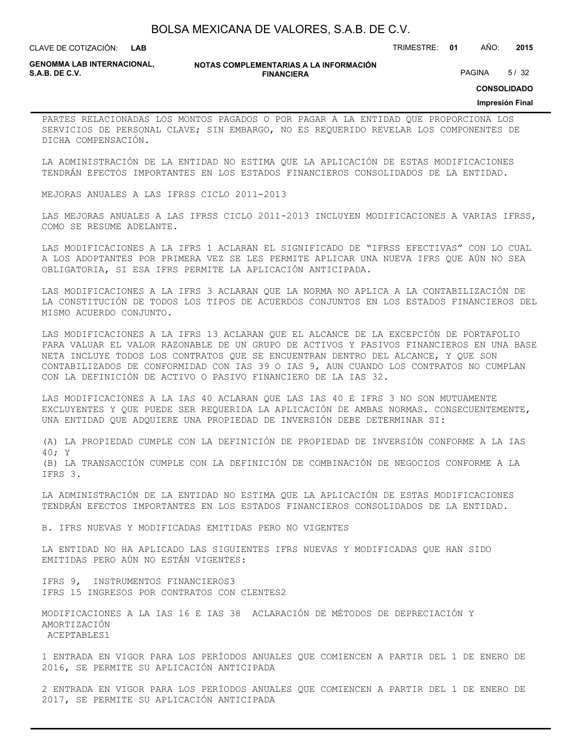**LAB**

CLAVE DE COTIZACIÓN: TRIMESTRE: **01** AÑO: **2015**

**GENOMMA LAB INTERNACIONAL,**

**NOTAS COMPLEMENTARIAS A LA INFORMACIÓN FINANCIERA S.A.B. DE C.V.** PAGINA 5/32

**CONSOLIDADO**

#### **Impresión Final**

PARTES RELACIONADAS LOS MONTOS PAGADOS O POR PAGAR A LA ENTIDAD QUE PROPORCIONA LOS SERVICIOS DE PERSONAL CLAVE; SIN EMBARGO, NO ES REQUERIDO REVELAR LOS COMPONENTES DE DICHA COMPENSACIÓN.

LA ADMINISTRACIÓN DE LA ENTIDAD NO ESTIMA QUE LA APLICACIÓN DE ESTAS MODIFICACIONES TENDRÁN EFECTOS IMPORTANTES EN LOS ESTADOS FINANCIEROS CONSOLIDADOS DE LA ENTIDAD.

MEJORAS ANUALES A LAS IFRSS CICLO 2011-2013

LAS MEJORAS ANUALES A LAS IFRSS CICLO 2011-2013 INCLUYEN MODIFICACIONES A VARIAS IFRSS, COMO SE RESUME ADELANTE.

LAS MODIFICACIONES A LA IFRS 1 ACLARAN EL SIGNIFICADO DE "IFRSS EFECTIVAS" CON LO CUAL A LOS ADOPTANTES POR PRIMERA VEZ SE LES PERMITE APLICAR UNA NUEVA IFRS QUE AÚN NO SEA OBLIGATORIA, SI ESA IFRS PERMITE LA APLICACIÓN ANTICIPADA.

LAS MODIFICACIONES A LA IFRS 3 ACLARAN QUE LA NORMA NO APLICA A LA CONTABILIZACIÓN DE LA CONSTITUCIÓN DE TODOS LOS TIPOS DE ACUERDOS CONJUNTOS EN LOS ESTADOS FINANCIEROS DEL MISMO ACUERDO CONJUNTO.

LAS MODIFICACIONES A LA IFRS 13 ACLARAN QUE EL ALCANCE DE LA EXCEPCIÓN DE PORTAFOLIO PARA VALUAR EL VALOR RAZONABLE DE UN GRUPO DE ACTIVOS Y PASIVOS FINANCIEROS EN UNA BASE NETA INCLUYE TODOS LOS CONTRATOS QUE SE ENCUENTRAN DENTRO DEL ALCANCE, Y QUE SON CONTABILIZADOS DE CONFORMIDAD CON IAS 39 O IAS 9, AUN CUANDO LOS CONTRATOS NO CUMPLAN CON LA DEFINICIÓN DE ACTIVO O PASIVO FINANCIERO DE LA IAS 32.

LAS MODIFICACIONES A LA IAS 40 ACLARAN QUE LAS IAS 40 E IFRS 3 NO SON MUTUAMENTE EXCLUYENTES Y QUE PUEDE SER REQUERIDA LA APLICACIÓN DE AMBAS NORMAS. CONSECUENTEMENTE, UNA ENTIDAD QUE ADQUIERE UNA PROPIEDAD DE INVERSIÓN DEBE DETERMINAR SI:

(A) LA PROPIEDAD CUMPLE CON LA DEFINICIÓN DE PROPIEDAD DE INVERSIÓN CONFORME A LA IAS 40; Y (B) LA TRANSACCIÓN CUMPLE CON LA DEFINICIÓN DE COMBINACIÓN DE NEGOCIOS CONFORME A LA IFRS 3.

LA ADMINISTRACIÓN DE LA ENTIDAD NO ESTIMA QUE LA APLICACIÓN DE ESTAS MODIFICACIONES TENDRÁN EFECTOS IMPORTANTES EN LOS ESTADOS FINANCIEROS CONSOLIDADOS DE LA ENTIDAD.

B. IFRS NUEVAS Y MODIFICADAS EMITIDAS PERO NO VIGENTES

LA ENTIDAD NO HA APLICADO LAS SIGUIENTES IFRS NUEVAS Y MODIFICADAS QUE HAN SIDO EMITIDAS PERO AÚN NO ESTÁN VIGENTES:

IFRS 9, INSTRUMENTOS FINANCIEROS3 IFRS 15 INGRESOS POR CONTRATOS CON CLENTES2

MODIFICACIONES A LA IAS 16 E IAS 38 ACLARACIÓN DE MÉTODOS DE DEPRECIACIÓN Y AMORTIZACIÓN ACEPTABLES1

1 ENTRADA EN VIGOR PARA LOS PERÍODOS ANUALES QUE COMIENCEN A PARTIR DEL 1 DE ENERO DE 2016, SE PERMITE SU APLICACIÓN ANTICIPADA

2 ENTRADA EN VIGOR PARA LOS PERÍODOS ANUALES QUE COMIENCEN A PARTIR DEL 1 DE ENERO DE 2017, SE PERMITE SU APLICACIÓN ANTICIPADA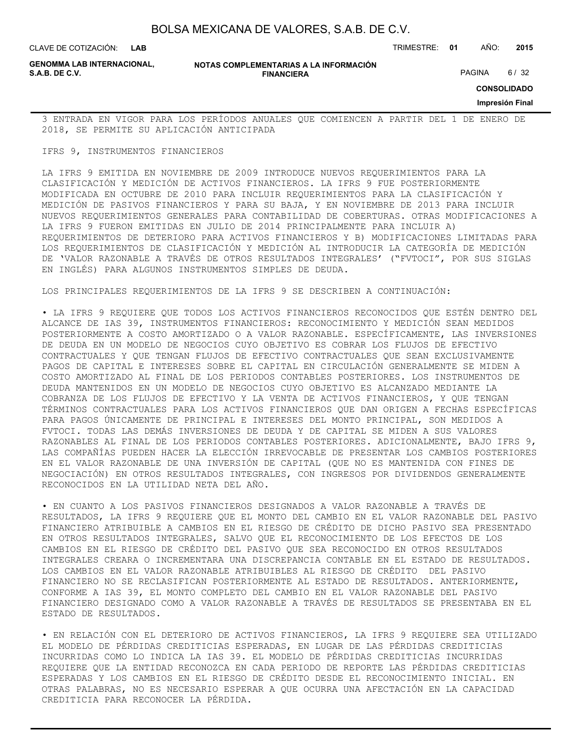**LAB**

CLAVE DE COTIZACIÓN: TRIMESTRE: **01** AÑO: **2015**

**GENOMMA LAB INTERNACIONAL,**

#### **NOTAS COMPLEMENTARIAS A LA INFORMACIÓN FINANCIERA S.A.B. DE C.V.** PAGINA 6 / 32

**CONSOLIDADO**

## **Impresión Final**

3 ENTRADA EN VIGOR PARA LOS PERÍODOS ANUALES QUE COMIENCEN A PARTIR DEL 1 DE ENERO DE 2018, SE PERMITE SU APLICACIÓN ANTICIPADA

#### IFRS 9, INSTRUMENTOS FINANCIEROS

LA IFRS 9 EMITIDA EN NOVIEMBRE DE 2009 INTRODUCE NUEVOS REQUERIMIENTOS PARA LA CLASIFICACIÓN Y MEDICIÓN DE ACTIVOS FINANCIEROS. LA IFRS 9 FUE POSTERIORMENTE MODIFICADA EN OCTUBRE DE 2010 PARA INCLUIR REQUERIMIENTOS PARA LA CLASIFICACIÓN Y MEDICIÓN DE PASIVOS FINANCIEROS Y PARA SU BAJA, Y EN NOVIEMBRE DE 2013 PARA INCLUIR NUEVOS REQUERIMIENTOS GENERALES PARA CONTABILIDAD DE COBERTURAS. OTRAS MODIFICACIONES A LA IFRS 9 FUERON EMITIDAS EN JULIO DE 2014 PRINCIPALMENTE PARA INCLUIR A) REQUERIMIENTOS DE DETERIORO PARA ACTIVOS FINANCIEROS Y B) MODIFICACIONES LIMITADAS PARA LOS REQUERIMIENTOS DE CLASIFICACIÓN Y MEDICIÓN AL INTRODUCIR LA CATEGORÍA DE MEDICIÓN DE 'VALOR RAZONABLE A TRAVÉS DE OTROS RESULTADOS INTEGRALES' ("FVTOCI", POR SUS SIGLAS EN INGLÉS) PARA ALGUNOS INSTRUMENTOS SIMPLES DE DEUDA.

LOS PRINCIPALES REQUERIMIENTOS DE LA IFRS 9 SE DESCRIBEN A CONTINUACIÓN:

• LA IFRS 9 REQUIERE QUE TODOS LOS ACTIVOS FINANCIEROS RECONOCIDOS QUE ESTÉN DENTRO DEL ALCANCE DE IAS 39, INSTRUMENTOS FINANCIEROS: RECONOCIMIENTO Y MEDICIÓN SEAN MEDIDOS POSTERIORMENTE A COSTO AMORTIZADO O A VALOR RAZONABLE. ESPECÍFICAMENTE, LAS INVERSIONES DE DEUDA EN UN MODELO DE NEGOCIOS CUYO OBJETIVO ES COBRAR LOS FLUJOS DE EFECTIVO CONTRACTUALES Y QUE TENGAN FLUJOS DE EFECTIVO CONTRACTUALES QUE SEAN EXCLUSIVAMENTE PAGOS DE CAPITAL E INTERESES SOBRE EL CAPITAL EN CIRCULACIÓN GENERALMENTE SE MIDEN A COSTO AMORTIZADO AL FINAL DE LOS PERIODOS CONTABLES POSTERIORES. LOS INSTRUMENTOS DE DEUDA MANTENIDOS EN UN MODELO DE NEGOCIOS CUYO OBJETIVO ES ALCANZADO MEDIANTE LA COBRANZA DE LOS FLUJOS DE EFECTIVO Y LA VENTA DE ACTIVOS FINANCIEROS, Y QUE TENGAN TÉRMINOS CONTRACTUALES PARA LOS ACTIVOS FINANCIEROS QUE DAN ORIGEN A FECHAS ESPECÍFICAS PARA PAGOS ÚNICAMENTE DE PRINCIPAL E INTERESES DEL MONTO PRINCIPAL, SON MEDIDOS A FVTOCI. TODAS LAS DEMÁS INVERSIONES DE DEUDA Y DE CAPITAL SE MIDEN A SUS VALORES RAZONABLES AL FINAL DE LOS PERIODOS CONTABLES POSTERIORES. ADICIONALMENTE, BAJO IFRS 9, LAS COMPAÑÍAS PUEDEN HACER LA ELECCIÓN IRREVOCABLE DE PRESENTAR LOS CAMBIOS POSTERIORES EN EL VALOR RAZONABLE DE UNA INVERSIÓN DE CAPITAL (QUE NO ES MANTENIDA CON FINES DE NEGOCIACIÓN) EN OTROS RESULTADOS INTEGRALES, CON INGRESOS POR DIVIDENDOS GENERALMENTE RECONOCIDOS EN LA UTILIDAD NETA DEL AÑO.

• EN CUANTO A LOS PASIVOS FINANCIEROS DESIGNADOS A VALOR RAZONABLE A TRAVÉS DE RESULTADOS, LA IFRS 9 REQUIERE QUE EL MONTO DEL CAMBIO EN EL VALOR RAZONABLE DEL PASIVO FINANCIERO ATRIBUIBLE A CAMBIOS EN EL RIESGO DE CRÉDITO DE DICHO PASIVO SEA PRESENTADO EN OTROS RESULTADOS INTEGRALES, SALVO QUE EL RECONOCIMIENTO DE LOS EFECTOS DE LOS CAMBIOS EN EL RIESGO DE CRÉDITO DEL PASIVO QUE SEA RECONOCIDO EN OTROS RESULTADOS INTEGRALES CREARA O INCREMENTARA UNA DISCREPANCIA CONTABLE EN EL ESTADO DE RESULTADOS. LOS CAMBIOS EN EL VALOR RAZONABLE ATRIBUIBLES AL RIESGO DE CRÉDITO DEL PASIVO FINANCIERO NO SE RECLASIFICAN POSTERIORMENTE AL ESTADO DE RESULTADOS. ANTERIORMENTE, CONFORME A IAS 39, EL MONTO COMPLETO DEL CAMBIO EN EL VALOR RAZONABLE DEL PASIVO FINANCIERO DESIGNADO COMO A VALOR RAZONABLE A TRAVÉS DE RESULTADOS SE PRESENTABA EN EL ESTADO DE RESULTADOS.

• EN RELACIÓN CON EL DETERIORO DE ACTIVOS FINANCIEROS, LA IFRS 9 REQUIERE SEA UTILIZADO EL MODELO DE PÉRDIDAS CREDITICIAS ESPERADAS, EN LUGAR DE LAS PÉRDIDAS CREDITICIAS INCURRIDAS COMO LO INDICA LA IAS 39. EL MODELO DE PÉRDIDAS CREDITICIAS INCURRIDAS REQUIERE QUE LA ENTIDAD RECONOZCA EN CADA PERIODO DE REPORTE LAS PÉRDIDAS CREDITICIAS ESPERADAS Y LOS CAMBIOS EN EL RIESGO DE CRÉDITO DESDE EL RECONOCIMIENTO INICIAL. EN OTRAS PALABRAS, NO ES NECESARIO ESPERAR A QUE OCURRA UNA AFECTACIÓN EN LA CAPACIDAD CREDITICIA PARA RECONOCER LA PÉRDIDA.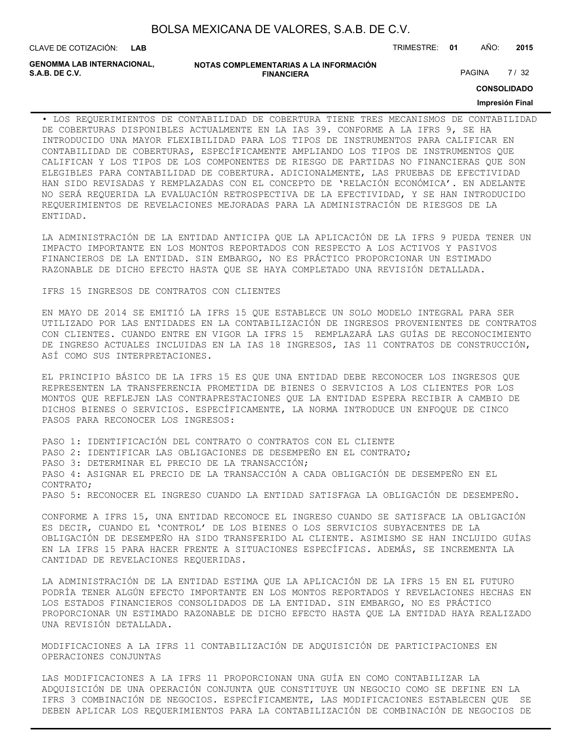| BOLSA MEXICANA DE VALORES, S.A.B. DE C.V. |  |  |
|-------------------------------------------|--|--|
|-------------------------------------------|--|--|

CLAVE DE COTIZACIÓN: TRIMESTRE: **01** AÑO: **2015 LAB**

**GENOMMA LAB INTERNACIONAL,**

**NOTAS COMPLEMENTARIAS A LA INFORMACIÓN FINANCIERA**

PAGINA 7 / 32

**CONSOLIDADO**

#### **Impresión Final**

• LOS REQUERIMIENTOS DE CONTABILIDAD DE COBERTURA TIENE TRES MECANISMOS DE CONTABILIDAD DE COBERTURAS DISPONIBLES ACTUALMENTE EN LA IAS 39. CONFORME A LA IFRS 9, SE HA INTRODUCIDO UNA MAYOR FLEXIBILIDAD PARA LOS TIPOS DE INSTRUMENTOS PARA CALIFICAR EN CONTABILIDAD DE COBERTURAS, ESPECÍFICAMENTE AMPLIANDO LOS TIPOS DE INSTRUMENTOS QUE CALIFICAN Y LOS TIPOS DE LOS COMPONENTES DE RIESGO DE PARTIDAS NO FINANCIERAS QUE SON ELEGIBLES PARA CONTABILIDAD DE COBERTURA. ADICIONALMENTE, LAS PRUEBAS DE EFECTIVIDAD HAN SIDO REVISADAS Y REMPLAZADAS CON EL CONCEPTO DE 'RELACIÓN ECONÓMICA'. EN ADELANTE NO SERÁ REQUERIDA LA EVALUACIÓN RETROSPECTIVA DE LA EFECTIVIDAD, Y SE HAN INTRODUCIDO REQUERIMIENTOS DE REVELACIONES MEJORADAS PARA LA ADMINISTRACIÓN DE RIESGOS DE LA ENTIDAD.

LA ADMINISTRACIÓN DE LA ENTIDAD ANTICIPA QUE LA APLICACIÓN DE LA IFRS 9 PUEDA TENER UN IMPACTO IMPORTANTE EN LOS MONTOS REPORTADOS CON RESPECTO A LOS ACTIVOS Y PASIVOS FINANCIEROS DE LA ENTIDAD. SIN EMBARGO, NO ES PRÁCTICO PROPORCIONAR UN ESTIMADO RAZONABLE DE DICHO EFECTO HASTA QUE SE HAYA COMPLETADO UNA REVISIÓN DETALLADA.

IFRS 15 INGRESOS DE CONTRATOS CON CLIENTES

EN MAYO DE 2014 SE EMITIÓ LA IFRS 15 QUE ESTABLECE UN SOLO MODELO INTEGRAL PARA SER UTILIZADO POR LAS ENTIDADES EN LA CONTABILIZACIÓN DE INGRESOS PROVENIENTES DE CONTRATOS CON CLIENTES. CUANDO ENTRE EN VIGOR LA IFRS 15 REMPLAZARÁ LAS GUÍAS DE RECONOCIMIENTO DE INGRESO ACTUALES INCLUIDAS EN LA IAS 18 INGRESOS, IAS 11 CONTRATOS DE CONSTRUCCIÓN, ASÍ COMO SUS INTERPRETACIONES.

EL PRINCIPIO BÁSICO DE LA IFRS 15 ES QUE UNA ENTIDAD DEBE RECONOCER LOS INGRESOS QUE REPRESENTEN LA TRANSFERENCIA PROMETIDA DE BIENES O SERVICIOS A LOS CLIENTES POR LOS MONTOS QUE REFLEJEN LAS CONTRAPRESTACIONES QUE LA ENTIDAD ESPERA RECIBIR A CAMBIO DE DICHOS BIENES O SERVICIOS. ESPECÍFICAMENTE, LA NORMA INTRODUCE UN ENFOQUE DE CINCO PASOS PARA RECONOCER LOS INGRESOS:

PASO 1: IDENTIFICACIÓN DEL CONTRATO O CONTRATOS CON EL CLIENTE PASO 2: IDENTIFICAR LAS OBLIGACIONES DE DESEMPEÑO EN EL CONTRATO; PASO 3: DETERMINAR EL PRECIO DE LA TRANSACCIÓN; PASO 4: ASIGNAR EL PRECIO DE LA TRANSACCIÓN A CADA OBLIGACIÓN DE DESEMPEÑO EN EL CONTRATO; PASO 5: RECONOCER EL INGRESO CUANDO LA ENTIDAD SATISFAGA LA OBLIGACIÓN DE DESEMPEÑO.

CONFORME A IFRS 15, UNA ENTIDAD RECONOCE EL INGRESO CUANDO SE SATISFACE LA OBLIGACIÓN ES DECIR, CUANDO EL 'CONTROL' DE LOS BIENES O LOS SERVICIOS SUBYACENTES DE LA OBLIGACIÓN DE DESEMPEÑO HA SIDO TRANSFERIDO AL CLIENTE. ASIMISMO SE HAN INCLUIDO GUÍAS EN LA IFRS 15 PARA HACER FRENTE A SITUACIONES ESPECÍFICAS. ADEMÁS, SE INCREMENTA LA CANTIDAD DE REVELACIONES REQUERIDAS.

LA ADMINISTRACIÓN DE LA ENTIDAD ESTIMA QUE LA APLICACIÓN DE LA IFRS 15 EN EL FUTURO PODRÍA TENER ALGÚN EFECTO IMPORTANTE EN LOS MONTOS REPORTADOS Y REVELACIONES HECHAS EN LOS ESTADOS FINANCIEROS CONSOLIDADOS DE LA ENTIDAD. SIN EMBARGO, NO ES PRÁCTICO PROPORCIONAR UN ESTIMADO RAZONABLE DE DICHO EFECTO HASTA QUE LA ENTIDAD HAYA REALIZADO UNA REVISIÓN DETALLADA.

MODIFICACIONES A LA IFRS 11 CONTABILIZACIÓN DE ADQUISICIÓN DE PARTICIPACIONES EN OPERACIONES CONJUNTAS

LAS MODIFICACIONES A LA IFRS 11 PROPORCIONAN UNA GUÍA EN COMO CONTABILIZAR LA ADQUISICIÓN DE UNA OPERACIÓN CONJUNTA QUE CONSTITUYE UN NEGOCIO COMO SE DEFINE EN LA IFRS 3 COMBINACIÓN DE NEGOCIOS. ESPECÍFICAMENTE, LAS MODIFICACIONES ESTABLECEN QUE SE DEBEN APLICAR LOS REQUERIMIENTOS PARA LA CONTABILIZACIÓN DE COMBINACIÓN DE NEGOCIOS DE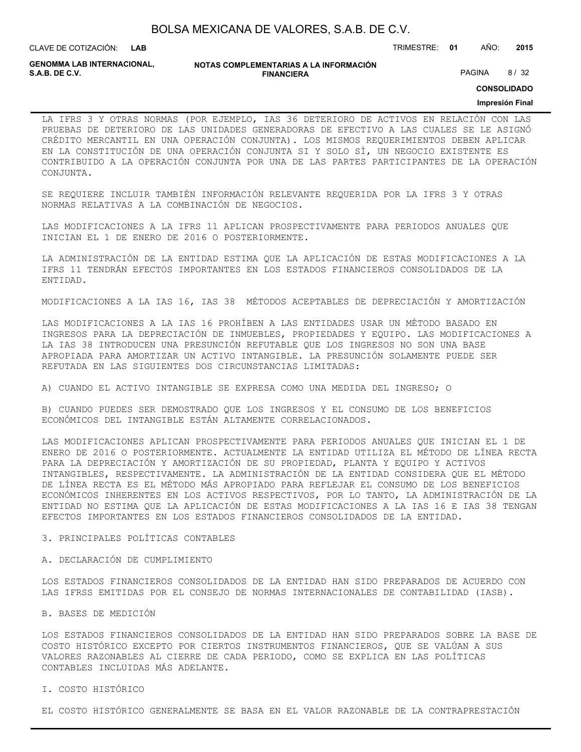**LAB**

CLAVE DE COTIZACIÓN: TRIMESTRE: **01** AÑO: **2015**

**GENOMMA LAB INTERNACIONAL,**

**NOTAS COMPLEMENTARIAS A LA INFORMACIÓN FINANCIERA S.A.B. DE C.V.** PAGINA 8 / 32

**CONSOLIDADO**

## **Impresión Final**

LA IFRS 3 Y OTRAS NORMAS (POR EJEMPLO, IAS 36 DETERIORO DE ACTIVOS EN RELACIÓN CON LAS PRUEBAS DE DETERIORO DE LAS UNIDADES GENERADORAS DE EFECTIVO A LAS CUALES SE LE ASIGNÓ CRÉDITO MERCANTIL EN UNA OPERACIÓN CONJUNTA). LOS MISMOS REQUERIMIENTOS DEBEN APLICAR EN LA CONSTITUCIÓN DE UNA OPERACIÓN CONJUNTA SI Y SOLO SÍ, UN NEGOCIO EXISTENTE ES CONTRIBUIDO A LA OPERACIÓN CONJUNTA POR UNA DE LAS PARTES PARTICIPANTES DE LA OPERACIÓN CONJUNTA.

SE REQUIERE INCLUIR TAMBIÉN INFORMACIÓN RELEVANTE REQUERIDA POR LA IFRS 3 Y OTRAS NORMAS RELATIVAS A LA COMBINACIÓN DE NEGOCIOS.

LAS MODIFICACIONES A LA IFRS 11 APLICAN PROSPECTIVAMENTE PARA PERIODOS ANUALES QUE INICIAN EL 1 DE ENERO DE 2016 O POSTERIORMENTE.

LA ADMINISTRACIÓN DE LA ENTIDAD ESTIMA QUE LA APLICACIÓN DE ESTAS MODIFICACIONES A LA IFRS 11 TENDRÁN EFECTOS IMPORTANTES EN LOS ESTADOS FINANCIEROS CONSOLIDADOS DE LA ENTIDAD.

MODIFICACIONES A LA IAS 16, IAS 38 MÉTODOS ACEPTABLES DE DEPRECIACIÓN Y AMORTIZACIÓN

LAS MODIFICACIONES A LA IAS 16 PROHÍBEN A LAS ENTIDADES USAR UN MÉTODO BASADO EN INGRESOS PARA LA DEPRECIACIÓN DE INMUEBLES, PROPIEDADES Y EQUIPO. LAS MODIFICACIONES A LA IAS 38 INTRODUCEN UNA PRESUNCIÓN REFUTABLE QUE LOS INGRESOS NO SON UNA BASE APROPIADA PARA AMORTIZAR UN ACTIVO INTANGIBLE. LA PRESUNCIÓN SOLAMENTE PUEDE SER REFUTADA EN LAS SIGUIENTES DOS CIRCUNSTANCIAS LIMITADAS:

A) CUANDO EL ACTIVO INTANGIBLE SE EXPRESA COMO UNA MEDIDA DEL INGRESO; O

B) CUANDO PUEDES SER DEMOSTRADO QUE LOS INGRESOS Y EL CONSUMO DE LOS BENEFICIOS ECONÓMICOS DEL INTANGIBLE ESTÁN ALTAMENTE CORRELACIONADOS.

LAS MODIFICACIONES APLICAN PROSPECTIVAMENTE PARA PERIODOS ANUALES QUE INICIAN EL 1 DE ENERO DE 2016 O POSTERIORMENTE. ACTUALMENTE LA ENTIDAD UTILIZA EL MÉTODO DE LÍNEA RECTA PARA LA DEPRECIACIÓN Y AMORTIZACIÓN DE SU PROPIEDAD, PLANTA Y EQUIPO Y ACTIVOS INTANGIBLES, RESPECTIVAMENTE. LA ADMINISTRACIÓN DE LA ENTIDAD CONSIDERA QUE EL MÉTODO DE LÍNEA RECTA ES EL MÉTODO MÁS APROPIADO PARA REFLEJAR EL CONSUMO DE LOS BENEFICIOS ECONÓMICOS INHERENTES EN LOS ACTIVOS RESPECTIVOS, POR LO TANTO, LA ADMINISTRACIÓN DE LA ENTIDAD NO ESTIMA QUE LA APLICACIÓN DE ESTAS MODIFICACIONES A LA IAS 16 E IAS 38 TENGAN EFECTOS IMPORTANTES EN LOS ESTADOS FINANCIEROS CONSOLIDADOS DE LA ENTIDAD.

#### 3. PRINCIPALES POLÍTICAS CONTABLES

## A. DECLARACIÓN DE CUMPLIMIENTO

LOS ESTADOS FINANCIEROS CONSOLIDADOS DE LA ENTIDAD HAN SIDO PREPARADOS DE ACUERDO CON LAS IFRSS EMITIDAS POR EL CONSEJO DE NORMAS INTERNACIONALES DE CONTABILIDAD (IASB).

#### B. BASES DE MEDICIÓN

LOS ESTADOS FINANCIEROS CONSOLIDADOS DE LA ENTIDAD HAN SIDO PREPARADOS SOBRE LA BASE DE COSTO HISTÓRICO EXCEPTO POR CIERTOS INSTRUMENTOS FINANCIEROS, QUE SE VALÚAN A SUS VALORES RAZONABLES AL CIERRE DE CADA PERIODO, COMO SE EXPLICA EN LAS POLÍTICAS CONTABLES INCLUIDAS MÁS ADELANTE.

## I. COSTO HISTÓRICO

EL COSTO HISTÓRICO GENERALMENTE SE BASA EN EL VALOR RAZONABLE DE LA CONTRAPRESTACIÓN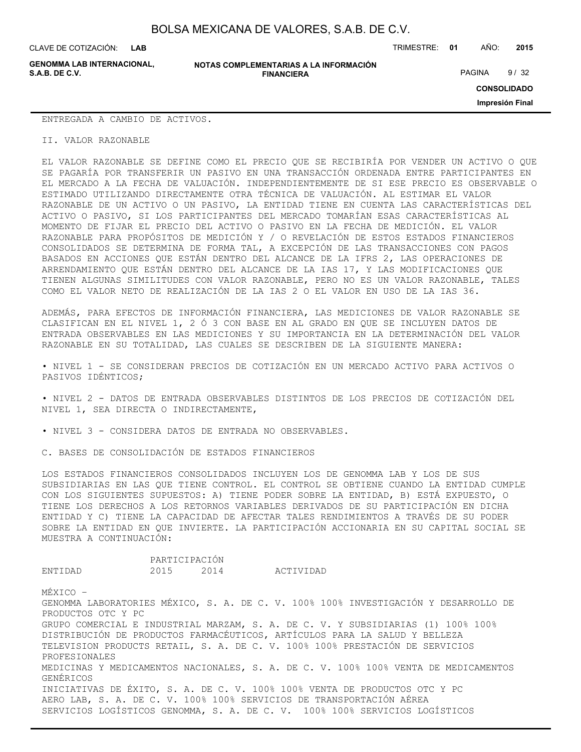CLAVE DE COTIZACIÓN: TRIMESTRE: **01** AÑO: **2015 LAB**

**GENOMMA LAB INTERNACIONAL,**

**NOTAS COMPLEMENTARIAS A LA INFORMACIÓN FINANCIERA S.A.B. DE C.V.** PAGINA 9/32

**CONSOLIDADO**

**Impresión Final**

ENTREGADA A CAMBIO DE ACTIVOS.

#### II. VALOR RAZONABLE

EL VALOR RAZONABLE SE DEFINE COMO EL PRECIO QUE SE RECIBIRÍA POR VENDER UN ACTIVO O QUE SE PAGARÍA POR TRANSFERIR UN PASIVO EN UNA TRANSACCIÓN ORDENADA ENTRE PARTICIPANTES EN EL MERCADO A LA FECHA DE VALUACIÓN. INDEPENDIENTEMENTE DE SI ESE PRECIO ES OBSERVABLE O ESTIMADO UTILIZANDO DIRECTAMENTE OTRA TÉCNICA DE VALUACIÓN. AL ESTIMAR EL VALOR RAZONABLE DE UN ACTIVO O UN PASIVO, LA ENTIDAD TIENE EN CUENTA LAS CARACTERÍSTICAS DEL ACTIVO O PASIVO, SI LOS PARTICIPANTES DEL MERCADO TOMARÍAN ESAS CARACTERÍSTICAS AL MOMENTO DE FIJAR EL PRECIO DEL ACTIVO O PASIVO EN LA FECHA DE MEDICIÓN. EL VALOR RAZONABLE PARA PROPÓSITOS DE MEDICIÓN Y / O REVELACIÓN DE ESTOS ESTADOS FINANCIEROS CONSOLIDADOS SE DETERMINA DE FORMA TAL, A EXCEPCIÓN DE LAS TRANSACCIONES CON PAGOS BASADOS EN ACCIONES QUE ESTÁN DENTRO DEL ALCANCE DE LA IFRS 2, LAS OPERACIONES DE ARRENDAMIENTO QUE ESTÁN DENTRO DEL ALCANCE DE LA IAS 17, Y LAS MODIFICACIONES QUE TIENEN ALGUNAS SIMILITUDES CON VALOR RAZONABLE, PERO NO ES UN VALOR RAZONABLE, TALES COMO EL VALOR NETO DE REALIZACIÓN DE LA IAS 2 O EL VALOR EN USO DE LA IAS 36.

ADEMÁS, PARA EFECTOS DE INFORMACIÓN FINANCIERA, LAS MEDICIONES DE VALOR RAZONABLE SE CLASIFICAN EN EL NIVEL 1, 2 Ó 3 CON BASE EN AL GRADO EN QUE SE INCLUYEN DATOS DE ENTRADA OBSERVABLES EN LAS MEDICIONES Y SU IMPORTANCIA EN LA DETERMINACIÓN DEL VALOR RAZONABLE EN SU TOTALIDAD, LAS CUALES SE DESCRIBEN DE LA SIGUIENTE MANERA:

• NIVEL 1 - SE CONSIDERAN PRECIOS DE COTIZACIÓN EN UN MERCADO ACTIVO PARA ACTIVOS O PASIVOS IDÉNTICOS;

• NIVEL 2 - DATOS DE ENTRADA OBSERVABLES DISTINTOS DE LOS PRECIOS DE COTIZACIÓN DEL NIVEL 1, SEA DIRECTA O INDIRECTAMENTE,

• NIVEL 3 - CONSIDERA DATOS DE ENTRADA NO OBSERVABLES.

C. BASES DE CONSOLIDACIÓN DE ESTADOS FINANCIEROS

LOS ESTADOS FINANCIEROS CONSOLIDADOS INCLUYEN LOS DE GENOMMA LAB Y LOS DE SUS SUBSIDIARIAS EN LAS QUE TIENE CONTROL. EL CONTROL SE OBTIENE CUANDO LA ENTIDAD CUMPLE CON LOS SIGUIENTES SUPUESTOS: A) TIENE PODER SOBRE LA ENTIDAD, B) ESTÁ EXPUESTO, O TIENE LOS DERECHOS A LOS RETORNOS VARIABLES DERIVADOS DE SU PARTICIPACIÓN EN DICHA ENTIDAD Y C) TIENE LA CAPACIDAD DE AFECTAR TALES RENDIMIENTOS A TRAVÉS DE SU PODER SOBRE LA ENTIDAD EN QUE INVIERTE. LA PARTICIPACIÓN ACCIONARIA EN SU CAPITAL SOCIAL SE MUESTRA A CONTINUACIÓN:

|                |      | PARTICIPACION |           |
|----------------|------|---------------|-----------|
| <b>ENTIDAD</b> | 2015 |               | ACTIVIDAD |

MÉXICO – GENOMMA LABORATORIES MÉXICO, S. A. DE C. V. 100% 100% INVESTIGACIÓN Y DESARROLLO DE PRODUCTOS OTC Y PC GRUPO COMERCIAL E INDUSTRIAL MARZAM, S. A. DE C. V. Y SUBSIDIARIAS (1) 100% 100% DISTRIBUCIÓN DE PRODUCTOS FARMACÉUTICOS, ARTÍCULOS PARA LA SALUD Y BELLEZA TELEVISION PRODUCTS RETAIL, S. A. DE C. V. 100% 100% PRESTACIÓN DE SERVICIOS PROFESIONALES MEDICINAS Y MEDICAMENTOS NACIONALES, S. A. DE C. V. 100% 100% VENTA DE MEDICAMENTOS GENÉRICOS INICIATIVAS DE ÉXITO, S. A. DE C. V. 100% 100% VENTA DE PRODUCTOS OTC Y PC AERO LAB, S. A. DE C. V. 100% 100% SERVICIOS DE TRANSPORTACIÓN AÉREA SERVICIOS LOGÍSTICOS GENOMMA, S. A. DE C. V. 100% 100% SERVICIOS LOGÍSTICOS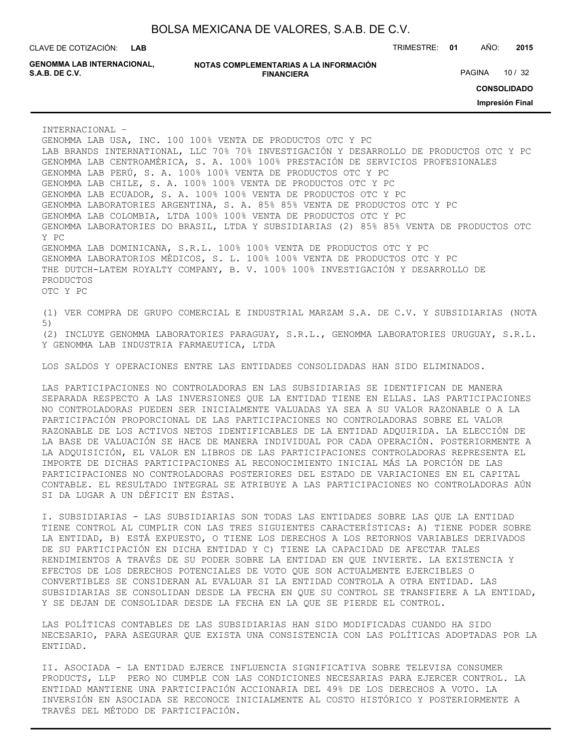**LAB**

CLAVE DE COTIZACIÓN: TRIMESTRE: **01** AÑO: **2015**

**GENOMMA LAB INTERNACIONAL,**

**NOTAS COMPLEMENTARIAS A LA INFORMACIÓN FINANCIERA S.A.B. DE C.V.** PAGINA 10 / 32

**CONSOLIDADO**

**Impresión Final**

INTERNACIONAL –

GENOMMA LAB USA, INC. 100 100% VENTA DE PRODUCTOS OTC Y PC LAB BRANDS INTERNATIONAL, LLC 70% 70% INVESTIGACIÓN Y DESARROLLO DE PRODUCTOS OTC Y PC GENOMMA LAB CENTROAMÉRICA, S. A. 100% 100% PRESTACIÓN DE SERVICIOS PROFESIONALES GENOMMA LAB PERÚ, S. A. 100% 100% VENTA DE PRODUCTOS OTC Y PC GENOMMA LAB CHILE, S. A. 100% 100% VENTA DE PRODUCTOS OTC Y PC GENOMMA LAB ECUADOR, S. A. 100% 100% VENTA DE PRODUCTOS OTC Y PC GENOMMA LABORATORIES ARGENTINA, S. A. 85% 85% VENTA DE PRODUCTOS OTC Y PC GENOMMA LAB COLOMBIA, LTDA 100% 100% VENTA DE PRODUCTOS OTC Y PC GENOMMA LABORATORIES DO BRASIL, LTDA Y SUBSIDIARIAS (2) 85% 85% VENTA DE PRODUCTOS OTC Y PC GENOMMA LAB DOMINICANA, S.R.L. 100% 100% VENTA DE PRODUCTOS OTC Y PC GENOMMA LABORATORIOS MÉDICOS, S. L. 100% 100% VENTA DE PRODUCTOS OTC Y PC THE DUTCH-LATEM ROYALTY COMPANY, B. V. 100% 100% INVESTIGACIÓN Y DESARROLLO DE PRODUCTOS OTC Y PC

(1) VER COMPRA DE GRUPO COMERCIAL E INDUSTRIAL MARZAM S.A. DE C.V. Y SUBSIDIARIAS (NOTA 5) (2) INCLUYE GENOMMA LABORATORIES PARAGUAY, S.R.L., GENOMMA LABORATORIES URUGUAY, S.R.L. Y GENOMMA LAB INDUSTRIA FARMAEUTICA, LTDA

LOS SALDOS Y OPERACIONES ENTRE LAS ENTIDADES CONSOLIDADAS HAN SIDO ELIMINADOS.

LAS PARTICIPACIONES NO CONTROLADORAS EN LAS SUBSIDIARIAS SE IDENTIFICAN DE MANERA SEPARADA RESPECTO A LAS INVERSIONES QUE LA ENTIDAD TIENE EN ELLAS. LAS PARTICIPACIONES NO CONTROLADORAS PUEDEN SER INICIALMENTE VALUADAS YA SEA A SU VALOR RAZONABLE O A LA PARTICIPACIÓN PROPORCIONAL DE LAS PARTICIPACIONES NO CONTROLADORAS SOBRE EL VALOR RAZONABLE DE LOS ACTIVOS NETOS IDENTIFICABLES DE LA ENTIDAD ADQUIRIDA. LA ELECCIÓN DE LA BASE DE VALUACIÓN SE HACE DE MANERA INDIVIDUAL POR CADA OPERACIÓN. POSTERIORMENTE A LA ADQUISICIÓN, EL VALOR EN LIBROS DE LAS PARTICIPACIONES CONTROLADORAS REPRESENTA EL IMPORTE DE DICHAS PARTICIPACIONES AL RECONOCIMIENTO INICIAL MÁS LA PORCIÓN DE LAS PARTICIPACIONES NO CONTROLADORAS POSTERIORES DEL ESTADO DE VARIACIONES EN EL CAPITAL CONTABLE. EL RESULTADO INTEGRAL SE ATRIBUYE A LAS PARTICIPACIONES NO CONTROLADORAS AÚN SI DA LUGAR A UN DÉFICIT EN ÉSTAS.

I. SUBSIDIARIAS - LAS SUBSIDIARIAS SON TODAS LAS ENTIDADES SOBRE LAS QUE LA ENTIDAD TIENE CONTROL AL CUMPLIR CON LAS TRES SIGUIENTES CARACTERÍSTICAS: A) TIENE PODER SOBRE LA ENTIDAD, B) ESTÁ EXPUESTO, O TIENE LOS DERECHOS A LOS RETORNOS VARIABLES DERIVADOS DE SU PARTICIPACIÓN EN DICHA ENTIDAD Y C) TIENE LA CAPACIDAD DE AFECTAR TALES RENDIMIENTOS A TRAVÉS DE SU PODER SOBRE LA ENTIDAD EN QUE INVIERTE. LA EXISTENCIA Y EFECTOS DE LOS DERECHOS POTENCIALES DE VOTO QUE SON ACTUALMENTE EJERCIBLES O CONVERTIBLES SE CONSIDERAN AL EVALUAR SI LA ENTIDAD CONTROLA A OTRA ENTIDAD. LAS SUBSIDIARIAS SE CONSOLIDAN DESDE LA FECHA EN QUE SU CONTROL SE TRANSFIERE A LA ENTIDAD, Y SE DEJAN DE CONSOLIDAR DESDE LA FECHA EN LA QUE SE PIERDE EL CONTROL.

LAS POLÍTICAS CONTABLES DE LAS SUBSIDIARIAS HAN SIDO MODIFICADAS CUANDO HA SIDO NECESARIO, PARA ASEGURAR QUE EXISTA UNA CONSISTENCIA CON LAS POLÍTICAS ADOPTADAS POR LA ENTIDAD.

II. ASOCIADA - LA ENTIDAD EJERCE INFLUENCIA SIGNIFICATIVA SOBRE TELEVISA CONSUMER PRODUCTS, LLP PERO NO CUMPLE CON LAS CONDICIONES NECESARIAS PARA EJERCER CONTROL. LA ENTIDAD MANTIENE UNA PARTICIPACIÓN ACCIONARIA DEL 49% DE LOS DERECHOS A VOTO. LA INVERSIÓN EN ASOCIADA SE RECONOCE INICIALMENTE AL COSTO HISTÓRICO Y POSTERIORMENTE A TRAVÉS DEL MÉTODO DE PARTICIPACIÓN.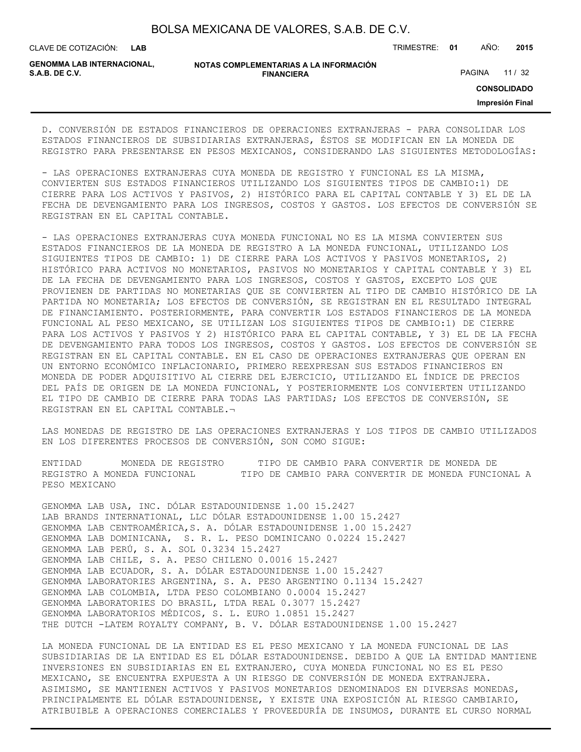**LAB**

CLAVE DE COTIZACIÓN: TRIMESTRE: **01** AÑO: **2015**

**GENOMMA LAB INTERNACIONAL,**

**NOTAS COMPLEMENTARIAS A LA INFORMACIÓN FINANCIERA**

PAGINA 11 / 32

**CONSOLIDADO**

**Impresión Final**

D. CONVERSIÓN DE ESTADOS FINANCIEROS DE OPERACIONES EXTRANJERAS - PARA CONSOLIDAR LOS ESTADOS FINANCIEROS DE SUBSIDIARIAS EXTRANJERAS, ÉSTOS SE MODIFICAN EN LA MONEDA DE REGISTRO PARA PRESENTARSE EN PESOS MEXICANOS, CONSIDERANDO LAS SIGUIENTES METODOLOGÍAS:

- LAS OPERACIONES EXTRANJERAS CUYA MONEDA DE REGISTRO Y FUNCIONAL ES LA MISMA, CONVIERTEN SUS ESTADOS FINANCIEROS UTILIZANDO LOS SIGUIENTES TIPOS DE CAMBIO:1) DE CIERRE PARA LOS ACTIVOS Y PASIVOS, 2) HISTÓRICO PARA EL CAPITAL CONTABLE Y 3) EL DE LA FECHA DE DEVENGAMIENTO PARA LOS INGRESOS, COSTOS Y GASTOS. LOS EFECTOS DE CONVERSIÓN SE REGISTRAN EN EL CAPITAL CONTABLE.

- LAS OPERACIONES EXTRANJERAS CUYA MONEDA FUNCIONAL NO ES LA MISMA CONVIERTEN SUS ESTADOS FINANCIEROS DE LA MONEDA DE REGISTRO A LA MONEDA FUNCIONAL, UTILIZANDO LOS SIGUIENTES TIPOS DE CAMBIO: 1) DE CIERRE PARA LOS ACTIVOS Y PASIVOS MONETARIOS, 2) HISTÓRICO PARA ACTIVOS NO MONETARIOS, PASIVOS NO MONETARIOS Y CAPITAL CONTABLE Y 3) EL DE LA FECHA DE DEVENGAMIENTO PARA LOS INGRESOS, COSTOS Y GASTOS, EXCEPTO LOS QUE PROVIENEN DE PARTIDAS NO MONETARIAS QUE SE CONVIERTEN AL TIPO DE CAMBIO HISTÓRICO DE LA PARTIDA NO MONETARIA; LOS EFECTOS DE CONVERSIÓN, SE REGISTRAN EN EL RESULTADO INTEGRAL DE FINANCIAMIENTO. POSTERIORMENTE, PARA CONVERTIR LOS ESTADOS FINANCIEROS DE LA MONEDA FUNCIONAL AL PESO MEXICANO, SE UTILIZAN LOS SIGUIENTES TIPOS DE CAMBIO:1) DE CIERRE PARA LOS ACTIVOS Y PASIVOS Y 2) HISTÓRICO PARA EL CAPITAL CONTABLE, Y 3) EL DE LA FECHA DE DEVENGAMIENTO PARA TODOS LOS INGRESOS, COSTOS Y GASTOS. LOS EFECTOS DE CONVERSIÓN SE REGISTRAN EN EL CAPITAL CONTABLE. EN EL CASO DE OPERACIONES EXTRANJERAS QUE OPERAN EN UN ENTORNO ECONÓMICO INFLACIONARIO, PRIMERO REEXPRESAN SUS ESTADOS FINANCIEROS EN MONEDA DE PODER ADQUISITIVO AL CIERRE DEL EJERCICIO, UTILIZANDO EL ÍNDICE DE PRECIOS DEL PAÍS DE ORIGEN DE LA MONEDA FUNCIONAL, Y POSTERIORMENTE LOS CONVIERTEN UTILIZANDO EL TIPO DE CAMBIO DE CIERRE PARA TODAS LAS PARTIDAS; LOS EFECTOS DE CONVERSIÓN, SE REGISTRAN EN EL CAPITAL CONTABLE.¬

LAS MONEDAS DE REGISTRO DE LAS OPERACIONES EXTRANJERAS Y LOS TIPOS DE CAMBIO UTILIZADOS EN LOS DIFERENTES PROCESOS DE CONVERSIÓN, SON COMO SIGUE:

ENTIDAD MONEDA DE REGISTRO TIPO DE CAMBIO PARA CONVERTIR DE MONEDA DE REGISTRO A MONEDA FUNCIONAL TIPO DE CAMBIO PARA CONVERTIR DE MONEDA FUNCIONAL A PESO MEXICANO

GENOMMA LAB USA, INC. DÓLAR ESTADOUNIDENSE 1.00 15.2427 LAB BRANDS INTERNATIONAL, LLC DÓLAR ESTADOUNIDENSE 1.00 15.2427 GENOMMA LAB CENTROAMÉRICA,S. A. DÓLAR ESTADOUNIDENSE 1.00 15.2427 GENOMMA LAB DOMINICANA, S. R. L. PESO DOMINICANO 0.0224 15.2427 GENOMMA LAB PERÚ, S. A. SOL 0.3234 15.2427 GENOMMA LAB CHILE, S. A. PESO CHILENO 0.0016 15.2427 GENOMMA LAB ECUADOR, S. A. DÓLAR ESTADOUNIDENSE 1.00 15.2427 GENOMMA LABORATORIES ARGENTINA, S. A. PESO ARGENTINO 0.1134 15.2427 GENOMMA LAB COLOMBIA, LTDA PESO COLOMBIANO 0.0004 15.2427 GENOMMA LABORATORIES DO BRASIL, LTDA REAL 0.3077 15.2427 GENOMMA LABORATORIOS MÉDICOS, S. L. EURO 1.0851 15.2427 THE DUTCH -LATEM ROYALTY COMPANY, B. V. DÓLAR ESTADOUNIDENSE 1.00 15.2427

LA MONEDA FUNCIONAL DE LA ENTIDAD ES EL PESO MEXICANO Y LA MONEDA FUNCIONAL DE LAS SUBSIDIARIAS DE LA ENTIDAD ES EL DÓLAR ESTADOUNIDENSE. DEBIDO A QUE LA ENTIDAD MANTIENE INVERSIONES EN SUBSIDIARIAS EN EL EXTRANJERO, CUYA MONEDA FUNCIONAL NO ES EL PESO MEXICANO, SE ENCUENTRA EXPUESTA A UN RIESGO DE CONVERSIÓN DE MONEDA EXTRANJERA. ASIMISMO, SE MANTIENEN ACTIVOS Y PASIVOS MONETARIOS DENOMINADOS EN DIVERSAS MONEDAS, PRINCIPALMENTE EL DÓLAR ESTADOUNIDENSE, Y EXISTE UNA EXPOSICIÓN AL RIESGO CAMBIARIO, ATRIBUIBLE A OPERACIONES COMERCIALES Y PROVEEDURÍA DE INSUMOS, DURANTE EL CURSO NORMAL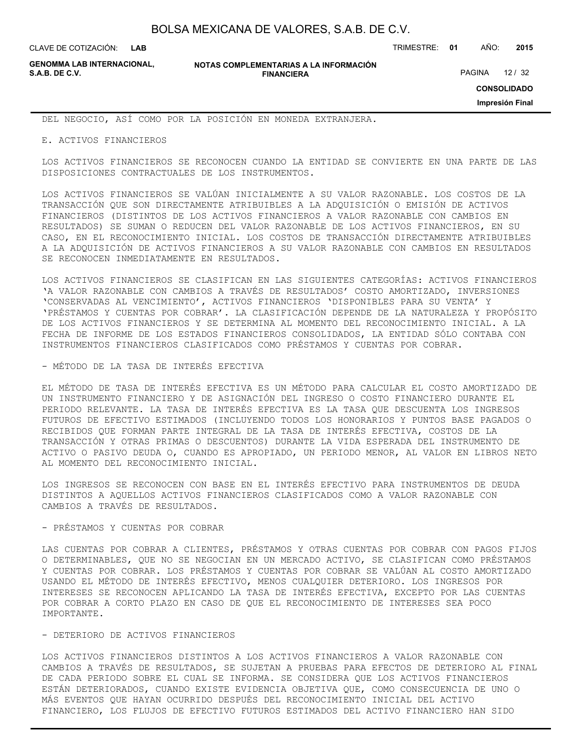**LAB**

CLAVE DE COTIZACIÓN: TRIMESTRE: **01** AÑO: **2015**

**GENOMMA LAB INTERNACIONAL,**

**NOTAS COMPLEMENTARIAS A LA INFORMACIÓN FINANCIERA**

PAGINA 12 / 32

**CONSOLIDADO**

**Impresión Final**

DEL NEGOCIO, ASÍ COMO POR LA POSICIÓN EN MONEDA EXTRANJERA.

E. ACTIVOS FINANCIEROS

LOS ACTIVOS FINANCIEROS SE RECONOCEN CUANDO LA ENTIDAD SE CONVIERTE EN UNA PARTE DE LAS DISPOSICIONES CONTRACTUALES DE LOS INSTRUMENTOS.

LOS ACTIVOS FINANCIEROS SE VALÚAN INICIALMENTE A SU VALOR RAZONABLE. LOS COSTOS DE LA TRANSACCIÓN QUE SON DIRECTAMENTE ATRIBUIBLES A LA ADQUISICIÓN O EMISIÓN DE ACTIVOS FINANCIEROS (DISTINTOS DE LOS ACTIVOS FINANCIEROS A VALOR RAZONABLE CON CAMBIOS EN RESULTADOS) SE SUMAN O REDUCEN DEL VALOR RAZONABLE DE LOS ACTIVOS FINANCIEROS, EN SU CASO, EN EL RECONOCIMIENTO INICIAL. LOS COSTOS DE TRANSACCIÓN DIRECTAMENTE ATRIBUIBLES A LA ADQUISICIÓN DE ACTIVOS FINANCIEROS A SU VALOR RAZONABLE CON CAMBIOS EN RESULTADOS SE RECONOCEN INMEDIATAMENTE EN RESULTADOS.

LOS ACTIVOS FINANCIEROS SE CLASIFICAN EN LAS SIGUIENTES CATEGORÍAS: ACTIVOS FINANCIEROS 'A VALOR RAZONABLE CON CAMBIOS A TRAVÉS DE RESULTADOS' COSTO AMORTIZADO, INVERSIONES 'CONSERVADAS AL VENCIMIENTO', ACTIVOS FINANCIEROS 'DISPONIBLES PARA SU VENTA' Y 'PRÉSTAMOS Y CUENTAS POR COBRAR'. LA CLASIFICACIÓN DEPENDE DE LA NATURALEZA Y PROPÓSITO DE LOS ACTIVOS FINANCIEROS Y SE DETERMINA AL MOMENTO DEL RECONOCIMIENTO INICIAL. A LA FECHA DE INFORME DE LOS ESTADOS FINANCIEROS CONSOLIDADOS, LA ENTIDAD SÓLO CONTABA CON INSTRUMENTOS FINANCIEROS CLASIFICADOS COMO PRÉSTAMOS Y CUENTAS POR COBRAR.

## - MÉTODO DE LA TASA DE INTERÉS EFECTIVA

EL MÉTODO DE TASA DE INTERÉS EFECTIVA ES UN MÉTODO PARA CALCULAR EL COSTO AMORTIZADO DE UN INSTRUMENTO FINANCIERO Y DE ASIGNACIÓN DEL INGRESO O COSTO FINANCIERO DURANTE EL PERIODO RELEVANTE. LA TASA DE INTERÉS EFECTIVA ES LA TASA QUE DESCUENTA LOS INGRESOS FUTUROS DE EFECTIVO ESTIMADOS (INCLUYENDO TODOS LOS HONORARIOS Y PUNTOS BASE PAGADOS O RECIBIDOS QUE FORMAN PARTE INTEGRAL DE LA TASA DE INTERÉS EFECTIVA, COSTOS DE LA TRANSACCIÓN Y OTRAS PRIMAS O DESCUENTOS) DURANTE LA VIDA ESPERADA DEL INSTRUMENTO DE ACTIVO O PASIVO DEUDA O, CUANDO ES APROPIADO, UN PERIODO MENOR, AL VALOR EN LIBROS NETO AL MOMENTO DEL RECONOCIMIENTO INICIAL.

LOS INGRESOS SE RECONOCEN CON BASE EN EL INTERÉS EFECTIVO PARA INSTRUMENTOS DE DEUDA DISTINTOS A AQUELLOS ACTIVOS FINANCIEROS CLASIFICADOS COMO A VALOR RAZONABLE CON CAMBIOS A TRAVÉS DE RESULTADOS.

# - PRÉSTAMOS Y CUENTAS POR COBRAR

LAS CUENTAS POR COBRAR A CLIENTES, PRÉSTAMOS Y OTRAS CUENTAS POR COBRAR CON PAGOS FIJOS O DETERMINABLES, QUE NO SE NEGOCIAN EN UN MERCADO ACTIVO, SE CLASIFICAN COMO PRÉSTAMOS Y CUENTAS POR COBRAR. LOS PRÉSTAMOS Y CUENTAS POR COBRAR SE VALÚAN AL COSTO AMORTIZADO USANDO EL MÉTODO DE INTERÉS EFECTIVO, MENOS CUALQUIER DETERIORO. LOS INGRESOS POR INTERESES SE RECONOCEN APLICANDO LA TASA DE INTERÉS EFECTIVA, EXCEPTO POR LAS CUENTAS POR COBRAR A CORTO PLAZO EN CASO DE QUE EL RECONOCIMIENTO DE INTERESES SEA POCO IMPORTANTE.

## - DETERIORO DE ACTIVOS FINANCIEROS

LOS ACTIVOS FINANCIEROS DISTINTOS A LOS ACTIVOS FINANCIEROS A VALOR RAZONABLE CON CAMBIOS A TRAVÉS DE RESULTADOS, SE SUJETAN A PRUEBAS PARA EFECTOS DE DETERIORO AL FINAL DE CADA PERIODO SOBRE EL CUAL SE INFORMA. SE CONSIDERA QUE LOS ACTIVOS FINANCIEROS ESTÁN DETERIORADOS, CUANDO EXISTE EVIDENCIA OBJETIVA QUE, COMO CONSECUENCIA DE UNO O MÁS EVENTOS QUE HAYAN OCURRIDO DESPUÉS DEL RECONOCIMIENTO INICIAL DEL ACTIVO FINANCIERO, LOS FLUJOS DE EFECTIVO FUTUROS ESTIMADOS DEL ACTIVO FINANCIERO HAN SIDO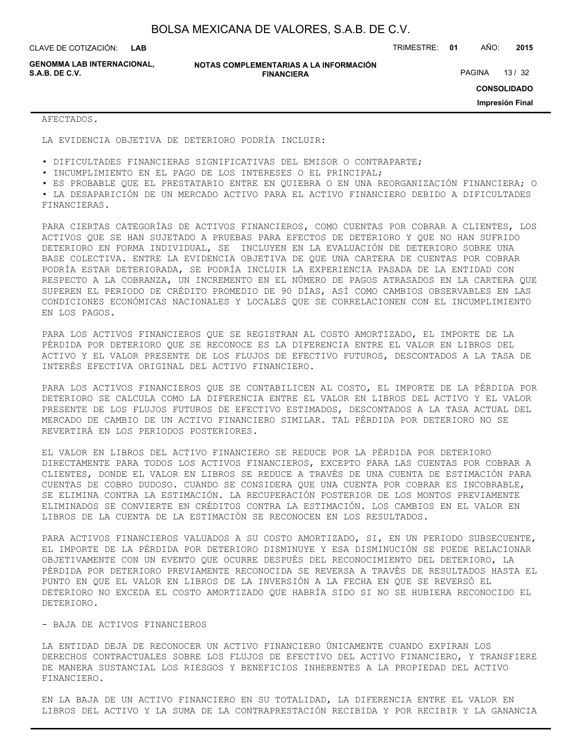**LAB**

**GENOMMA LAB INTERNACIONAL,**

```
NOTAS COMPLEMENTARIAS A LA INFORMACIÓN
   FINANCIERA
```
CLAVE DE COTIZACIÓN: TRIMESTRE: **01** AÑO: **2015**

PAGINA 13 / 32

**CONSOLIDADO**

**Impresión Final**

## AFECTADOS.

LA EVIDENCIA OBJETIVA DE DETERIORO PODRÍA INCLUIR:

• DIFICULTADES FINANCIERAS SIGNIFICATIVAS DEL EMISOR O CONTRAPARTE;

- INCUMPLIMIENTO EN EL PAGO DE LOS INTERESES O EL PRINCIPAL;
- ES PROBABLE QUE EL PRESTATARIO ENTRE EN QUIEBRA O EN UNA REORGANIZACIÓN FINANCIERA; O • LA DESAPARICIÓN DE UN MERCADO ACTIVO PARA EL ACTIVO FINANCIERO DEBIDO A DIFICULTADES

FINANCIERAS.

PARA CIERTAS CATEGORÍAS DE ACTIVOS FINANCIEROS, COMO CUENTAS POR COBRAR A CLIENTES, LOS ACTIVOS QUE SE HAN SUJETADO A PRUEBAS PARA EFECTOS DE DETERIORO Y QUE NO HAN SUFRIDO DETERIORO EN FORMA INDIVIDUAL, SE INCLUYEN EN LA EVALUACIÓN DE DETERIORO SOBRE UNA BASE COLECTIVA. ENTRE LA EVIDENCIA OBJETIVA DE QUE UNA CARTERA DE CUENTAS POR COBRAR PODRÍA ESTAR DETERIORADA, SE PODRÍA INCLUIR LA EXPERIENCIA PASADA DE LA ENTIDAD CON RESPECTO A LA COBRANZA, UN INCREMENTO EN EL NÚMERO DE PAGOS ATRASADOS EN LA CARTERA QUE SUPEREN EL PERIODO DE CRÉDITO PROMEDIO DE 90 DÍAS, ASÍ COMO CAMBIOS OBSERVABLES EN LAS CONDICIONES ECONÓMICAS NACIONALES Y LOCALES QUE SE CORRELACIONEN CON EL INCUMPLIMIENTO EN LOS PAGOS.

PARA LOS ACTIVOS FINANCIEROS QUE SE REGISTRAN AL COSTO AMORTIZADO, EL IMPORTE DE LA PÉRDIDA POR DETERIORO QUE SE RECONOCE ES LA DIFERENCIA ENTRE EL VALOR EN LIBROS DEL ACTIVO Y EL VALOR PRESENTE DE LOS FLUJOS DE EFECTIVO FUTUROS, DESCONTADOS A LA TASA DE INTERÉS EFECTIVA ORIGINAL DEL ACTIVO FINANCIERO.

PARA LOS ACTIVOS FINANCIEROS QUE SE CONTABILICEN AL COSTO, EL IMPORTE DE LA PÉRDIDA POR DETERIORO SE CALCULA COMO LA DIFERENCIA ENTRE EL VALOR EN LIBROS DEL ACTIVO Y EL VALOR PRESENTE DE LOS FLUJOS FUTUROS DE EFECTIVO ESTIMADOS, DESCONTADOS A LA TASA ACTUAL DEL MERCADO DE CAMBIO DE UN ACTIVO FINANCIERO SIMILAR. TAL PÉRDIDA POR DETERIORO NO SE REVERTIRÁ EN LOS PERIODOS POSTERIORES.

EL VALOR EN LIBROS DEL ACTIVO FINANCIERO SE REDUCE POR LA PÉRDIDA POR DETERIORO DIRECTAMENTE PARA TODOS LOS ACTIVOS FINANCIEROS, EXCEPTO PARA LAS CUENTAS POR COBRAR A CLIENTES, DONDE EL VALOR EN LIBROS SE REDUCE A TRAVÉS DE UNA CUENTA DE ESTIMACIÓN PARA CUENTAS DE COBRO DUDOSO. CUANDO SE CONSIDERA QUE UNA CUENTA POR COBRAR ES INCOBRABLE, SE ELIMINA CONTRA LA ESTIMACIÓN. LA RECUPERACIÓN POSTERIOR DE LOS MONTOS PREVIAMENTE ELIMINADOS SE CONVIERTE EN CRÉDITOS CONTRA LA ESTIMACIÓN. LOS CAMBIOS EN EL VALOR EN LIBROS DE LA CUENTA DE LA ESTIMACIÓN SE RECONOCEN EN LOS RESULTADOS.

PARA ACTIVOS FINANCIEROS VALUADOS A SU COSTO AMORTIZADO, SI, EN UN PERIODO SUBSECUENTE, EL IMPORTE DE LA PÉRDIDA POR DETERIORO DISMINUYE Y ESA DISMINUCIÓN SE PUEDE RELACIONAR OBJETIVAMENTE CON UN EVENTO QUE OCURRE DESPUÉS DEL RECONOCIMIENTO DEL DETERIORO, LA PÉRDIDA POR DETERIORO PREVIAMENTE RECONOCIDA SE REVERSA A TRAVÉS DE RESULTADOS HASTA EL PUNTO EN QUE EL VALOR EN LIBROS DE LA INVERSIÓN A LA FECHA EN QUE SE REVERSÓ EL DETERIORO NO EXCEDA EL COSTO AMORTIZADO QUE HABRÍA SIDO SI NO SE HUBIERA RECONOCIDO EL DETERIORO.

#### - BAJA DE ACTIVOS FINANCIEROS

LA ENTIDAD DEJA DE RECONOCER UN ACTIVO FINANCIERO ÚNICAMENTE CUANDO EXPIRAN LOS DERECHOS CONTRACTUALES SOBRE LOS FLUJOS DE EFECTIVO DEL ACTIVO FINANCIERO, Y TRANSFIERE DE MANERA SUSTANCIAL LOS RIESGOS Y BENEFICIOS INHERENTES A LA PROPIEDAD DEL ACTIVO FINANCIERO.

EN LA BAJA DE UN ACTIVO FINANCIERO EN SU TOTALIDAD, LA DIFERENCIA ENTRE EL VALOR EN LIBROS DEL ACTIVO Y LA SUMA DE LA CONTRAPRESTACIÓN RECIBIDA Y POR RECIBIR Y LA GANANCIA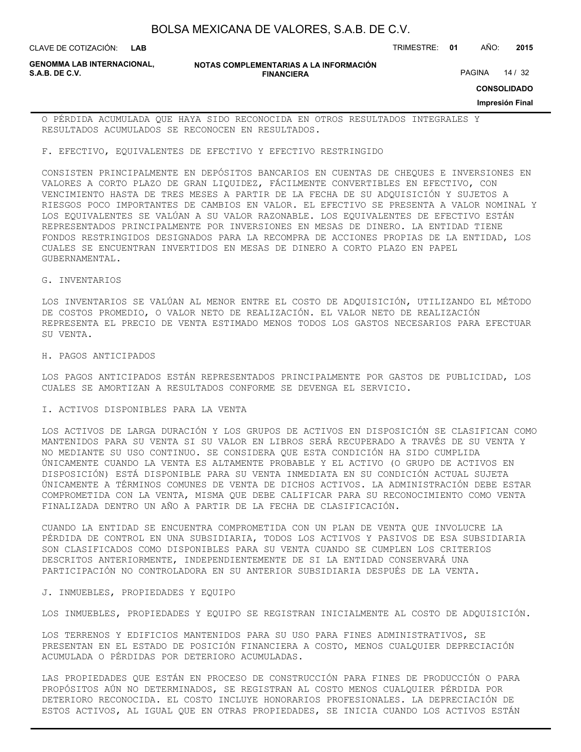**LAB**

CLAVE DE COTIZACIÓN: TRIMESTRE: **01** AÑO: **2015**

**GENOMMA LAB INTERNACIONAL,**

```
NOTAS COMPLEMENTARIAS A LA INFORMACIÓN
   FINANCIERA
```
PAGINA 14 / 32

**CONSOLIDADO**

**Impresión Final**

O PÉRDIDA ACUMULADA QUE HAYA SIDO RECONOCIDA EN OTROS RESULTADOS INTEGRALES Y RESULTADOS ACUMULADOS SE RECONOCEN EN RESULTADOS.

F. EFECTIVO, EQUIVALENTES DE EFECTIVO Y EFECTIVO RESTRINGIDO

CONSISTEN PRINCIPALMENTE EN DEPÓSITOS BANCARIOS EN CUENTAS DE CHEQUES E INVERSIONES EN VALORES A CORTO PLAZO DE GRAN LIQUIDEZ, FÁCILMENTE CONVERTIBLES EN EFECTIVO, CON VENCIMIENTO HASTA DE TRES MESES A PARTIR DE LA FECHA DE SU ADQUISICIÓN Y SUJETOS A RIESGOS POCO IMPORTANTES DE CAMBIOS EN VALOR. EL EFECTIVO SE PRESENTA A VALOR NOMINAL Y LOS EQUIVALENTES SE VALÚAN A SU VALOR RAZONABLE. LOS EQUIVALENTES DE EFECTIVO ESTÁN REPRESENTADOS PRINCIPALMENTE POR INVERSIONES EN MESAS DE DINERO. LA ENTIDAD TIENE FONDOS RESTRINGIDOS DESIGNADOS PARA LA RECOMPRA DE ACCIONES PROPIAS DE LA ENTIDAD, LOS CUALES SE ENCUENTRAN INVERTIDOS EN MESAS DE DINERO A CORTO PLAZO EN PAPEL GUBERNAMENTAL.

G. INVENTARIOS

LOS INVENTARIOS SE VALÚAN AL MENOR ENTRE EL COSTO DE ADQUISICIÓN, UTILIZANDO EL MÉTODO DE COSTOS PROMEDIO, O VALOR NETO DE REALIZACIÓN. EL VALOR NETO DE REALIZACIÓN REPRESENTA EL PRECIO DE VENTA ESTIMADO MENOS TODOS LOS GASTOS NECESARIOS PARA EFECTUAR SU VENTA.

H. PAGOS ANTICIPADOS

LOS PAGOS ANTICIPADOS ESTÁN REPRESENTADOS PRINCIPALMENTE POR GASTOS DE PUBLICIDAD, LOS CUALES SE AMORTIZAN A RESULTADOS CONFORME SE DEVENGA EL SERVICIO.

I. ACTIVOS DISPONIBLES PARA LA VENTA

LOS ACTIVOS DE LARGA DURACIÓN Y LOS GRUPOS DE ACTIVOS EN DISPOSICIÓN SE CLASIFICAN COMO MANTENIDOS PARA SU VENTA SI SU VALOR EN LIBROS SERÁ RECUPERADO A TRAVÉS DE SU VENTA Y NO MEDIANTE SU USO CONTINUO. SE CONSIDERA QUE ESTA CONDICIÓN HA SIDO CUMPLIDA ÚNICAMENTE CUANDO LA VENTA ES ALTAMENTE PROBABLE Y EL ACTIVO (O GRUPO DE ACTIVOS EN DISPOSICIÓN) ESTÁ DISPONIBLE PARA SU VENTA INMEDIATA EN SU CONDICIÓN ACTUAL SUJETA ÚNICAMENTE A TÉRMINOS COMUNES DE VENTA DE DICHOS ACTIVOS. LA ADMINISTRACIÓN DEBE ESTAR COMPROMETIDA CON LA VENTA, MISMA QUE DEBE CALIFICAR PARA SU RECONOCIMIENTO COMO VENTA FINALIZADA DENTRO UN AÑO A PARTIR DE LA FECHA DE CLASIFICACIÓN.

CUANDO LA ENTIDAD SE ENCUENTRA COMPROMETIDA CON UN PLAN DE VENTA QUE INVOLUCRE LA PÉRDIDA DE CONTROL EN UNA SUBSIDIARIA, TODOS LOS ACTIVOS Y PASIVOS DE ESA SUBSIDIARIA SON CLASIFICADOS COMO DISPONIBLES PARA SU VENTA CUANDO SE CUMPLEN LOS CRITERIOS DESCRITOS ANTERIORMENTE, INDEPENDIENTEMENTE DE SI LA ENTIDAD CONSERVARÁ UNA PARTICIPACIÓN NO CONTROLADORA EN SU ANTERIOR SUBSIDIARIA DESPUÉS DE LA VENTA.

J. INMUEBLES, PROPIEDADES Y EQUIPO

LOS INMUEBLES, PROPIEDADES Y EQUIPO SE REGISTRAN INICIALMENTE AL COSTO DE ADQUISICIÓN.

LOS TERRENOS Y EDIFICIOS MANTENIDOS PARA SU USO PARA FINES ADMINISTRATIVOS, SE PRESENTAN EN EL ESTADO DE POSICIÓN FINANCIERA A COSTO, MENOS CUALQUIER DEPRECIACIÓN ACUMULADA O PÉRDIDAS POR DETERIORO ACUMULADAS.

LAS PROPIEDADES QUE ESTÁN EN PROCESO DE CONSTRUCCIÓN PARA FINES DE PRODUCCIÓN O PARA PROPÓSITOS AÚN NO DETERMINADOS, SE REGISTRAN AL COSTO MENOS CUALQUIER PÉRDIDA POR DETERIORO RECONOCIDA. EL COSTO INCLUYE HONORARIOS PROFESIONALES. LA DEPRECIACIÓN DE ESTOS ACTIVOS, AL IGUAL QUE EN OTRAS PROPIEDADES, SE INICIA CUANDO LOS ACTIVOS ESTÁN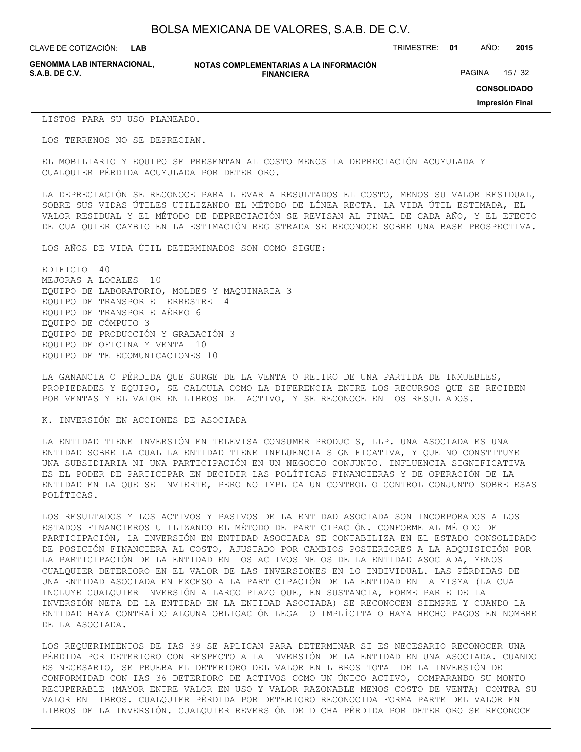CLAVE DE COTIZACIÓN: TRIMESTRE: **01** AÑO: **2015 LAB**

**GENOMMA LAB INTERNACIONAL,**

**NOTAS COMPLEMENTARIAS A LA INFORMACIÓN FINANCIERA**

PAGINA 15 / 32

**CONSOLIDADO**

**Impresión Final**

LISTOS PARA SU USO PLANEADO.

LOS TERRENOS NO SE DEPRECIAN.

EL MOBILIARIO Y EQUIPO SE PRESENTAN AL COSTO MENOS LA DEPRECIACIÓN ACUMULADA Y CUALQUIER PÉRDIDA ACUMULADA POR DETERIORO.

LA DEPRECIACIÓN SE RECONOCE PARA LLEVAR A RESULTADOS EL COSTO, MENOS SU VALOR RESIDUAL, SOBRE SUS VIDAS ÚTILES UTILIZANDO EL MÉTODO DE LÍNEA RECTA. LA VIDA ÚTIL ESTIMADA, EL VALOR RESIDUAL Y EL MÉTODO DE DEPRECIACIÓN SE REVISAN AL FINAL DE CADA AÑO, Y EL EFECTO DE CUALQUIER CAMBIO EN LA ESTIMACIÓN REGISTRADA SE RECONOCE SOBRE UNA BASE PROSPECTIVA.

LOS AÑOS DE VIDA ÚTIL DETERMINADOS SON COMO SIGUE:

EDIFICIO 40 MEJORAS A LOCALES 10 EQUIPO DE LABORATORIO, MOLDES Y MAQUINARIA 3 EQUIPO DE TRANSPORTE TERRESTRE 4 EQUIPO DE TRANSPORTE AÉREO 6 EQUIPO DE CÓMPUTO 3 EQUIPO DE PRODUCCIÓN Y GRABACIÓN 3 EQUIPO DE OFICINA Y VENTA 10 EQUIPO DE TELECOMUNICACIONES 10

LA GANANCIA O PÉRDIDA QUE SURGE DE LA VENTA O RETIRO DE UNA PARTIDA DE INMUEBLES, PROPIEDADES Y EQUIPO, SE CALCULA COMO LA DIFERENCIA ENTRE LOS RECURSOS QUE SE RECIBEN POR VENTAS Y EL VALOR EN LIBROS DEL ACTIVO, Y SE RECONOCE EN LOS RESULTADOS.

K. INVERSIÓN EN ACCIONES DE ASOCIADA

LA ENTIDAD TIENE INVERSIÓN EN TELEVISA CONSUMER PRODUCTS, LLP. UNA ASOCIADA ES UNA ENTIDAD SOBRE LA CUAL LA ENTIDAD TIENE INFLUENCIA SIGNIFICATIVA, Y QUE NO CONSTITUYE UNA SUBSIDIARIA NI UNA PARTICIPACIÓN EN UN NEGOCIO CONJUNTO. INFLUENCIA SIGNIFICATIVA ES EL PODER DE PARTICIPAR EN DECIDIR LAS POLÍTICAS FINANCIERAS Y DE OPERACIÓN DE LA ENTIDAD EN LA QUE SE INVIERTE, PERO NO IMPLICA UN CONTROL O CONTROL CONJUNTO SOBRE ESAS POLÍTICAS.

LOS RESULTADOS Y LOS ACTIVOS Y PASIVOS DE LA ENTIDAD ASOCIADA SON INCORPORADOS A LOS ESTADOS FINANCIEROS UTILIZANDO EL MÉTODO DE PARTICIPACIÓN. CONFORME AL MÉTODO DE PARTICIPACIÓN, LA INVERSIÓN EN ENTIDAD ASOCIADA SE CONTABILIZA EN EL ESTADO CONSOLIDADO DE POSICIÓN FINANCIERA AL COSTO, AJUSTADO POR CAMBIOS POSTERIORES A LA ADQUISICIÓN POR LA PARTICIPACIÓN DE LA ENTIDAD EN LOS ACTIVOS NETOS DE LA ENTIDAD ASOCIADA, MENOS CUALQUIER DETERIORO EN EL VALOR DE LAS INVERSIONES EN LO INDIVIDUAL. LAS PÉRDIDAS DE UNA ENTIDAD ASOCIADA EN EXCESO A LA PARTICIPACIÓN DE LA ENTIDAD EN LA MISMA (LA CUAL INCLUYE CUALQUIER INVERSIÓN A LARGO PLAZO QUE, EN SUSTANCIA, FORME PARTE DE LA INVERSIÓN NETA DE LA ENTIDAD EN LA ENTIDAD ASOCIADA) SE RECONOCEN SIEMPRE Y CUANDO LA ENTIDAD HAYA CONTRAÍDO ALGUNA OBLIGACIÓN LEGAL O IMPLÍCITA O HAYA HECHO PAGOS EN NOMBRE DE LA ASOCIADA.

LOS REQUERIMIENTOS DE IAS 39 SE APLICAN PARA DETERMINAR SI ES NECESARIO RECONOCER UNA PÉRDIDA POR DETERIORO CON RESPECTO A LA INVERSIÓN DE LA ENTIDAD EN UNA ASOCIADA. CUANDO ES NECESARIO, SE PRUEBA EL DETERIORO DEL VALOR EN LIBROS TOTAL DE LA INVERSIÓN DE CONFORMIDAD CON IAS 36 DETERIORO DE ACTIVOS COMO UN ÚNICO ACTIVO, COMPARANDO SU MONTO RECUPERABLE (MAYOR ENTRE VALOR EN USO Y VALOR RAZONABLE MENOS COSTO DE VENTA) CONTRA SU VALOR EN LIBROS. CUALQUIER PÉRDIDA POR DETERIORO RECONOCIDA FORMA PARTE DEL VALOR EN LIBROS DE LA INVERSIÓN. CUALQUIER REVERSIÓN DE DICHA PÉRDIDA POR DETERIORO SE RECONOCE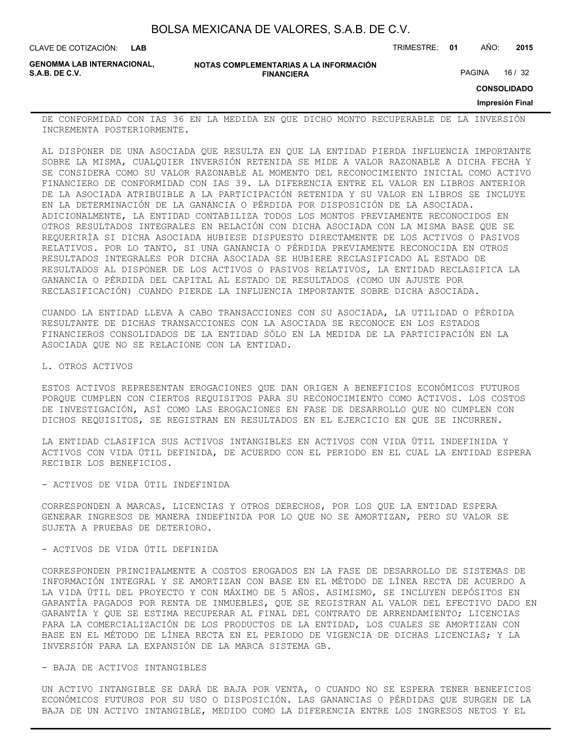| BOLSA MEXICANA DE VALORES, S.A.B. DE C.V. |  |  |  |
|-------------------------------------------|--|--|--|
|-------------------------------------------|--|--|--|

**LAB**

CLAVE DE COTIZACIÓN: TRIMESTRE: **01** AÑO: **2015**

**GENOMMA LAB INTERNACIONAL,**

PAGINA 16 / 32

**CONSOLIDADO**

# **Impresión Final**

DE CONFORMIDAD CON IAS 36 EN LA MEDIDA EN QUE DICHO MONTO RECUPERABLE DE LA INVERSIÓN INCREMENTA POSTERIORMENTE.

AL DISPONER DE UNA ASOCIADA QUE RESULTA EN QUE LA ENTIDAD PIERDA INFLUENCIA IMPORTANTE SOBRE LA MISMA, CUALQUIER INVERSIÓN RETENIDA SE MIDE A VALOR RAZONABLE A DICHA FECHA Y SE CONSIDERA COMO SU VALOR RAZONABLE AL MOMENTO DEL RECONOCIMIENTO INICIAL COMO ACTIVO FINANCIERO DE CONFORMIDAD CON IAS 39. LA DIFERENCIA ENTRE EL VALOR EN LIBROS ANTERIOR DE LA ASOCIADA ATRIBUIBLE A LA PARTICIPACIÓN RETENIDA Y SU VALOR EN LIBROS SE INCLUYE EN LA DETERMINACIÓN DE LA GANANCIA O PÉRDIDA POR DISPOSICIÓN DE LA ASOCIADA. ADICIONALMENTE, LA ENTIDAD CONTABILIZA TODOS LOS MONTOS PREVIAMENTE RECONOCIDOS EN OTROS RESULTADOS INTEGRALES EN RELACIÓN CON DICHA ASOCIADA CON LA MISMA BASE QUE SE REQUERIRÍA SI DICHA ASOCIADA HUBIESE DISPUESTO DIRECTAMENTE DE LOS ACTIVOS O PASIVOS RELATIVOS. POR LO TANTO, SI UNA GANANCIA O PÉRDIDA PREVIAMENTE RECONOCIDA EN OTROS RESULTADOS INTEGRALES POR DICHA ASOCIADA SE HUBIERE RECLASIFICADO AL ESTADO DE RESULTADOS AL DISPONER DE LOS ACTIVOS O PASIVOS RELATIVOS, LA ENTIDAD RECLASIFICA LA GANANCIA O PÉRDIDA DEL CAPITAL AL ESTADO DE RESULTADOS (COMO UN AJUSTE POR RECLASIFICACIÓN) CUANDO PIERDE LA INFLUENCIA IMPORTANTE SOBRE DICHA ASOCIADA.

CUANDO LA ENTIDAD LLEVA A CABO TRANSACCIONES CON SU ASOCIADA, LA UTILIDAD O PÉRDIDA RESULTANTE DE DICHAS TRANSACCIONES CON LA ASOCIADA SE RECONOCE EN LOS ESTADOS FINANCIEROS CONSOLIDADOS DE LA ENTIDAD SÓLO EN LA MEDIDA DE LA PARTICIPACIÓN EN LA ASOCIADA QUE NO SE RELACIONE CON LA ENTIDAD.

## L. OTROS ACTIVOS

ESTOS ACTIVOS REPRESENTAN EROGACIONES QUE DAN ORIGEN A BENEFICIOS ECONÓMICOS FUTUROS PORQUE CUMPLEN CON CIERTOS REQUISITOS PARA SU RECONOCIMIENTO COMO ACTIVOS. LOS COSTOS DE INVESTIGACIÓN, ASÍ COMO LAS EROGACIONES EN FASE DE DESARROLLO QUE NO CUMPLEN CON DICHOS REQUISITOS, SE REGISTRAN EN RESULTADOS EN EL EJERCICIO EN QUE SE INCURREN.

LA ENTIDAD CLASIFICA SUS ACTIVOS INTANGIBLES EN ACTIVOS CON VIDA ÚTIL INDEFINIDA Y ACTIVOS CON VIDA ÚTIL DEFINIDA, DE ACUERDO CON EL PERIODO EN EL CUAL LA ENTIDAD ESPERA RECIBIR LOS BENEFICIOS.

## - ACTIVOS DE VIDA ÚTIL INDEFINIDA

CORRESPONDEN A MARCAS, LICENCIAS Y OTROS DERECHOS, POR LOS QUE LA ENTIDAD ESPERA GENERAR INGRESOS DE MANERA INDEFINIDA POR LO QUE NO SE AMORTIZAN, PERO SU VALOR SE SUJETA A PRUEBAS DE DETERIORO.

## - ACTIVOS DE VIDA ÚTIL DEFINIDA

CORRESPONDEN PRINCIPALMENTE A COSTOS EROGADOS EN LA FASE DE DESARROLLO DE SISTEMAS DE INFORMACIÓN INTEGRAL Y SE AMORTIZAN CON BASE EN EL MÉTODO DE LÍNEA RECTA DE ACUERDO A LA VIDA ÚTIL DEL PROYECTO Y CON MÁXIMO DE 5 AÑOS. ASIMISMO, SE INCLUYEN DEPÓSITOS EN GARANTÍA PAGADOS POR RENTA DE INMUEBLES, QUE SE REGISTRAN AL VALOR DEL EFECTIVO DADO EN GARANTÍA Y QUE SE ESTIMA RECUPERAR AL FINAL DEL CONTRATO DE ARRENDAMIENTO; LICENCIAS PARA LA COMERCIALIZACIÓN DE LOS PRODUCTOS DE LA ENTIDAD, LOS CUALES SE AMORTIZAN CON BASE EN EL MÉTODO DE LÍNEA RECTA EN EL PERIODO DE VIGENCIA DE DICHAS LICENCIAS; Y LA INVERSIÓN PARA LA EXPANSIÓN DE LA MARCA SISTEMA GB.

## - BAJA DE ACTIVOS INTANGIBLES

UN ACTIVO INTANGIBLE SE DARÁ DE BAJA POR VENTA, O CUANDO NO SE ESPERA TENER BENEFICIOS ECONÓMICOS FUTUROS POR SU USO O DISPOSICIÓN. LAS GANANCIAS O PÉRDIDAS QUE SURGEN DE LA BAJA DE UN ACTIVO INTANGIBLE, MEDIDO COMO LA DIFERENCIA ENTRE LOS INGRESOS NETOS Y EL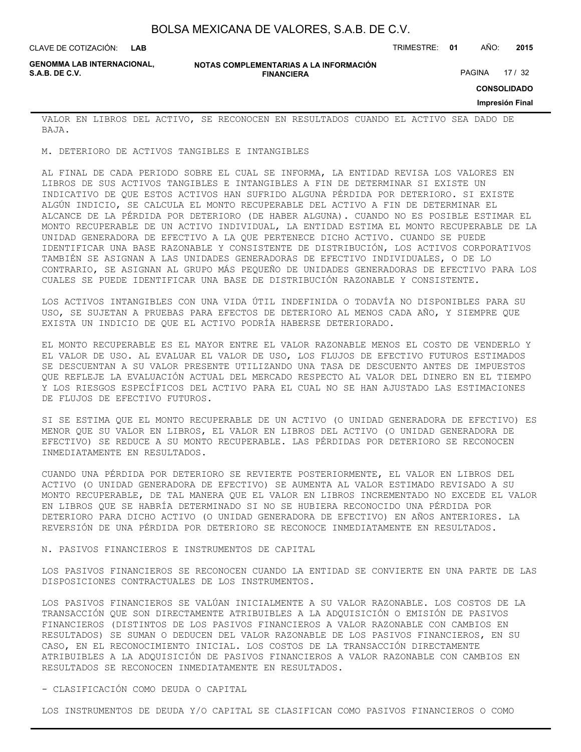**LAB**

CLAVE DE COTIZACIÓN: TRIMESTRE: **01** AÑO: **2015**

**GENOMMA LAB INTERNACIONAL,**

| NOTAS COMPLEMENTARIAS A LA INFORMACIÓN |  |
|----------------------------------------|--|
| <b>FINANCIERA</b>                      |  |

PAGINA 17 / 32

**CONSOLIDADO**

#### **Impresión Final**

VALOR EN LIBROS DEL ACTIVO, SE RECONOCEN EN RESULTADOS CUANDO EL ACTIVO SEA DADO DE BAJA.

M. DETERIORO DE ACTIVOS TANGIBLES E INTANGIBLES

AL FINAL DE CADA PERIODO SOBRE EL CUAL SE INFORMA, LA ENTIDAD REVISA LOS VALORES EN LIBROS DE SUS ACTIVOS TANGIBLES E INTANGIBLES A FIN DE DETERMINAR SI EXISTE UN INDICATIVO DE QUE ESTOS ACTIVOS HAN SUFRIDO ALGUNA PÉRDIDA POR DETERIORO. SI EXISTE ALGÚN INDICIO, SE CALCULA EL MONTO RECUPERABLE DEL ACTIVO A FIN DE DETERMINAR EL ALCANCE DE LA PÉRDIDA POR DETERIORO (DE HABER ALGUNA). CUANDO NO ES POSIBLE ESTIMAR EL MONTO RECUPERABLE DE UN ACTIVO INDIVIDUAL, LA ENTIDAD ESTIMA EL MONTO RECUPERABLE DE LA UNIDAD GENERADORA DE EFECTIVO A LA QUE PERTENECE DICHO ACTIVO. CUANDO SE PUEDE IDENTIFICAR UNA BASE RAZONABLE Y CONSISTENTE DE DISTRIBUCIÓN, LOS ACTIVOS CORPORATIVOS TAMBIÉN SE ASIGNAN A LAS UNIDADES GENERADORAS DE EFECTIVO INDIVIDUALES, O DE LO CONTRARIO, SE ASIGNAN AL GRUPO MÁS PEQUEÑO DE UNIDADES GENERADORAS DE EFECTIVO PARA LOS CUALES SE PUEDE IDENTIFICAR UNA BASE DE DISTRIBUCIÓN RAZONABLE Y CONSISTENTE.

LOS ACTIVOS INTANGIBLES CON UNA VIDA ÚTIL INDEFINIDA O TODAVÍA NO DISPONIBLES PARA SU USO, SE SUJETAN A PRUEBAS PARA EFECTOS DE DETERIORO AL MENOS CADA AÑO, Y SIEMPRE QUE EXISTA UN INDICIO DE QUE EL ACTIVO PODRÍA HABERSE DETERIORADO.

EL MONTO RECUPERABLE ES EL MAYOR ENTRE EL VALOR RAZONABLE MENOS EL COSTO DE VENDERLO Y EL VALOR DE USO. AL EVALUAR EL VALOR DE USO, LOS FLUJOS DE EFECTIVO FUTUROS ESTIMADOS SE DESCUENTAN A SU VALOR PRESENTE UTILIZANDO UNA TASA DE DESCUENTO ANTES DE IMPUESTOS QUE REFLEJE LA EVALUACIÓN ACTUAL DEL MERCADO RESPECTO AL VALOR DEL DINERO EN EL TIEMPO Y LOS RIESGOS ESPECÍFICOS DEL ACTIVO PARA EL CUAL NO SE HAN AJUSTADO LAS ESTIMACIONES DE FLUJOS DE EFECTIVO FUTUROS.

SI SE ESTIMA QUE EL MONTO RECUPERABLE DE UN ACTIVO (O UNIDAD GENERADORA DE EFECTIVO) ES MENOR QUE SU VALOR EN LIBROS, EL VALOR EN LIBROS DEL ACTIVO (O UNIDAD GENERADORA DE EFECTIVO) SE REDUCE A SU MONTO RECUPERABLE. LAS PÉRDIDAS POR DETERIORO SE RECONOCEN INMEDIATAMENTE EN RESULTADOS.

CUANDO UNA PÉRDIDA POR DETERIORO SE REVIERTE POSTERIORMENTE, EL VALOR EN LIBROS DEL ACTIVO (O UNIDAD GENERADORA DE EFECTIVO) SE AUMENTA AL VALOR ESTIMADO REVISADO A SU MONTO RECUPERABLE, DE TAL MANERA QUE EL VALOR EN LIBROS INCREMENTADO NO EXCEDE EL VALOR EN LIBROS QUE SE HABRÍA DETERMINADO SI NO SE HUBIERA RECONOCIDO UNA PÉRDIDA POR DETERIORO PARA DICHO ACTIVO (O UNIDAD GENERADORA DE EFECTIVO) EN AÑOS ANTERIORES. LA REVERSIÓN DE UNA PÉRDIDA POR DETERIORO SE RECONOCE INMEDIATAMENTE EN RESULTADOS.

N. PASIVOS FINANCIEROS E INSTRUMENTOS DE CAPITAL

LOS PASIVOS FINANCIEROS SE RECONOCEN CUANDO LA ENTIDAD SE CONVIERTE EN UNA PARTE DE LAS DISPOSICIONES CONTRACTUALES DE LOS INSTRUMENTOS.

LOS PASIVOS FINANCIEROS SE VALÚAN INICIALMENTE A SU VALOR RAZONABLE. LOS COSTOS DE LA TRANSACCIÓN QUE SON DIRECTAMENTE ATRIBUIBLES A LA ADQUISICIÓN O EMISIÓN DE PASIVOS FINANCIEROS (DISTINTOS DE LOS PASIVOS FINANCIEROS A VALOR RAZONABLE CON CAMBIOS EN RESULTADOS) SE SUMAN O DEDUCEN DEL VALOR RAZONABLE DE LOS PASIVOS FINANCIEROS, EN SU CASO, EN EL RECONOCIMIENTO INICIAL. LOS COSTOS DE LA TRANSACCIÓN DIRECTAMENTE ATRIBUIBLES A LA ADQUISICIÓN DE PASIVOS FINANCIEROS A VALOR RAZONABLE CON CAMBIOS EN RESULTADOS SE RECONOCEN INMEDIATAMENTE EN RESULTADOS.

- CLASIFICACIÓN COMO DEUDA O CAPITAL

LOS INSTRUMENTOS DE DEUDA Y/O CAPITAL SE CLASIFICAN COMO PASIVOS FINANCIEROS O COMO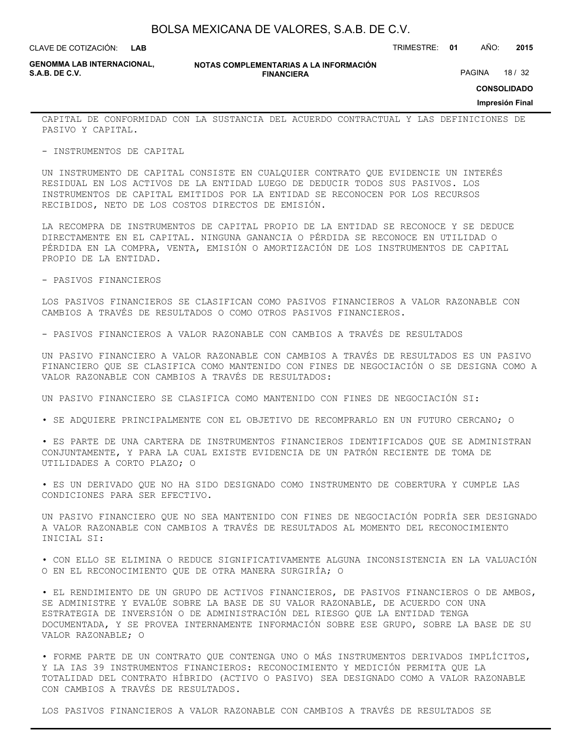**LAB**

CLAVE DE COTIZACIÓN: TRIMESTRE: **01** AÑO: **2015**

**GENOMMA LAB INTERNACIONAL,**

**NOTAS COMPLEMENTARIAS A LA INFORMACIÓN FINANCIERA**

PAGINA 18 / 32

**CONSOLIDADO**

**Impresión Final**

CAPITAL DE CONFORMIDAD CON LA SUSTANCIA DEL ACUERDO CONTRACTUAL Y LAS DEFINICIONES DE PASIVO Y CAPITAL.

- INSTRUMENTOS DE CAPITAL

UN INSTRUMENTO DE CAPITAL CONSISTE EN CUALQUIER CONTRATO QUE EVIDENCIE UN INTERÉS RESIDUAL EN LOS ACTIVOS DE LA ENTIDAD LUEGO DE DEDUCIR TODOS SUS PASIVOS. LOS INSTRUMENTOS DE CAPITAL EMITIDOS POR LA ENTIDAD SE RECONOCEN POR LOS RECURSOS RECIBIDOS, NETO DE LOS COSTOS DIRECTOS DE EMISIÓN.

LA RECOMPRA DE INSTRUMENTOS DE CAPITAL PROPIO DE LA ENTIDAD SE RECONOCE Y SE DEDUCE DIRECTAMENTE EN EL CAPITAL. NINGUNA GANANCIA O PÉRDIDA SE RECONOCE EN UTILIDAD O PÉRDIDA EN LA COMPRA, VENTA, EMISIÓN O AMORTIZACIÓN DE LOS INSTRUMENTOS DE CAPITAL PROPIO DE LA ENTIDAD.

- PASIVOS FINANCIEROS

LOS PASIVOS FINANCIEROS SE CLASIFICAN COMO PASIVOS FINANCIEROS A VALOR RAZONABLE CON CAMBIOS A TRAVÉS DE RESULTADOS O COMO OTROS PASIVOS FINANCIEROS.

- PASIVOS FINANCIEROS A VALOR RAZONABLE CON CAMBIOS A TRAVÉS DE RESULTADOS

UN PASIVO FINANCIERO A VALOR RAZONABLE CON CAMBIOS A TRAVÉS DE RESULTADOS ES UN PASIVO FINANCIERO QUE SE CLASIFICA COMO MANTENIDO CON FINES DE NEGOCIACIÓN O SE DESIGNA COMO A VALOR RAZONABLE CON CAMBIOS A TRAVÉS DE RESULTADOS:

UN PASIVO FINANCIERO SE CLASIFICA COMO MANTENIDO CON FINES DE NEGOCIACIÓN SI:

• SE ADQUIERE PRINCIPALMENTE CON EL OBJETIVO DE RECOMPRARLO EN UN FUTURO CERCANO; O

• ES PARTE DE UNA CARTERA DE INSTRUMENTOS FINANCIEROS IDENTIFICADOS QUE SE ADMINISTRAN CONJUNTAMENTE, Y PARA LA CUAL EXISTE EVIDENCIA DE UN PATRÓN RECIENTE DE TOMA DE UTILIDADES A CORTO PLAZO; O

• ES UN DERIVADO QUE NO HA SIDO DESIGNADO COMO INSTRUMENTO DE COBERTURA Y CUMPLE LAS CONDICIONES PARA SER EFECTIVO.

UN PASIVO FINANCIERO QUE NO SEA MANTENIDO CON FINES DE NEGOCIACIÓN PODRÍA SER DESIGNADO A VALOR RAZONABLE CON CAMBIOS A TRAVÉS DE RESULTADOS AL MOMENTO DEL RECONOCIMIENTO INICIAL SI:

• CON ELLO SE ELIMINA O REDUCE SIGNIFICATIVAMENTE ALGUNA INCONSISTENCIA EN LA VALUACIÓN O EN EL RECONOCIMIENTO QUE DE OTRA MANERA SURGIRÍA; O

• EL RENDIMIENTO DE UN GRUPO DE ACTIVOS FINANCIEROS, DE PASIVOS FINANCIEROS O DE AMBOS, SE ADMINISTRE Y EVALÚE SOBRE LA BASE DE SU VALOR RAZONABLE, DE ACUERDO CON UNA ESTRATEGIA DE INVERSIÓN O DE ADMINISTRACIÓN DEL RIESGO QUE LA ENTIDAD TENGA DOCUMENTADA, Y SE PROVEA INTERNAMENTE INFORMACIÓN SOBRE ESE GRUPO, SOBRE LA BASE DE SU VALOR RAZONABLE; O

• FORME PARTE DE UN CONTRATO QUE CONTENGA UNO O MÁS INSTRUMENTOS DERIVADOS IMPLÍCITOS, Y LA IAS 39 INSTRUMENTOS FINANCIEROS: RECONOCIMIENTO Y MEDICIÓN PERMITA QUE LA TOTALIDAD DEL CONTRATO HÍBRIDO (ACTIVO O PASIVO) SEA DESIGNADO COMO A VALOR RAZONABLE CON CAMBIOS A TRAVÉS DE RESULTADOS.

LOS PASIVOS FINANCIEROS A VALOR RAZONABLE CON CAMBIOS A TRAVÉS DE RESULTADOS SE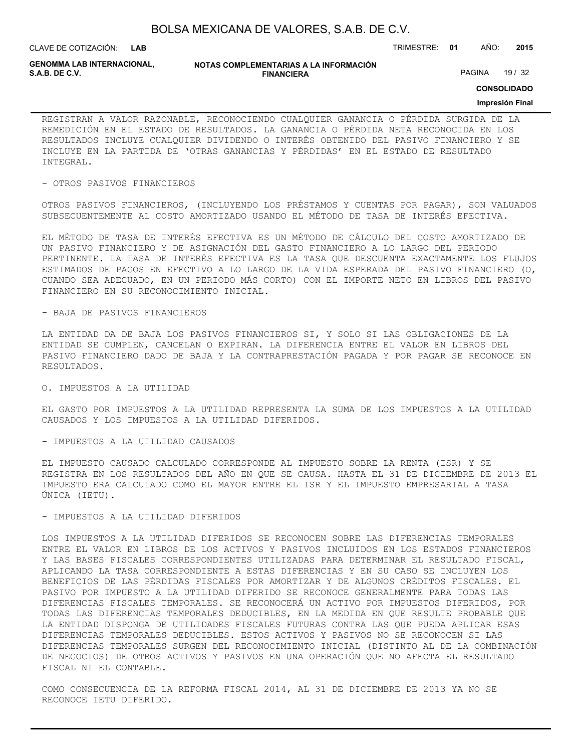| BOLSA MEXICANA DE VALORES, S.A.B. DE C.V. |  |  |  |
|-------------------------------------------|--|--|--|
|-------------------------------------------|--|--|--|

CLAVE DE COTIZACIÓN: TRIMESTRE: **01** AÑO: **2015 LAB**

**GENOMMA LAB INTERNACIONAL,**

**NOTAS COMPLEMENTARIAS A LA INFORMACIÓN FINANCIERA**

PAGINA 19 / 32

**CONSOLIDADO**

#### **Impresión Final**

REGISTRAN A VALOR RAZONABLE, RECONOCIENDO CUALQUIER GANANCIA O PÉRDIDA SURGIDA DE LA REMEDICIÓN EN EL ESTADO DE RESULTADOS. LA GANANCIA O PÉRDIDA NETA RECONOCIDA EN LOS RESULTADOS INCLUYE CUALQUIER DIVIDENDO O INTERÉS OBTENIDO DEL PASIVO FINANCIERO Y SE INCLUYE EN LA PARTIDA DE 'OTRAS GANANCIAS Y PÉRDIDAS' EN EL ESTADO DE RESULTADO INTEGRAL.

## - OTROS PASIVOS FINANCIEROS

OTROS PASIVOS FINANCIEROS, (INCLUYENDO LOS PRÉSTAMOS Y CUENTAS POR PAGAR), SON VALUADOS SUBSECUENTEMENTE AL COSTO AMORTIZADO USANDO EL MÉTODO DE TASA DE INTERÉS EFECTIVA.

EL MÉTODO DE TASA DE INTERÉS EFECTIVA ES UN MÉTODO DE CÁLCULO DEL COSTO AMORTIZADO DE UN PASIVO FINANCIERO Y DE ASIGNACIÓN DEL GASTO FINANCIERO A LO LARGO DEL PERIODO PERTINENTE. LA TASA DE INTERÉS EFECTIVA ES LA TASA QUE DESCUENTA EXACTAMENTE LOS FLUJOS ESTIMADOS DE PAGOS EN EFECTIVO A LO LARGO DE LA VIDA ESPERADA DEL PASIVO FINANCIERO (O, CUANDO SEA ADECUADO, EN UN PERIODO MÁS CORTO) CON EL IMPORTE NETO EN LIBROS DEL PASIVO FINANCIERO EN SU RECONOCIMIENTO INICIAL.

#### - BAJA DE PASIVOS FINANCIEROS

LA ENTIDAD DA DE BAJA LOS PASIVOS FINANCIEROS SI, Y SOLO SI LAS OBLIGACIONES DE LA ENTIDAD SE CUMPLEN, CANCELAN O EXPIRAN. LA DIFERENCIA ENTRE EL VALOR EN LIBROS DEL PASIVO FINANCIERO DADO DE BAJA Y LA CONTRAPRESTACIÓN PAGADA Y POR PAGAR SE RECONOCE EN RESULTADOS.

#### O. IMPUESTOS A LA UTILIDAD

EL GASTO POR IMPUESTOS A LA UTILIDAD REPRESENTA LA SUMA DE LOS IMPUESTOS A LA UTILIDAD CAUSADOS Y LOS IMPUESTOS A LA UTILIDAD DIFERIDOS.

#### - IMPUESTOS A LA UTILIDAD CAUSADOS

EL IMPUESTO CAUSADO CALCULADO CORRESPONDE AL IMPUESTO SOBRE LA RENTA (ISR) Y SE REGISTRA EN LOS RESULTADOS DEL AÑO EN QUE SE CAUSA. HASTA EL 31 DE DICIEMBRE DE 2013 EL IMPUESTO ERA CALCULADO COMO EL MAYOR ENTRE EL ISR Y EL IMPUESTO EMPRESARIAL A TASA ÚNICA (IETU).

## - IMPUESTOS A LA UTILIDAD DIFERIDOS

LOS IMPUESTOS A LA UTILIDAD DIFERIDOS SE RECONOCEN SOBRE LAS DIFERENCIAS TEMPORALES ENTRE EL VALOR EN LIBROS DE LOS ACTIVOS Y PASIVOS INCLUIDOS EN LOS ESTADOS FINANCIEROS Y LAS BASES FISCALES CORRESPONDIENTES UTILIZADAS PARA DETERMINAR EL RESULTADO FISCAL, APLICANDO LA TASA CORRESPONDIENTE A ESTAS DIFERENCIAS Y EN SU CASO SE INCLUYEN LOS BENEFICIOS DE LAS PÉRDIDAS FISCALES POR AMORTIZAR Y DE ALGUNOS CRÉDITOS FISCALES. EL PASIVO POR IMPUESTO A LA UTILIDAD DIFERIDO SE RECONOCE GENERALMENTE PARA TODAS LAS DIFERENCIAS FISCALES TEMPORALES. SE RECONOCERÁ UN ACTIVO POR IMPUESTOS DIFERIDOS, POR TODAS LAS DIFERENCIAS TEMPORALES DEDUCIBLES, EN LA MEDIDA EN QUE RESULTE PROBABLE QUE LA ENTIDAD DISPONGA DE UTILIDADES FISCALES FUTURAS CONTRA LAS QUE PUEDA APLICAR ESAS DIFERENCIAS TEMPORALES DEDUCIBLES. ESTOS ACTIVOS Y PASIVOS NO SE RECONOCEN SI LAS DIFERENCIAS TEMPORALES SURGEN DEL RECONOCIMIENTO INICIAL (DISTINTO AL DE LA COMBINACIÓN DE NEGOCIOS) DE OTROS ACTIVOS Y PASIVOS EN UNA OPERACIÓN QUE NO AFECTA EL RESULTADO FISCAL NI EL CONTABLE.

COMO CONSECUENCIA DE LA REFORMA FISCAL 2014, AL 31 DE DICIEMBRE DE 2013 YA NO SE RECONOCE IETU DIFERIDO.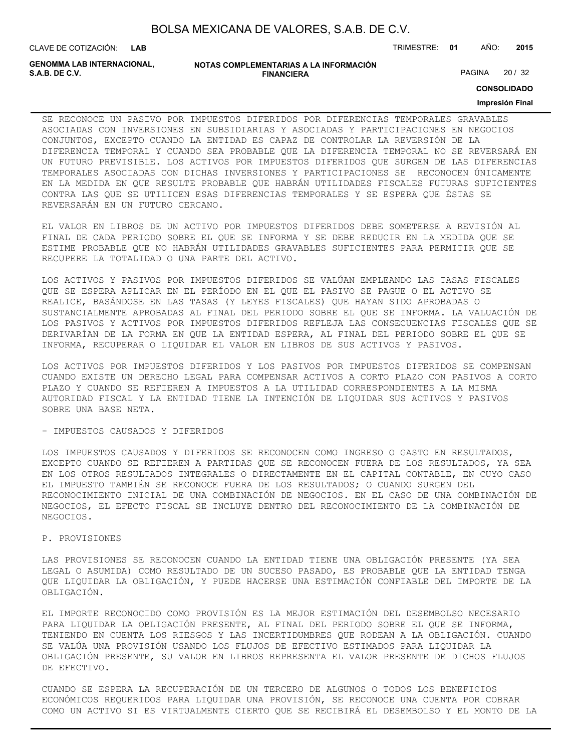**LAB**

CLAVE DE COTIZACIÓN: TRIMESTRE: **01** AÑO: **2015**

**GENOMMA LAB INTERNACIONAL,**

```
NOTAS COMPLEMENTARIAS A LA INFORMACIÓN
   FINANCIERA
```
PAGINA 20 / 32

**CONSOLIDADO**

#### **Impresión Final**

SE RECONOCE UN PASIVO POR IMPUESTOS DIFERIDOS POR DIFERENCIAS TEMPORALES GRAVABLES ASOCIADAS CON INVERSIONES EN SUBSIDIARIAS Y ASOCIADAS Y PARTICIPACIONES EN NEGOCIOS CONJUNTOS, EXCEPTO CUANDO LA ENTIDAD ES CAPAZ DE CONTROLAR LA REVERSIÓN DE LA DIFERENCIA TEMPORAL Y CUANDO SEA PROBABLE QUE LA DIFERENCIA TEMPORAL NO SE REVERSARÁ EN UN FUTURO PREVISIBLE. LOS ACTIVOS POR IMPUESTOS DIFERIDOS QUE SURGEN DE LAS DIFERENCIAS TEMPORALES ASOCIADAS CON DICHAS INVERSIONES Y PARTICIPACIONES SE RECONOCEN ÚNICAMENTE EN LA MEDIDA EN QUE RESULTE PROBABLE QUE HABRÁN UTILIDADES FISCALES FUTURAS SUFICIENTES CONTRA LAS QUE SE UTILICEN ESAS DIFERENCIAS TEMPORALES Y SE ESPERA QUE ÉSTAS SE REVERSARÁN EN UN FUTURO CERCANO.

EL VALOR EN LIBROS DE UN ACTIVO POR IMPUESTOS DIFERIDOS DEBE SOMETERSE A REVISIÓN AL FINAL DE CADA PERIODO SOBRE EL QUE SE INFORMA Y SE DEBE REDUCIR EN LA MEDIDA QUE SE ESTIME PROBABLE QUE NO HABRÁN UTILIDADES GRAVABLES SUFICIENTES PARA PERMITIR QUE SE RECUPERE LA TOTALIDAD O UNA PARTE DEL ACTIVO.

LOS ACTIVOS Y PASIVOS POR IMPUESTOS DIFERIDOS SE VALÚAN EMPLEANDO LAS TASAS FISCALES QUE SE ESPERA APLICAR EN EL PERÍODO EN EL QUE EL PASIVO SE PAGUE O EL ACTIVO SE REALICE, BASÁNDOSE EN LAS TASAS (Y LEYES FISCALES) QUE HAYAN SIDO APROBADAS O SUSTANCIALMENTE APROBADAS AL FINAL DEL PERIODO SOBRE EL QUE SE INFORMA. LA VALUACIÓN DE LOS PASIVOS Y ACTIVOS POR IMPUESTOS DIFERIDOS REFLEJA LAS CONSECUENCIAS FISCALES QUE SE DERIVARÍAN DE LA FORMA EN QUE LA ENTIDAD ESPERA, AL FINAL DEL PERIODO SOBRE EL QUE SE INFORMA, RECUPERAR O LIQUIDAR EL VALOR EN LIBROS DE SUS ACTIVOS Y PASIVOS.

LOS ACTIVOS POR IMPUESTOS DIFERIDOS Y LOS PASIVOS POR IMPUESTOS DIFERIDOS SE COMPENSAN CUANDO EXISTE UN DERECHO LEGAL PARA COMPENSAR ACTIVOS A CORTO PLAZO CON PASIVOS A CORTO PLAZO Y CUANDO SE REFIEREN A IMPUESTOS A LA UTILIDAD CORRESPONDIENTES A LA MISMA AUTORIDAD FISCAL Y LA ENTIDAD TIENE LA INTENCIÓN DE LIQUIDAR SUS ACTIVOS Y PASIVOS SOBRE UNA BASE NETA.

## - IMPUESTOS CAUSADOS Y DIFERIDOS

LOS IMPUESTOS CAUSADOS Y DIFERIDOS SE RECONOCEN COMO INGRESO O GASTO EN RESULTADOS, EXCEPTO CUANDO SE REFIEREN A PARTIDAS QUE SE RECONOCEN FUERA DE LOS RESULTADOS, YA SEA EN LOS OTROS RESULTADOS INTEGRALES O DIRECTAMENTE EN EL CAPITAL CONTABLE, EN CUYO CASO EL IMPUESTO TAMBIÉN SE RECONOCE FUERA DE LOS RESULTADOS; O CUANDO SURGEN DEL RECONOCIMIENTO INICIAL DE UNA COMBINACIÓN DE NEGOCIOS. EN EL CASO DE UNA COMBINACIÓN DE NEGOCIOS, EL EFECTO FISCAL SE INCLUYE DENTRO DEL RECONOCIMIENTO DE LA COMBINACIÓN DE NEGOCIOS.

## P. PROVISIONES

LAS PROVISIONES SE RECONOCEN CUANDO LA ENTIDAD TIENE UNA OBLIGACIÓN PRESENTE (YA SEA LEGAL O ASUMIDA) COMO RESULTADO DE UN SUCESO PASADO, ES PROBABLE QUE LA ENTIDAD TENGA QUE LIQUIDAR LA OBLIGACIÓN, Y PUEDE HACERSE UNA ESTIMACIÓN CONFIABLE DEL IMPORTE DE LA OBLIGACIÓN.

EL IMPORTE RECONOCIDO COMO PROVISIÓN ES LA MEJOR ESTIMACIÓN DEL DESEMBOLSO NECESARIO PARA LIQUIDAR LA OBLIGACIÓN PRESENTE, AL FINAL DEL PERIODO SOBRE EL QUE SE INFORMA, TENIENDO EN CUENTA LOS RIESGOS Y LAS INCERTIDUMBRES QUE RODEAN A LA OBLIGACIÓN. CUANDO SE VALÚA UNA PROVISIÓN USANDO LOS FLUJOS DE EFECTIVO ESTIMADOS PARA LIQUIDAR LA OBLIGACIÓN PRESENTE, SU VALOR EN LIBROS REPRESENTA EL VALOR PRESENTE DE DICHOS FLUJOS DE EFECTIVO.

CUANDO SE ESPERA LA RECUPERACIÓN DE UN TERCERO DE ALGUNOS O TODOS LOS BENEFICIOS ECONÓMICOS REQUERIDOS PARA LIQUIDAR UNA PROVISIÓN, SE RECONOCE UNA CUENTA POR COBRAR COMO UN ACTIVO SI ES VIRTUALMENTE CIERTO QUE SE RECIBIRÁ EL DESEMBOLSO Y EL MONTO DE LA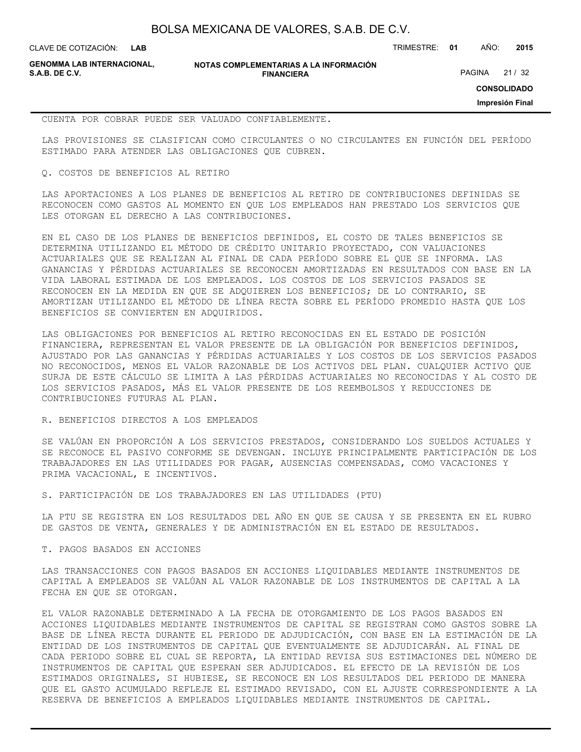**LAB**

CLAVE DE COTIZACIÓN: TRIMESTRE: **01** AÑO: **2015**

**GENOMMA LAB INTERNACIONAL,**

**NOTAS COMPLEMENTARIAS A LA INFORMACIÓN FINANCIERA**

PAGINA 21 / 32

**CONSOLIDADO**

**Impresión Final**

#### CUENTA POR COBRAR PUEDE SER VALUADO CONFIABLEMENTE.

LAS PROVISIONES SE CLASIFICAN COMO CIRCULANTES O NO CIRCULANTES EN FUNCIÓN DEL PERÍODO ESTIMADO PARA ATENDER LAS OBLIGACIONES QUE CUBREN.

### Q. COSTOS DE BENEFICIOS AL RETIRO

LAS APORTACIONES A LOS PLANES DE BENEFICIOS AL RETIRO DE CONTRIBUCIONES DEFINIDAS SE RECONOCEN COMO GASTOS AL MOMENTO EN QUE LOS EMPLEADOS HAN PRESTADO LOS SERVICIOS QUE LES OTORGAN EL DERECHO A LAS CONTRIBUCIONES.

EN EL CASO DE LOS PLANES DE BENEFICIOS DEFINIDOS, EL COSTO DE TALES BENEFICIOS SE DETERMINA UTILIZANDO EL MÉTODO DE CRÉDITO UNITARIO PROYECTADO, CON VALUACIONES ACTUARIALES QUE SE REALIZAN AL FINAL DE CADA PERÍODO SOBRE EL QUE SE INFORMA. LAS GANANCIAS Y PÉRDIDAS ACTUARIALES SE RECONOCEN AMORTIZADAS EN RESULTADOS CON BASE EN LA VIDA LABORAL ESTIMADA DE LOS EMPLEADOS. LOS COSTOS DE LOS SERVICIOS PASADOS SE RECONOCEN EN LA MEDIDA EN QUE SE ADQUIEREN LOS BENEFICIOS; DE LO CONTRARIO, SE AMORTIZAN UTILIZANDO EL MÉTODO DE LÍNEA RECTA SOBRE EL PERÍODO PROMEDIO HASTA QUE LOS BENEFICIOS SE CONVIERTEN EN ADQUIRIDOS.

LAS OBLIGACIONES POR BENEFICIOS AL RETIRO RECONOCIDAS EN EL ESTADO DE POSICIÓN FINANCIERA, REPRESENTAN EL VALOR PRESENTE DE LA OBLIGACIÓN POR BENEFICIOS DEFINIDOS, AJUSTADO POR LAS GANANCIAS Y PÉRDIDAS ACTUARIALES Y LOS COSTOS DE LOS SERVICIOS PASADOS NO RECONOCIDOS, MENOS EL VALOR RAZONABLE DE LOS ACTIVOS DEL PLAN. CUALQUIER ACTIVO QUE SURJA DE ESTE CÁLCULO SE LIMITA A LAS PÉRDIDAS ACTUARIALES NO RECONOCIDAS Y AL COSTO DE LOS SERVICIOS PASADOS, MÁS EL VALOR PRESENTE DE LOS REEMBOLSOS Y REDUCCIONES DE CONTRIBUCIONES FUTURAS AL PLAN.

### R. BENEFICIOS DIRECTOS A LOS EMPLEADOS

SE VALÚAN EN PROPORCIÓN A LOS SERVICIOS PRESTADOS, CONSIDERANDO LOS SUELDOS ACTUALES Y SE RECONOCE EL PASIVO CONFORME SE DEVENGAN. INCLUYE PRINCIPALMENTE PARTICIPACIÓN DE LOS TRABAJADORES EN LAS UTILIDADES POR PAGAR, AUSENCIAS COMPENSADAS, COMO VACACIONES Y PRIMA VACACIONAL, E INCENTIVOS.

S. PARTICIPACIÓN DE LOS TRABAJADORES EN LAS UTILIDADES (PTU)

LA PTU SE REGISTRA EN LOS RESULTADOS DEL AÑO EN QUE SE CAUSA Y SE PRESENTA EN EL RUBRO DE GASTOS DE VENTA, GENERALES Y DE ADMINISTRACIÓN EN EL ESTADO DE RESULTADOS.

## T. PAGOS BASADOS EN ACCIONES

LAS TRANSACCIONES CON PAGOS BASADOS EN ACCIONES LIQUIDABLES MEDIANTE INSTRUMENTOS DE CAPITAL A EMPLEADOS SE VALÚAN AL VALOR RAZONABLE DE LOS INSTRUMENTOS DE CAPITAL A LA FECHA EN QUE SE OTORGAN.

EL VALOR RAZONABLE DETERMINADO A LA FECHA DE OTORGAMIENTO DE LOS PAGOS BASADOS EN ACCIONES LIQUIDABLES MEDIANTE INSTRUMENTOS DE CAPITAL SE REGISTRAN COMO GASTOS SOBRE LA BASE DE LÍNEA RECTA DURANTE EL PERIODO DE ADJUDICACIÓN, CON BASE EN LA ESTIMACIÓN DE LA ENTIDAD DE LOS INSTRUMENTOS DE CAPITAL QUE EVENTUALMENTE SE ADJUDICARÁN. AL FINAL DE CADA PERIODO SOBRE EL CUAL SE REPORTA, LA ENTIDAD REVISA SUS ESTIMACIONES DEL NÚMERO DE INSTRUMENTOS DE CAPITAL QUE ESPERAN SER ADJUDICADOS. EL EFECTO DE LA REVISIÓN DE LOS ESTIMADOS ORIGINALES, SI HUBIESE, SE RECONOCE EN LOS RESULTADOS DEL PERIODO DE MANERA QUE EL GASTO ACUMULADO REFLEJE EL ESTIMADO REVISADO, CON EL AJUSTE CORRESPONDIENTE A LA RESERVA DE BENEFICIOS A EMPLEADOS LIQUIDABLES MEDIANTE INSTRUMENTOS DE CAPITAL.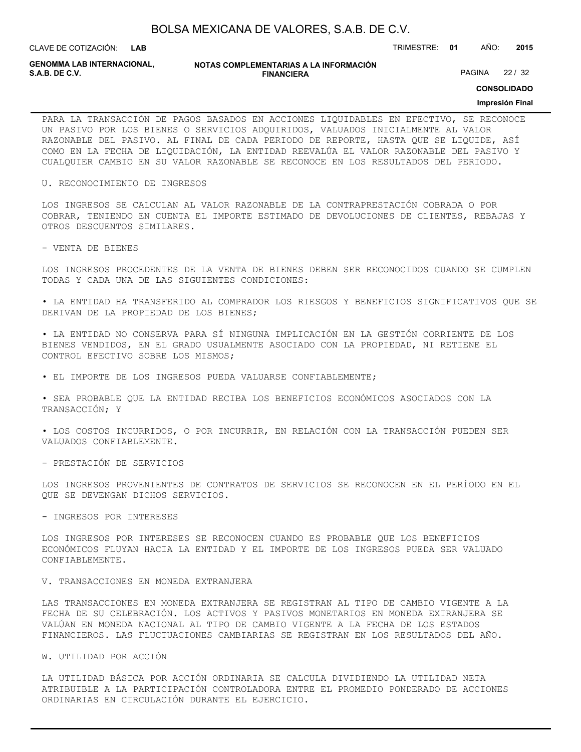| BOLSA MEXICANA DE VALORES, S.A.B. DE C.V. |  |  |
|-------------------------------------------|--|--|
|-------------------------------------------|--|--|

CLAVE DE COTIZACIÓN: TRIMESTRE: **01** AÑO: **2015 LAB**

**GENOMMA LAB INTERNACIONAL,**

**NOTAS COMPLEMENTARIAS A LA INFORMACIÓN FINANCIERA**

PAGINA 22 / 32

**CONSOLIDADO**

### **Impresión Final**

PARA LA TRANSACCIÓN DE PAGOS BASADOS EN ACCIONES LIQUIDABLES EN EFECTIVO, SE RECONOCE UN PASIVO POR LOS BIENES O SERVICIOS ADQUIRIDOS, VALUADOS INICIALMENTE AL VALOR RAZONABLE DEL PASIVO. AL FINAL DE CADA PERIODO DE REPORTE, HASTA QUE SE LIQUIDE, ASÍ COMO EN LA FECHA DE LIQUIDACIÓN, LA ENTIDAD REEVALÚA EL VALOR RAZONABLE DEL PASIVO Y CUALQUIER CAMBIO EN SU VALOR RAZONABLE SE RECONOCE EN LOS RESULTADOS DEL PERIODO.

## U. RECONOCIMIENTO DE INGRESOS

LOS INGRESOS SE CALCULAN AL VALOR RAZONABLE DE LA CONTRAPRESTACIÓN COBRADA O POR COBRAR, TENIENDO EN CUENTA EL IMPORTE ESTIMADO DE DEVOLUCIONES DE CLIENTES, REBAJAS Y OTROS DESCUENTOS SIMILARES.

- VENTA DE BIENES

LOS INGRESOS PROCEDENTES DE LA VENTA DE BIENES DEBEN SER RECONOCIDOS CUANDO SE CUMPLEN TODAS Y CADA UNA DE LAS SIGUIENTES CONDICIONES:

• LA ENTIDAD HA TRANSFERIDO AL COMPRADOR LOS RIESGOS Y BENEFICIOS SIGNIFICATIVOS QUE SE DERIVAN DE LA PROPIEDAD DE LOS BIENES;

• LA ENTIDAD NO CONSERVA PARA SÍ NINGUNA IMPLICACIÓN EN LA GESTIÓN CORRIENTE DE LOS BIENES VENDIDOS, EN EL GRADO USUALMENTE ASOCIADO CON LA PROPIEDAD, NI RETIENE EL CONTROL EFECTIVO SOBRE LOS MISMOS;

• EL IMPORTE DE LOS INGRESOS PUEDA VALUARSE CONFIABLEMENTE;

• SEA PROBABLE QUE LA ENTIDAD RECIBA LOS BENEFICIOS ECONÓMICOS ASOCIADOS CON LA TRANSACCIÓN; Y

• LOS COSTOS INCURRIDOS, O POR INCURRIR, EN RELACIÓN CON LA TRANSACCIÓN PUEDEN SER VALUADOS CONFIABLEMENTE.

- PRESTACIÓN DE SERVICIOS

LOS INGRESOS PROVENIENTES DE CONTRATOS DE SERVICIOS SE RECONOCEN EN EL PERÍODO EN EL QUE SE DEVENGAN DICHOS SERVICIOS.

## - INGRESOS POR INTERESES

LOS INGRESOS POR INTERESES SE RECONOCEN CUANDO ES PROBABLE QUE LOS BENEFICIOS ECONÓMICOS FLUYAN HACIA LA ENTIDAD Y EL IMPORTE DE LOS INGRESOS PUEDA SER VALUADO CONFIABLEMENTE.

#### V. TRANSACCIONES EN MONEDA EXTRANJERA

LAS TRANSACCIONES EN MONEDA EXTRANJERA SE REGISTRAN AL TIPO DE CAMBIO VIGENTE A LA FECHA DE SU CELEBRACIÓN. LOS ACTIVOS Y PASIVOS MONETARIOS EN MONEDA EXTRANJERA SE VALÚAN EN MONEDA NACIONAL AL TIPO DE CAMBIO VIGENTE A LA FECHA DE LOS ESTADOS FINANCIEROS. LAS FLUCTUACIONES CAMBIARIAS SE REGISTRAN EN LOS RESULTADOS DEL AÑO.

## W. UTILIDAD POR ACCIÓN

LA UTILIDAD BÁSICA POR ACCIÓN ORDINARIA SE CALCULA DIVIDIENDO LA UTILIDAD NETA ATRIBUIBLE A LA PARTICIPACIÓN CONTROLADORA ENTRE EL PROMEDIO PONDERADO DE ACCIONES ORDINARIAS EN CIRCULACIÓN DURANTE EL EJERCICIO.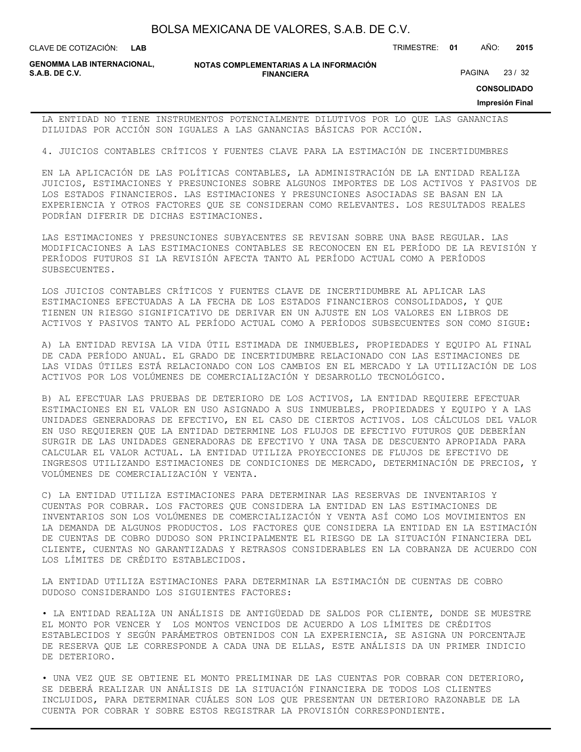**LAB**

CLAVE DE COTIZACIÓN: TRIMESTRE: **01** AÑO: **2015**

**GENOMMA LAB INTERNACIONAL,**

**NOTAS COMPLEMENTARIAS A LA INFORMACIÓN FINANCIERA**

PAGINA 23 / 32

**CONSOLIDADO**

#### **Impresión Final**

LA ENTIDAD NO TIENE INSTRUMENTOS POTENCIALMENTE DILUTIVOS POR LO QUE LAS GANANCIAS DILUIDAS POR ACCIÓN SON IGUALES A LAS GANANCIAS BÁSICAS POR ACCIÓN.

4. JUICIOS CONTABLES CRÍTICOS Y FUENTES CLAVE PARA LA ESTIMACIÓN DE INCERTIDUMBRES

EN LA APLICACIÓN DE LAS POLÍTICAS CONTABLES, LA ADMINISTRACIÓN DE LA ENTIDAD REALIZA JUICIOS, ESTIMACIONES Y PRESUNCIONES SOBRE ALGUNOS IMPORTES DE LOS ACTIVOS Y PASIVOS DE LOS ESTADOS FINANCIEROS. LAS ESTIMACIONES Y PRESUNCIONES ASOCIADAS SE BASAN EN LA EXPERIENCIA Y OTROS FACTORES QUE SE CONSIDERAN COMO RELEVANTES. LOS RESULTADOS REALES PODRÍAN DIFERIR DE DICHAS ESTIMACIONES.

LAS ESTIMACIONES Y PRESUNCIONES SUBYACENTES SE REVISAN SOBRE UNA BASE REGULAR. LAS MODIFICACIONES A LAS ESTIMACIONES CONTABLES SE RECONOCEN EN EL PERÍODO DE LA REVISIÓN Y PERÍODOS FUTUROS SI LA REVISIÓN AFECTA TANTO AL PERÍODO ACTUAL COMO A PERÍODOS SUBSECUENTES.

LOS JUICIOS CONTABLES CRÍTICOS Y FUENTES CLAVE DE INCERTIDUMBRE AL APLICAR LAS ESTIMACIONES EFECTUADAS A LA FECHA DE LOS ESTADOS FINANCIEROS CONSOLIDADOS, Y QUE TIENEN UN RIESGO SIGNIFICATIVO DE DERIVAR EN UN AJUSTE EN LOS VALORES EN LIBROS DE ACTIVOS Y PASIVOS TANTO AL PERÍODO ACTUAL COMO A PERÍODOS SUBSECUENTES SON COMO SIGUE:

A) LA ENTIDAD REVISA LA VIDA ÚTIL ESTIMADA DE INMUEBLES, PROPIEDADES Y EQUIPO AL FINAL DE CADA PERÍODO ANUAL. EL GRADO DE INCERTIDUMBRE RELACIONADO CON LAS ESTIMACIONES DE LAS VIDAS ÚTILES ESTÁ RELACIONADO CON LOS CAMBIOS EN EL MERCADO Y LA UTILIZACIÓN DE LOS ACTIVOS POR LOS VOLÚMENES DE COMERCIALIZACIÓN Y DESARROLLO TECNOLÓGICO.

B) AL EFECTUAR LAS PRUEBAS DE DETERIORO DE LOS ACTIVOS, LA ENTIDAD REQUIERE EFECTUAR ESTIMACIONES EN EL VALOR EN USO ASIGNADO A SUS INMUEBLES, PROPIEDADES Y EQUIPO Y A LAS UNIDADES GENERADORAS DE EFECTIVO, EN EL CASO DE CIERTOS ACTIVOS. LOS CÁLCULOS DEL VALOR EN USO REQUIEREN QUE LA ENTIDAD DETERMINE LOS FLUJOS DE EFECTIVO FUTUROS QUE DEBERÍAN SURGIR DE LAS UNIDADES GENERADORAS DE EFECTIVO Y UNA TASA DE DESCUENTO APROPIADA PARA CALCULAR EL VALOR ACTUAL. LA ENTIDAD UTILIZA PROYECCIONES DE FLUJOS DE EFECTIVO DE INGRESOS UTILIZANDO ESTIMACIONES DE CONDICIONES DE MERCADO, DETERMINACIÓN DE PRECIOS, Y VOLÚMENES DE COMERCIALIZACIÓN Y VENTA.

C) LA ENTIDAD UTILIZA ESTIMACIONES PARA DETERMINAR LAS RESERVAS DE INVENTARIOS Y CUENTAS POR COBRAR. LOS FACTORES QUE CONSIDERA LA ENTIDAD EN LAS ESTIMACIONES DE INVENTARIOS SON LOS VOLÚMENES DE COMERCIALIZACIÓN Y VENTA ASÍ COMO LOS MOVIMIENTOS EN LA DEMANDA DE ALGUNOS PRODUCTOS. LOS FACTORES QUE CONSIDERA LA ENTIDAD EN LA ESTIMACIÓN DE CUENTAS DE COBRO DUDOSO SON PRINCIPALMENTE EL RIESGO DE LA SITUACIÓN FINANCIERA DEL CLIENTE, CUENTAS NO GARANTIZADAS Y RETRASOS CONSIDERABLES EN LA COBRANZA DE ACUERDO CON LOS LÍMITES DE CRÉDITO ESTABLECIDOS.

LA ENTIDAD UTILIZA ESTIMACIONES PARA DETERMINAR LA ESTIMACIÓN DE CUENTAS DE COBRO DUDOSO CONSIDERANDO LOS SIGUIENTES FACTORES:

• LA ENTIDAD REALIZA UN ANÁLISIS DE ANTIGÜEDAD DE SALDOS POR CLIENTE, DONDE SE MUESTRE EL MONTO POR VENCER Y LOS MONTOS VENCIDOS DE ACUERDO A LOS LÍMITES DE CRÉDITOS ESTABLECIDOS Y SEGÚN PARÁMETROS OBTENIDOS CON LA EXPERIENCIA, SE ASIGNA UN PORCENTAJE DE RESERVA QUE LE CORRESPONDE A CADA UNA DE ELLAS, ESTE ANÁLISIS DA UN PRIMER INDICIO DE DETERIORO.

• UNA VEZ QUE SE OBTIENE EL MONTO PRELIMINAR DE LAS CUENTAS POR COBRAR CON DETERIORO, SE DEBERÁ REALIZAR UN ANÁLISIS DE LA SITUACIÓN FINANCIERA DE TODOS LOS CLIENTES INCLUIDOS, PARA DETERMINAR CUÁLES SON LOS QUE PRESENTAN UN DETERIORO RAZONABLE DE LA CUENTA POR COBRAR Y SOBRE ESTOS REGISTRAR LA PROVISIÓN CORRESPONDIENTE.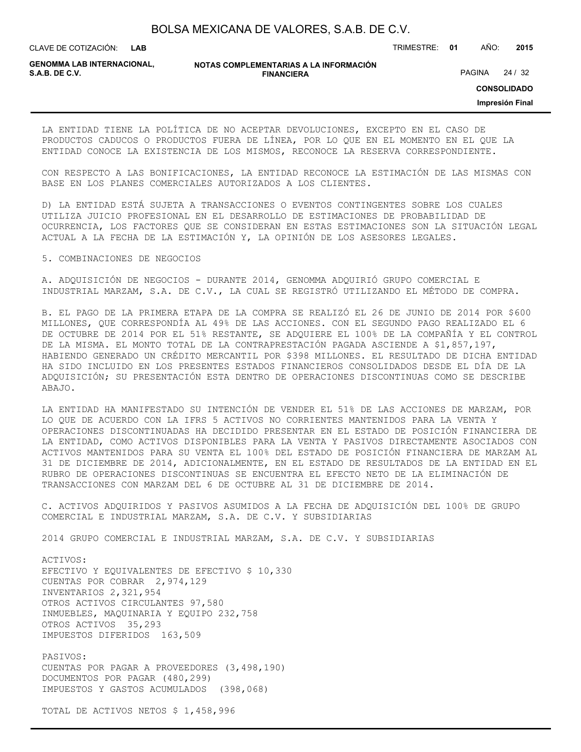**LAB**

CLAVE DE COTIZACIÓN: TRIMESTRE: **01** AÑO: **2015**

**GENOMMA LAB INTERNACIONAL,**

**NOTAS COMPLEMENTARIAS A LA INFORMACIÓN FINANCIERA**

PAGINA 24 / 32

**CONSOLIDADO**

**Impresión Final**

LA ENTIDAD TIENE LA POLÍTICA DE NO ACEPTAR DEVOLUCIONES, EXCEPTO EN EL CASO DE PRODUCTOS CADUCOS O PRODUCTOS FUERA DE LÍNEA, POR LO QUE EN EL MOMENTO EN EL QUE LA ENTIDAD CONOCE LA EXISTENCIA DE LOS MISMOS, RECONOCE LA RESERVA CORRESPONDIENTE.

CON RESPECTO A LAS BONIFICACIONES, LA ENTIDAD RECONOCE LA ESTIMACIÓN DE LAS MISMAS CON BASE EN LOS PLANES COMERCIALES AUTORIZADOS A LOS CLIENTES.

D) LA ENTIDAD ESTÁ SUJETA A TRANSACCIONES O EVENTOS CONTINGENTES SOBRE LOS CUALES UTILIZA JUICIO PROFESIONAL EN EL DESARROLLO DE ESTIMACIONES DE PROBABILIDAD DE OCURRENCIA, LOS FACTORES QUE SE CONSIDERAN EN ESTAS ESTIMACIONES SON LA SITUACIÓN LEGAL ACTUAL A LA FECHA DE LA ESTIMACIÓN Y, LA OPINIÓN DE LOS ASESORES LEGALES.

#### 5. COMBINACIONES DE NEGOCIOS

A. ADQUISICIÓN DE NEGOCIOS - DURANTE 2014, GENOMMA ADQUIRIÓ GRUPO COMERCIAL E INDUSTRIAL MARZAM, S.A. DE C.V., LA CUAL SE REGISTRÓ UTILIZANDO EL MÉTODO DE COMPRA.

B. EL PAGO DE LA PRIMERA ETAPA DE LA COMPRA SE REALIZÓ EL 26 DE JUNIO DE 2014 POR \$600 MILLONES, QUE CORRESPONDÍA AL 49% DE LAS ACCIONES. CON EL SEGUNDO PAGO REALIZADO EL 6 DE OCTUBRE DE 2014 POR EL 51% RESTANTE, SE ADQUIERE EL 100% DE LA COMPAÑÍA Y EL CONTROL DE LA MISMA. EL MONTO TOTAL DE LA CONTRAPRESTACIÓN PAGADA ASCIENDE A \$1,857,197, HABIENDO GENERADO UN CRÉDITO MERCANTIL POR \$398 MILLONES. EL RESULTADO DE DICHA ENTIDAD HA SIDO INCLUIDO EN LOS PRESENTES ESTADOS FINANCIEROS CONSOLIDADOS DESDE EL DÍA DE LA ADQUISICIÓN; SU PRESENTACIÓN ESTA DENTRO DE OPERACIONES DISCONTINUAS COMO SE DESCRIBE ABAJO.

LA ENTIDAD HA MANIFESTADO SU INTENCIÓN DE VENDER EL 51% DE LAS ACCIONES DE MARZAM, POR LO QUE DE ACUERDO CON LA IFRS 5 ACTIVOS NO CORRIENTES MANTENIDOS PARA LA VENTA Y OPERACIONES DISCONTINUADAS HA DECIDIDO PRESENTAR EN EL ESTADO DE POSICIÓN FINANCIERA DE LA ENTIDAD, COMO ACTIVOS DISPONIBLES PARA LA VENTA Y PASIVOS DIRECTAMENTE ASOCIADOS CON ACTIVOS MANTENIDOS PARA SU VENTA EL 100% DEL ESTADO DE POSICIÓN FINANCIERA DE MARZAM AL 31 DE DICIEMBRE DE 2014, ADICIONALMENTE, EN EL ESTADO DE RESULTADOS DE LA ENTIDAD EN EL RUBRO DE OPERACIONES DISCONTINUAS SE ENCUENTRA EL EFECTO NETO DE LA ELIMINACIÓN DE TRANSACCIONES CON MARZAM DEL 6 DE OCTUBRE AL 31 DE DICIEMBRE DE 2014.

C. ACTIVOS ADQUIRIDOS Y PASIVOS ASUMIDOS A LA FECHA DE ADQUISICIÓN DEL 100% DE GRUPO COMERCIAL E INDUSTRIAL MARZAM, S.A. DE C.V. Y SUBSIDIARIAS

2014 GRUPO COMERCIAL E INDUSTRIAL MARZAM, S.A. DE C.V. Y SUBSIDIARIAS

ACTIVOS: EFECTIVO Y EQUIVALENTES DE EFECTIVO \$ 10,330 CUENTAS POR COBRAR 2,974,129 INVENTARIOS 2,321,954 OTROS ACTIVOS CIRCULANTES 97,580 INMUEBLES, MAQUINARIA Y EQUIPO 232,758 OTROS ACTIVOS 35,293 IMPUESTOS DIFERIDOS 163,509

PASIVOS: CUENTAS POR PAGAR A PROVEEDORES (3,498,190) DOCUMENTOS POR PAGAR (480,299) IMPUESTOS Y GASTOS ACUMULADOS (398,068)

TOTAL DE ACTIVOS NETOS \$ 1,458,996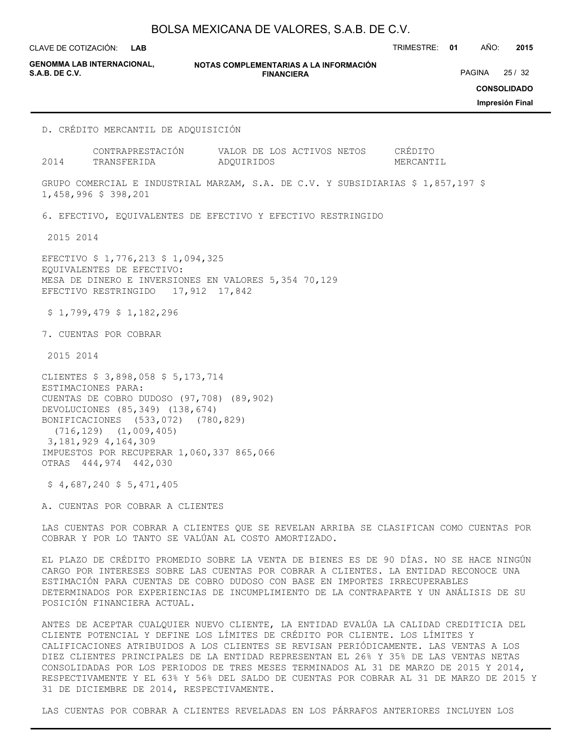**LAB**

| CLAVE DE COTIZACIÓN:<br><b>LAB</b>                                                                                                                                                                                                                                                                              |                                                                                                                                                                                                                                                                                                                                                                                                                                                | TRIMESTRE: 01<br>ANO:<br>2015        |
|-----------------------------------------------------------------------------------------------------------------------------------------------------------------------------------------------------------------------------------------------------------------------------------------------------------------|------------------------------------------------------------------------------------------------------------------------------------------------------------------------------------------------------------------------------------------------------------------------------------------------------------------------------------------------------------------------------------------------------------------------------------------------|--------------------------------------|
| <b>GENOMMA LAB INTERNACIONAL.</b><br>S.A.B. DE C.V.                                                                                                                                                                                                                                                             | NOTAS COMPLEMENTARIAS A LA INFORMACIÓN<br><b>FINANCIERA</b>                                                                                                                                                                                                                                                                                                                                                                                    | PAGINA 25 / 32<br><b>CONSOLIDADO</b> |
|                                                                                                                                                                                                                                                                                                                 |                                                                                                                                                                                                                                                                                                                                                                                                                                                | Impresión Final                      |
| D. CRÉDITO MERCANTIL DE ADQUISICIÓN                                                                                                                                                                                                                                                                             |                                                                                                                                                                                                                                                                                                                                                                                                                                                |                                      |
| CONTRAPRESTACIÓN<br>2014<br>TRANSFERIDA                                                                                                                                                                                                                                                                         | VALOR DE LOS ACTIVOS NETOS ORÉDITO<br>ADQUIRIDOS                                                                                                                                                                                                                                                                                                                                                                                               | MERCANTIL                            |
| 1,458,996 \$ 398,201                                                                                                                                                                                                                                                                                            | GRUPO COMERCIAL E INDUSTRIAL MARZAM, S.A. DE C.V. Y SUBSIDIARIAS \$ 1,857,197 \$                                                                                                                                                                                                                                                                                                                                                               |                                      |
|                                                                                                                                                                                                                                                                                                                 | 6. EFECTIVO, EQUIVALENTES DE EFECTIVO Y EFECTIVO RESTRINGIDO                                                                                                                                                                                                                                                                                                                                                                                   |                                      |
| 2015 2014                                                                                                                                                                                                                                                                                                       |                                                                                                                                                                                                                                                                                                                                                                                                                                                |                                      |
| EFECTIVO \$ 1,776,213 \$ 1,094,325<br>EQUIVALENTES DE EFECTIVO:<br>EFECTIVO RESTRINGIDO 17,912 17,842                                                                                                                                                                                                           | MESA DE DINERO E INVERSIONES EN VALORES 5,354 70,129                                                                                                                                                                                                                                                                                                                                                                                           |                                      |
| $$1,799,479$ $$1,182,296$                                                                                                                                                                                                                                                                                       |                                                                                                                                                                                                                                                                                                                                                                                                                                                |                                      |
| 7. CUENTAS POR COBRAR                                                                                                                                                                                                                                                                                           |                                                                                                                                                                                                                                                                                                                                                                                                                                                |                                      |
| 2015 2014                                                                                                                                                                                                                                                                                                       |                                                                                                                                                                                                                                                                                                                                                                                                                                                |                                      |
| CLIENTES \$ 3,898,058 \$ 5,173,714<br>ESTIMACIONES PARA:<br>CUENTAS DE COBRO DUDOSO (97,708) (89,902)<br>DEVOLUCIONES (85,349) (138,674)<br>BONIFICACIONES (533,072) (780,829)<br>$(716, 129)$ $(1, 009, 405)$<br>3, 181, 929 4, 164, 309<br>IMPUESTOS POR RECUPERAR 1,060,337 865,066<br>OTRAS 444,974 442,030 |                                                                                                                                                                                                                                                                                                                                                                                                                                                |                                      |
| \$4,687,240\$5,471,405                                                                                                                                                                                                                                                                                          |                                                                                                                                                                                                                                                                                                                                                                                                                                                |                                      |
| A. CUENTAS POR COBRAR A CLIENTES                                                                                                                                                                                                                                                                                |                                                                                                                                                                                                                                                                                                                                                                                                                                                |                                      |
|                                                                                                                                                                                                                                                                                                                 | LAS CUENTAS POR COBRAR A CLIENTES QUE SE REVELAN ARRIBA SE CLASIFICAN COMO CUENTAS POR<br>COBRAR Y POR LO TANTO SE VALÚAN AL COSTO AMORTIZADO.                                                                                                                                                                                                                                                                                                 |                                      |
| POSICIÓN FINANCIERA ACTUAL.                                                                                                                                                                                                                                                                                     | EL PLAZO DE CRÉDITO PROMEDIO SOBRE LA VENTA DE BIENES ES DE 90 DÍAS. NO SE HACE NINGÚN<br>CARGO POR INTERESES SOBRE LAS CUENTAS POR COBRAR A CLIENTES. LA ENTIDAD RECONOCE UNA<br>ESTIMACIÓN PARA CUENTAS DE COBRO DUDOSO CON BASE EN IMPORTES IRRECUPERABLES<br>DETERMINADOS POR EXPERIENCIAS DE INCUMPLIMIENTO DE LA CONTRAPARTE Y UN ANÁLISIS DE SU                                                                                         |                                      |
|                                                                                                                                                                                                                                                                                                                 | ANTES DE ACEPTAR CUALQUIER NUEVO CLIENTE, LA ENTIDAD EVALÚA LA CALIDAD CREDITICIA DEL<br>CLIENTE POTENCIAL Y DEFINE LOS LÍMITES DE CRÉDITO POR CLIENTE. LOS LÍMITES Y<br>CALIFICACIONES ATRIBUIDOS A LOS CLIENTES SE REVISAN PERIÓDICAMENTE. LAS VENTAS A LOS<br>DIEZ CLIENTES PRINCIPALES DE LA ENTIDAD REPRESENTAN EL 26% Y 35% DE LAS VENTAS NETAS<br>CONSOLIDADAS POR LOS PERIODOS DE TRES MESES TERMINADOS AL 31 DE MARZO DE 2015 Y 2014, |                                      |

LAS CUENTAS POR COBRAR A CLIENTES REVELADAS EN LOS PÁRRAFOS ANTERIORES INCLUYEN LOS

31 DE DICIEMBRE DE 2014, RESPECTIVAMENTE.

RESPECTIVAMENTE Y EL 63% Y 56% DEL SALDO DE CUENTAS POR COBRAR AL 31 DE MARZO DE 2015 Y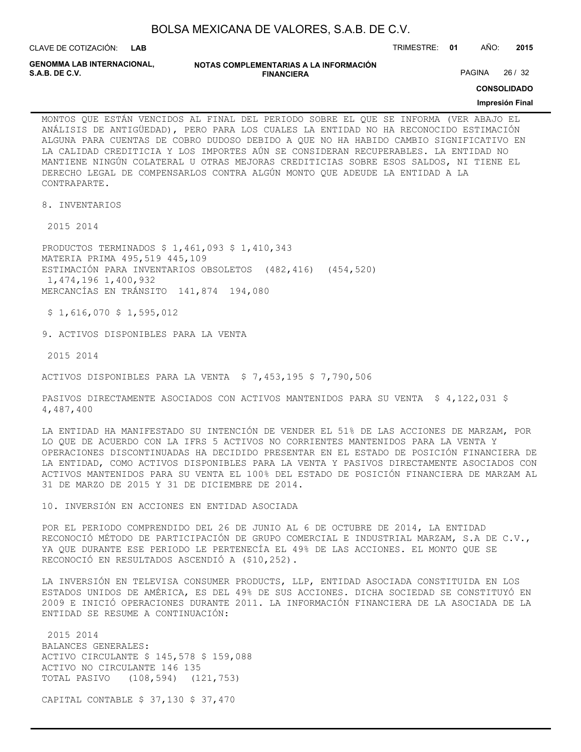CLAVE DE COTIZACIÓN: TRIMESTRE: **01** AÑO: **2015 LAB**

**GENOMMA LAB INTERNACIONAL,**

**NOTAS COMPLEMENTARIAS A LA INFORMACIÓN FINANCIERA**

PAGINA 26 / 32

**CONSOLIDADO**

## **Impresión Final**

MONTOS QUE ESTÁN VENCIDOS AL FINAL DEL PERIODO SOBRE EL QUE SE INFORMA (VER ABAJO EL ANÁLISIS DE ANTIGÜEDAD), PERO PARA LOS CUALES LA ENTIDAD NO HA RECONOCIDO ESTIMACIÓN ALGUNA PARA CUENTAS DE COBRO DUDOSO DEBIDO A QUE NO HA HABIDO CAMBIO SIGNIFICATIVO EN LA CALIDAD CREDITICIA Y LOS IMPORTES AÚN SE CONSIDERAN RECUPERABLES. LA ENTIDAD NO MANTIENE NINGÚN COLATERAL U OTRAS MEJORAS CREDITICIAS SOBRE ESOS SALDOS, NI TIENE EL DERECHO LEGAL DE COMPENSARLOS CONTRA ALGÚN MONTO QUE ADEUDE LA ENTIDAD A LA CONTRAPARTE.

8. INVENTARIOS

2015 2014

PRODUCTOS TERMINADOS \$ 1,461,093 \$ 1,410,343 MATERIA PRIMA 495,519 445,109 ESTIMACIÓN PARA INVENTARIOS OBSOLETOS (482,416) (454,520) 1,474,196 1,400,932 MERCANCÍAS EN TRÁNSITO 141,874 194,080

 $$1,616,070$$   $$1,595,012$ 

9. ACTIVOS DISPONIBLES PARA LA VENTA

2015 2014

ACTIVOS DISPONIBLES PARA LA VENTA \$ 7,453,195 \$ 7,790,506

PASIVOS DIRECTAMENTE ASOCIADOS CON ACTIVOS MANTENIDOS PARA SU VENTA \$ 4,122,031 \$ 4,487,400

LA ENTIDAD HA MANIFESTADO SU INTENCIÓN DE VENDER EL 51% DE LAS ACCIONES DE MARZAM, POR LO QUE DE ACUERDO CON LA IFRS 5 ACTIVOS NO CORRIENTES MANTENIDOS PARA LA VENTA Y OPERACIONES DISCONTINUADAS HA DECIDIDO PRESENTAR EN EL ESTADO DE POSICIÓN FINANCIERA DE LA ENTIDAD, COMO ACTIVOS DISPONIBLES PARA LA VENTA Y PASIVOS DIRECTAMENTE ASOCIADOS CON ACTIVOS MANTENIDOS PARA SU VENTA EL 100% DEL ESTADO DE POSICIÓN FINANCIERA DE MARZAM AL 31 DE MARZO DE 2015 Y 31 DE DICIEMBRE DE 2014.

10. INVERSIÓN EN ACCIONES EN ENTIDAD ASOCIADA

POR EL PERIODO COMPRENDIDO DEL 26 DE JUNIO AL 6 DE OCTUBRE DE 2014, LA ENTIDAD RECONOCIÓ MÉTODO DE PARTICIPACIÓN DE GRUPO COMERCIAL E INDUSTRIAL MARZAM, S.A DE C.V., YA QUE DURANTE ESE PERIODO LE PERTENECÍA EL 49% DE LAS ACCIONES. EL MONTO QUE SE RECONOCIÓ EN RESULTADOS ASCENDIÓ A (\$10,252).

LA INVERSIÓN EN TELEVISA CONSUMER PRODUCTS, LLP, ENTIDAD ASOCIADA CONSTITUIDA EN LOS ESTADOS UNIDOS DE AMÉRICA, ES DEL 49% DE SUS ACCIONES. DICHA SOCIEDAD SE CONSTITUYÓ EN 2009 E INICIÓ OPERACIONES DURANTE 2011. LA INFORMACIÓN FINANCIERA DE LA ASOCIADA DE LA ENTIDAD SE RESUME A CONTINUACIÓN:

 2015 2014 BALANCES GENERALES: ACTIVO CIRCULANTE \$ 145,578 \$ 159,088 ACTIVO NO CIRCULANTE 146 135 TOTAL PASIVO (108,594) (121,753)

CAPITAL CONTABLE \$ 37,130 \$ 37,470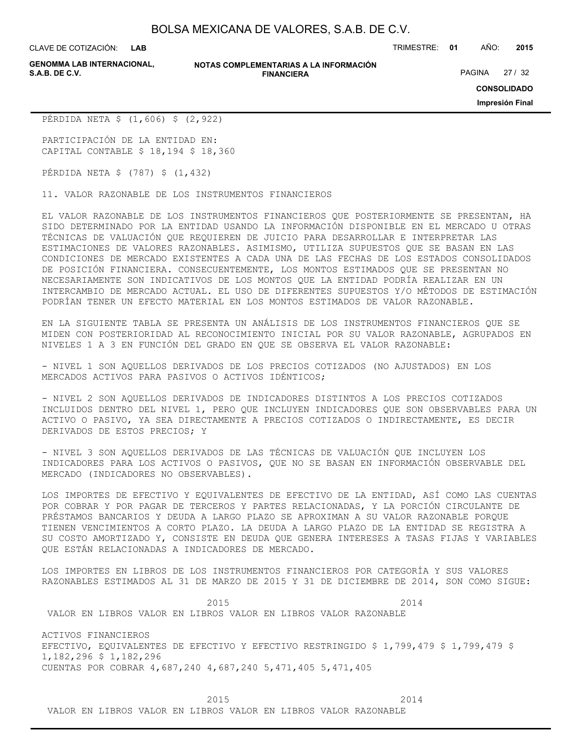CLAVE DE COTIZACIÓN: TRIMESTRE: **01** AÑO: **2015 LAB**

**GENOMMA LAB INTERNACIONAL,**

**NOTAS COMPLEMENTARIAS A LA INFORMACIÓN FINANCIERA S.A.B. DE C.V.** PAGINA 27 / 32

**CONSOLIDADO**

**Impresión Final**

PÉRDIDA NETA \$ (1,606) \$ (2,922)

PARTICIPACIÓN DE LA ENTIDAD EN: CAPITAL CONTABLE \$ 18,194 \$ 18,360

PÉRDIDA NETA \$ (787) \$ (1,432)

11. VALOR RAZONABLE DE LOS INSTRUMENTOS FINANCIEROS

EL VALOR RAZONABLE DE LOS INSTRUMENTOS FINANCIEROS QUE POSTERIORMENTE SE PRESENTAN, HA SIDO DETERMINADO POR LA ENTIDAD USANDO LA INFORMACIÓN DISPONIBLE EN EL MERCADO U OTRAS TÉCNICAS DE VALUACIÓN QUE REQUIEREN DE JUICIO PARA DESARROLLAR E INTERPRETAR LAS ESTIMACIONES DE VALORES RAZONABLES. ASIMISMO, UTILIZA SUPUESTOS QUE SE BASAN EN LAS CONDICIONES DE MERCADO EXISTENTES A CADA UNA DE LAS FECHAS DE LOS ESTADOS CONSOLIDADOS DE POSICIÓN FINANCIERA. CONSECUENTEMENTE, LOS MONTOS ESTIMADOS QUE SE PRESENTAN NO NECESARIAMENTE SON INDICATIVOS DE LOS MONTOS QUE LA ENTIDAD PODRÍA REALIZAR EN UN INTERCAMBIO DE MERCADO ACTUAL. EL USO DE DIFERENTES SUPUESTOS Y/O MÉTODOS DE ESTIMACIÓN PODRÍAN TENER UN EFECTO MATERIAL EN LOS MONTOS ESTIMADOS DE VALOR RAZONABLE.

EN LA SIGUIENTE TABLA SE PRESENTA UN ANÁLISIS DE LOS INSTRUMENTOS FINANCIEROS QUE SE MIDEN CON POSTERIORIDAD AL RECONOCIMIENTO INICIAL POR SU VALOR RAZONABLE, AGRUPADOS EN NIVELES 1 A 3 EN FUNCIÓN DEL GRADO EN QUE SE OBSERVA EL VALOR RAZONABLE:

- NIVEL 1 SON AQUELLOS DERIVADOS DE LOS PRECIOS COTIZADOS (NO AJUSTADOS) EN LOS MERCADOS ACTIVOS PARA PASIVOS O ACTIVOS IDÉNTICOS;

- NIVEL 2 SON AQUELLOS DERIVADOS DE INDICADORES DISTINTOS A LOS PRECIOS COTIZADOS INCLUIDOS DENTRO DEL NIVEL 1, PERO QUE INCLUYEN INDICADORES QUE SON OBSERVABLES PARA UN ACTIVO O PASIVO, YA SEA DIRECTAMENTE A PRECIOS COTIZADOS O INDIRECTAMENTE, ES DECIR DERIVADOS DE ESTOS PRECIOS; Y

- NIVEL 3 SON AQUELLOS DERIVADOS DE LAS TÉCNICAS DE VALUACIÓN QUE INCLUYEN LOS INDICADORES PARA LOS ACTIVOS O PASIVOS, QUE NO SE BASAN EN INFORMACIÓN OBSERVABLE DEL MERCADO (INDICADORES NO OBSERVABLES).

LOS IMPORTES DE EFECTIVO Y EQUIVALENTES DE EFECTIVO DE LA ENTIDAD, ASÍ COMO LAS CUENTAS POR COBRAR Y POR PAGAR DE TERCEROS Y PARTES RELACIONADAS, Y LA PORCIÓN CIRCULANTE DE PRÉSTAMOS BANCARIOS Y DEUDA A LARGO PLAZO SE APROXIMAN A SU VALOR RAZONABLE PORQUE TIENEN VENCIMIENTOS A CORTO PLAZO. LA DEUDA A LARGO PLAZO DE LA ENTIDAD SE REGISTRA A SU COSTO AMORTIZADO Y, CONSISTE EN DEUDA QUE GENERA INTERESES A TASAS FIJAS Y VARIABLES QUE ESTÁN RELACIONADAS A INDICADORES DE MERCADO.

LOS IMPORTES EN LIBROS DE LOS INSTRUMENTOS FINANCIEROS POR CATEGORÍA Y SUS VALORES RAZONABLES ESTIMADOS AL 31 DE MARZO DE 2015 Y 31 DE DICIEMBRE DE 2014, SON COMO SIGUE:

 2015 2014 VALOR EN LIBROS VALOR EN LIBROS VALOR EN LIBROS VALOR RAZONABLE

ACTIVOS FINANCIEROS EFECTIVO, EQUIVALENTES DE EFECTIVO Y EFECTIVO RESTRINGIDO \$ 1,799,479 \$ 1,799,479 \$ 1,182,296 \$ 1,182,296 CUENTAS POR COBRAR 4,687,240 4,687,240 5,471,405 5,471,405

2015 2014

VALOR EN LIBROS VALOR EN LIBROS VALOR EN LIBROS VALOR RAZONABLE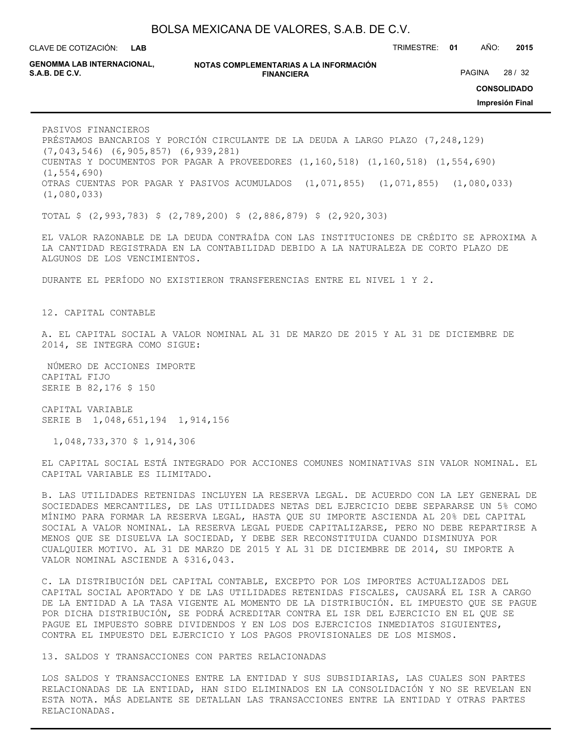**LAB**

CLAVE DE COTIZACIÓN: TRIMESTRE: **01** AÑO: **2015**

**GENOMMA LAB INTERNACIONAL,**

**NOTAS COMPLEMENTARIAS A LA INFORMACIÓN FINANCIERA**

PAGINA 28 / 32

**CONSOLIDADO**

**Impresión Final**

PASIVOS FINANCIEROS PRÉSTAMOS BANCARIOS Y PORCIÓN CIRCULANTE DE LA DEUDA A LARGO PLAZO (7,248,129) (7,043,546) (6,905,857) (6,939,281) CUENTAS Y DOCUMENTOS POR PAGAR A PROVEEDORES (1,160,518) (1,160,518) (1,554,690) (1,554,690) OTRAS CUENTAS POR PAGAR Y PASIVOS ACUMULADOS (1,071,855) (1,071,855) (1,080,033) (1,080,033)

TOTAL \$ (2,993,783) \$ (2,789,200) \$ (2,886,879) \$ (2,920,303)

EL VALOR RAZONABLE DE LA DEUDA CONTRAÍDA CON LAS INSTITUCIONES DE CRÉDITO SE APROXIMA A LA CANTIDAD REGISTRADA EN LA CONTABILIDAD DEBIDO A LA NATURALEZA DE CORTO PLAZO DE ALGUNOS DE LOS VENCIMIENTOS.

DURANTE EL PERÍODO NO EXISTIERON TRANSFERENCIAS ENTRE EL NIVEL 1 Y 2.

12. CAPITAL CONTABLE

A. EL CAPITAL SOCIAL A VALOR NOMINAL AL 31 DE MARZO DE 2015 Y AL 31 DE DICIEMBRE DE 2014, SE INTEGRA COMO SIGUE:

 NÚMERO DE ACCIONES IMPORTE CAPITAL FIJO SERIE B 82,176 \$ 150

CAPITAL VARIABLE SERIE B 1,048,651,194 1,914,156

1,048,733,370 \$ 1,914,306

EL CAPITAL SOCIAL ESTÁ INTEGRADO POR ACCIONES COMUNES NOMINATIVAS SIN VALOR NOMINAL. EL CAPITAL VARIABLE ES ILIMITADO.

B. LAS UTILIDADES RETENIDAS INCLUYEN LA RESERVA LEGAL. DE ACUERDO CON LA LEY GENERAL DE SOCIEDADES MERCANTILES, DE LAS UTILIDADES NETAS DEL EJERCICIO DEBE SEPARARSE UN 5% COMO MÍNIMO PARA FORMAR LA RESERVA LEGAL, HASTA QUE SU IMPORTE ASCIENDA AL 20% DEL CAPITAL SOCIAL A VALOR NOMINAL. LA RESERVA LEGAL PUEDE CAPITALIZARSE, PERO NO DEBE REPARTIRSE A MENOS QUE SE DISUELVA LA SOCIEDAD, Y DEBE SER RECONSTITUIDA CUANDO DISMINUYA POR CUALQUIER MOTIVO. AL 31 DE MARZO DE 2015 Y AL 31 DE DICIEMBRE DE 2014, SU IMPORTE A VALOR NOMINAL ASCIENDE A \$316,043.

C. LA DISTRIBUCIÓN DEL CAPITAL CONTABLE, EXCEPTO POR LOS IMPORTES ACTUALIZADOS DEL CAPITAL SOCIAL APORTADO Y DE LAS UTILIDADES RETENIDAS FISCALES, CAUSARÁ EL ISR A CARGO DE LA ENTIDAD A LA TASA VIGENTE AL MOMENTO DE LA DISTRIBUCIÓN. EL IMPUESTO QUE SE PAGUE POR DICHA DISTRIBUCIÓN, SE PODRÁ ACREDITAR CONTRA EL ISR DEL EJERCICIO EN EL QUE SE PAGUE EL IMPUESTO SOBRE DIVIDENDOS Y EN LOS DOS EJERCICIOS INMEDIATOS SIGUIENTES, CONTRA EL IMPUESTO DEL EJERCICIO Y LOS PAGOS PROVISIONALES DE LOS MISMOS.

13. SALDOS Y TRANSACCIONES CON PARTES RELACIONADAS

LOS SALDOS Y TRANSACCIONES ENTRE LA ENTIDAD Y SUS SUBSIDIARIAS, LAS CUALES SON PARTES RELACIONADAS DE LA ENTIDAD, HAN SIDO ELIMINADOS EN LA CONSOLIDACIÓN Y NO SE REVELAN EN ESTA NOTA. MÁS ADELANTE SE DETALLAN LAS TRANSACCIONES ENTRE LA ENTIDAD Y OTRAS PARTES RELACIONADAS.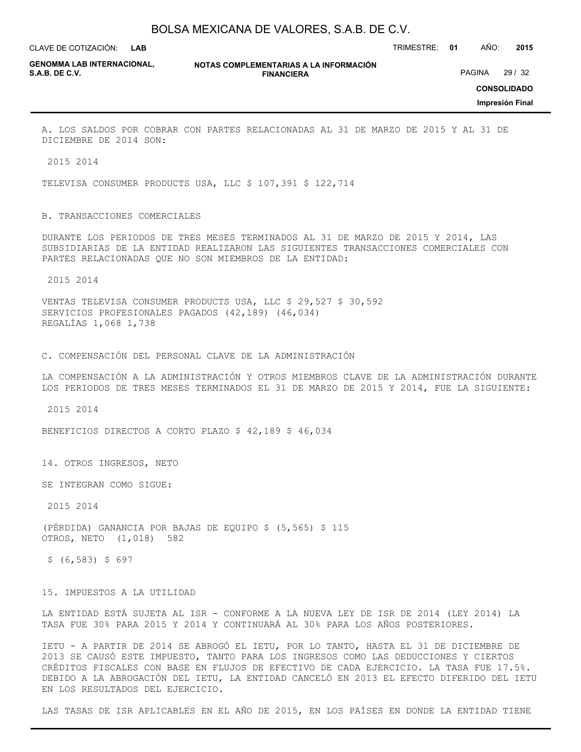**LAB**

CLAVE DE COTIZACIÓN: TRIMESTRE: **01** AÑO: **2015**

**GENOMMA LAB INTERNACIONAL,**

**NOTAS COMPLEMENTARIAS A LA INFORMACIÓN FINANCIERA**

PAGINA 29 / 32

**CONSOLIDADO**

**Impresión Final**

A. LOS SALDOS POR COBRAR CON PARTES RELACIONADAS AL 31 DE MARZO DE 2015 Y AL 31 DE DICIEMBRE DE 2014 SON:

2015 2014

TELEVISA CONSUMER PRODUCTS USA, LLC \$ 107,391 \$ 122,714

B. TRANSACCIONES COMERCIALES

DURANTE LOS PERIODOS DE TRES MESES TERMINADOS AL 31 DE MARZO DE 2015 Y 2014, LAS SUBSIDIARIAS DE LA ENTIDAD REALIZARON LAS SIGUIENTES TRANSACCIONES COMERCIALES CON PARTES RELACIONADAS QUE NO SON MIEMBROS DE LA ENTIDAD:

2015 2014

VENTAS TELEVISA CONSUMER PRODUCTS USA, LLC \$ 29,527 \$ 30,592 SERVICIOS PROFESIONALES PAGADOS (42,189) (46,034) REGALÍAS 1,068 1,738

C. COMPENSACIÓN DEL PERSONAL CLAVE DE LA ADMINISTRACIÓN

LA COMPENSACIÓN A LA ADMINISTRACIÓN Y OTROS MIEMBROS CLAVE DE LA ADMINISTRACIÓN DURANTE LOS PERIODOS DE TRES MESES TERMINADOS EL 31 DE MARZO DE 2015 Y 2014, FUE LA SIGUIENTE:

2015 2014

BENEFICIOS DIRECTOS A CORTO PLAZO \$ 42,189 \$ 46,034

14. OTROS INGRESOS, NETO

SE INTEGRAN COMO SIGUE:

2015 2014

(PÉRDIDA) GANANCIA POR BAJAS DE EQUIPO \$ (5,565) \$ 115 OTROS, NETO (1,018) 582

 $$ (6,583) $ $697$ 

15. IMPUESTOS A LA UTILIDAD

LA ENTIDAD ESTÁ SUJETA AL ISR - CONFORME A LA NUEVA LEY DE ISR DE 2014 (LEY 2014) LA TASA FUE 30% PARA 2015 Y 2014 Y CONTINUARÁ AL 30% PARA LOS AÑOS POSTERIORES.

IETU - A PARTIR DE 2014 SE ABROGÓ EL IETU, POR LO TANTO, HASTA EL 31 DE DICIEMBRE DE 2013 SE CAUSÓ ESTE IMPUESTO, TANTO PARA LOS INGRESOS COMO LAS DEDUCCIONES Y CIERTOS CRÉDITOS FISCALES CON BASE EN FLUJOS DE EFECTIVO DE CADA EJERCICIO. LA TASA FUE 17.5%. DEBIDO A LA ABROGACIÓN DEL IETU, LA ENTIDAD CANCELÓ EN 2013 EL EFECTO DIFERIDO DEL IETU EN LOS RESULTADOS DEL EJERCICIO.

LAS TASAS DE ISR APLICABLES EN EL AÑO DE 2015, EN LOS PAÍSES EN DONDE LA ENTIDAD TIENE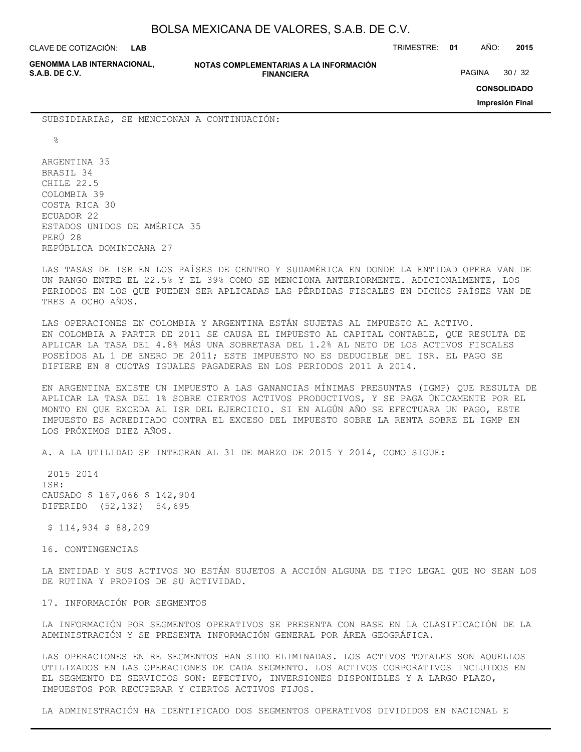| BOLSA MEXICANA DE VALORES, S.A.B. DE C.V. |  |  |
|-------------------------------------------|--|--|
|-------------------------------------------|--|--|

CLAVE DE COTIZACIÓN: TRIMESTRE: **01** AÑO: **2015 LAB**

**GENOMMA LAB INTERNACIONAL,**

**NOTAS COMPLEMENTARIAS A LA INFORMACIÓN FINANCIERA**

PAGINA 30 / 32

**CONSOLIDADO**

**Impresión Final**

SUBSIDIARIAS, SE MENCIONAN A CONTINUACIÓN:

 $\approx$ 

ARGENTINA 35 BRASIL 34 CHILE 22.5 COLOMBIA 39 COSTA RICA 30 ECUADOR 22 ESTADOS UNIDOS DE AMÉRICA 35 PERÚ 28 REPÚBLICA DOMINICANA 27

LAS TASAS DE ISR EN LOS PAÍSES DE CENTRO Y SUDAMÉRICA EN DONDE LA ENTIDAD OPERA VAN DE UN RANGO ENTRE EL 22.5% Y EL 39% COMO SE MENCIONA ANTERIORMENTE. ADICIONALMENTE, LOS PERIODOS EN LOS QUE PUEDEN SER APLICADAS LAS PÉRDIDAS FISCALES EN DICHOS PAÍSES VAN DE TRES A OCHO AÑOS.

LAS OPERACIONES EN COLOMBIA Y ARGENTINA ESTÁN SUJETAS AL IMPUESTO AL ACTIVO. EN COLOMBIA A PARTIR DE 2011 SE CAUSA EL IMPUESTO AL CAPITAL CONTABLE, QUE RESULTA DE APLICAR LA TASA DEL 4.8% MÁS UNA SOBRETASA DEL 1.2% AL NETO DE LOS ACTIVOS FISCALES POSEÍDOS AL 1 DE ENERO DE 2011; ESTE IMPUESTO NO ES DEDUCIBLE DEL ISR. EL PAGO SE DIFIERE EN 8 CUOTAS IGUALES PAGADERAS EN LOS PERIODOS 2011 A 2014.

EN ARGENTINA EXISTE UN IMPUESTO A LAS GANANCIAS MÍNIMAS PRESUNTAS (IGMP) QUE RESULTA DE APLICAR LA TASA DEL 1% SOBRE CIERTOS ACTIVOS PRODUCTIVOS, Y SE PAGA ÚNICAMENTE POR EL MONTO EN QUE EXCEDA AL ISR DEL EJERCICIO. SI EN ALGÚN AÑO SE EFECTUARA UN PAGO, ESTE IMPUESTO ES ACREDITADO CONTRA EL EXCESO DEL IMPUESTO SOBRE LA RENTA SOBRE EL IGMP EN LOS PRÓXIMOS DIEZ AÑOS.

A. A LA UTILIDAD SE INTEGRAN AL 31 DE MARZO DE 2015 Y 2014, COMO SIGUE:

 2015 2014 ISR: CAUSADO \$ 167,066 \$ 142,904 DIFERIDO (52,132) 54,695

\$ 114,934 \$ 88,209

16. CONTINGENCIAS

LA ENTIDAD Y SUS ACTIVOS NO ESTÁN SUJETOS A ACCIÓN ALGUNA DE TIPO LEGAL QUE NO SEAN LOS DE RUTINA Y PROPIOS DE SU ACTIVIDAD.

17. INFORMACIÓN POR SEGMENTOS

LA INFORMACIÓN POR SEGMENTOS OPERATIVOS SE PRESENTA CON BASE EN LA CLASIFICACIÓN DE LA ADMINISTRACIÓN Y SE PRESENTA INFORMACIÓN GENERAL POR ÁREA GEOGRÁFICA.

LAS OPERACIONES ENTRE SEGMENTOS HAN SIDO ELIMINADAS. LOS ACTIVOS TOTALES SON AQUELLOS UTILIZADOS EN LAS OPERACIONES DE CADA SEGMENTO. LOS ACTIVOS CORPORATIVOS INCLUIDOS EN EL SEGMENTO DE SERVICIOS SON: EFECTIVO, INVERSIONES DISPONIBLES Y A LARGO PLAZO, IMPUESTOS POR RECUPERAR Y CIERTOS ACTIVOS FIJOS.

LA ADMINISTRACIÓN HA IDENTIFICADO DOS SEGMENTOS OPERATIVOS DIVIDIDOS EN NACIONAL E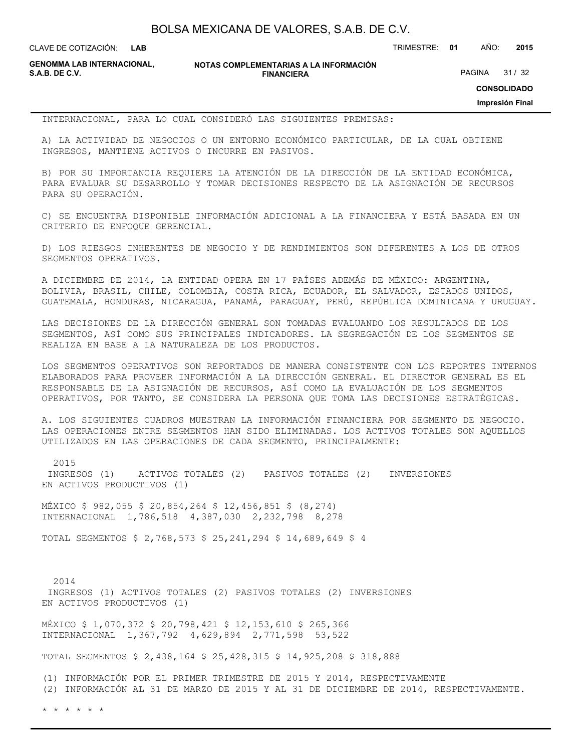**LAB**

CLAVE DE COTIZACIÓN: TRIMESTRE: **01** AÑO: **2015**

**GENOMMA LAB INTERNACIONAL,**

**NOTAS COMPLEMENTARIAS A LA INFORMACIÓN FINANCIERA S.A.B. DE C.V.** PAGINA 21 / 32

**CONSOLIDADO**

**Impresión Final**

INTERNACIONAL, PARA LO CUAL CONSIDERÓ LAS SIGUIENTES PREMISAS:

A) LA ACTIVIDAD DE NEGOCIOS O UN ENTORNO ECONÓMICO PARTICULAR, DE LA CUAL OBTIENE INGRESOS, MANTIENE ACTIVOS O INCURRE EN PASIVOS.

B) POR SU IMPORTANCIA REQUIERE LA ATENCIÓN DE LA DIRECCIÓN DE LA ENTIDAD ECONÓMICA, PARA EVALUAR SU DESARROLLO Y TOMAR DECISIONES RESPECTO DE LA ASIGNACIÓN DE RECURSOS PARA SU OPERACIÓN.

C) SE ENCUENTRA DISPONIBLE INFORMACIÓN ADICIONAL A LA FINANCIERA Y ESTÁ BASADA EN UN CRITERIO DE ENFOQUE GERENCIAL.

D) LOS RIESGOS INHERENTES DE NEGOCIO Y DE RENDIMIENTOS SON DIFERENTES A LOS DE OTROS SEGMENTOS OPERATIVOS.

A DICIEMBRE DE 2014, LA ENTIDAD OPERA EN 17 PAÍSES ADEMÁS DE MÉXICO: ARGENTINA, BOLIVIA, BRASIL, CHILE, COLOMBIA, COSTA RICA, ECUADOR, EL SALVADOR, ESTADOS UNIDOS, GUATEMALA, HONDURAS, NICARAGUA, PANAMÁ, PARAGUAY, PERÚ, REPÚBLICA DOMINICANA Y URUGUAY.

LAS DECISIONES DE LA DIRECCIÓN GENERAL SON TOMADAS EVALUANDO LOS RESULTADOS DE LOS SEGMENTOS, ASÍ COMO SUS PRINCIPALES INDICADORES. LA SEGREGACIÓN DE LOS SEGMENTOS SE REALIZA EN BASE A LA NATURALEZA DE LOS PRODUCTOS.

LOS SEGMENTOS OPERATIVOS SON REPORTADOS DE MANERA CONSISTENTE CON LOS REPORTES INTERNOS ELABORADOS PARA PROVEER INFORMACIÓN A LA DIRECCIÓN GENERAL. EL DIRECTOR GENERAL ES EL RESPONSABLE DE LA ASIGNACIÓN DE RECURSOS, ASÍ COMO LA EVALUACIÓN DE LOS SEGMENTOS OPERATIVOS, POR TANTO, SE CONSIDERA LA PERSONA QUE TOMA LAS DECISIONES ESTRATÉGICAS.

A. LOS SIGUIENTES CUADROS MUESTRAN LA INFORMACIÓN FINANCIERA POR SEGMENTO DE NEGOCIO. LAS OPERACIONES ENTRE SEGMENTOS HAN SIDO ELIMINADAS. LOS ACTIVOS TOTALES SON AQUELLOS UTILIZADOS EN LAS OPERACIONES DE CADA SEGMENTO, PRINCIPALMENTE:

2015

 INGRESOS (1) ACTIVOS TOTALES (2) PASIVOS TOTALES (2) INVERSIONES EN ACTIVOS PRODUCTIVOS (1)

MÉXICO \$ 982,055 \$ 20,854,264 \$ 12,456,851 \$ (8,274) INTERNACIONAL 1,786,518 4,387,030 2,232,798 8,278

TOTAL SEGMENTOS \$ 2,768,573 \$ 25,241,294 \$ 14,689,649 \$ 4

 2014 INGRESOS (1) ACTIVOS TOTALES (2) PASIVOS TOTALES (2) INVERSIONES EN ACTIVOS PRODUCTIVOS (1)

MÉXICO \$ 1,070,372 \$ 20,798,421 \$ 12,153,610 \$ 265,366 INTERNACIONAL 1,367,792 4,629,894 2,771,598 53,522

TOTAL SEGMENTOS \$ 2,438,164 \$ 25,428,315 \$ 14,925,208 \$ 318,888

(1) INFORMACIÓN POR EL PRIMER TRIMESTRE DE 2015 Y 2014, RESPECTIVAMENTE (2) INFORMACIÓN AL 31 DE MARZO DE 2015 Y AL 31 DE DICIEMBRE DE 2014, RESPECTIVAMENTE.

\* \* \* \* \* \*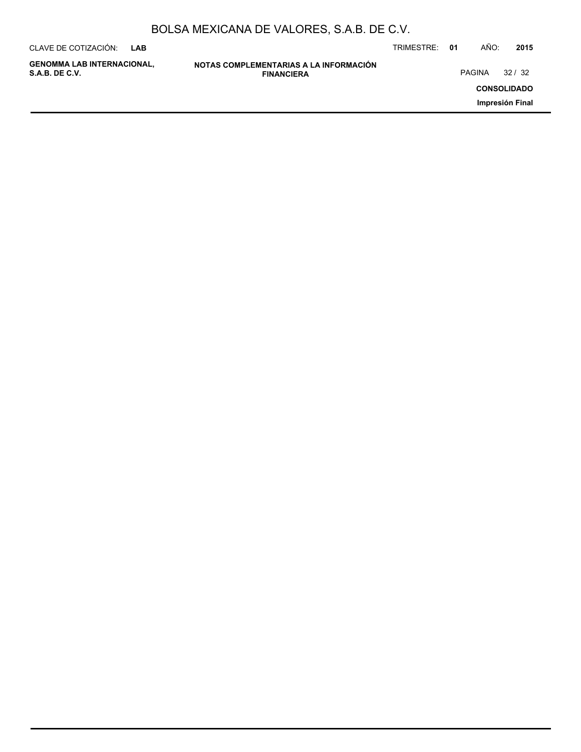| CLAVE DE COTIZACIÓN:<br>LAB                         |                                                             | TRIMESTRE: | AÑO:<br>-01   | 2015  |
|-----------------------------------------------------|-------------------------------------------------------------|------------|---------------|-------|
| <b>GENOMMA LAB INTERNACIONAL.</b><br>S.A.B. DE C.V. | NOTAS COMPLEMENTARIAS A LA INFORMACIÓN<br><b>FINANCIERA</b> |            | <b>PAGINA</b> | 32/32 |

**CONSOLIDADO**

**Impresión Final**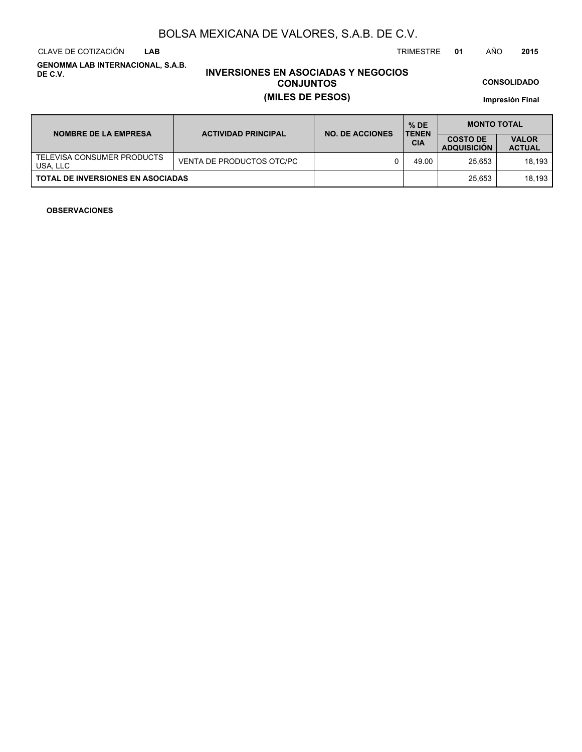CLAVE DE COTIZACIÓN TRIMESTRE **01** AÑO **2015 LAB**

**GENOMMA LAB INTERNACIONAL, S.A.B. DE C.V.**

# **INVERSIONES EN ASOCIADAS Y NEGOCIOS CONJUNTOS (MILES DE PESOS)**

**CONSOLIDADO**

**Impresión Final**

|                                          | <b>ACTIVIDAD PRINCIPAL</b> | <b>NO. DE ACCIONES</b> | $%$ DE<br><b>TENEN</b> | <b>MONTO TOTAL</b>                    |                               |  |
|------------------------------------------|----------------------------|------------------------|------------------------|---------------------------------------|-------------------------------|--|
| <b>NOMBRE DE LA EMPRESA</b>              |                            |                        | <b>CIA</b>             | <b>COSTO DE</b><br><b>ADQUISICION</b> | <b>VALOR</b><br><b>ACTUAL</b> |  |
| TELEVISA CONSUMER PRODUCTS<br>USA, LLC   | VENTA DE PRODUCTOS OTC/PC  |                        | 49.00                  | 25.653                                | 18.193                        |  |
| <b>TOTAL DE INVERSIONES EN ASOCIADAS</b> |                            |                        | 25.653                 | 18.193                                |                               |  |

# **OBSERVACIONES**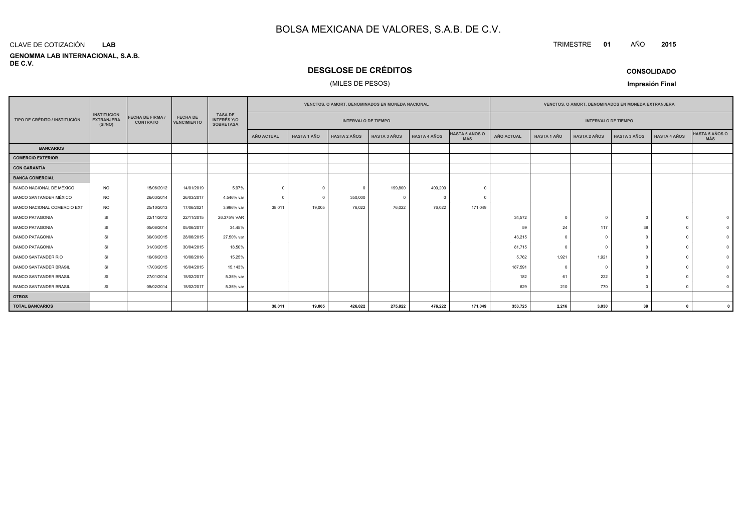#### **GENOMMA LAB INTERNACIONAL, S.A.B. DE C.V.**CLAVE DE COTIZACIÓN**LAB**

# **DESGLOSE DE CRÉDITOS**

# (MILES DE PESOS)

**CONSOLIDADO**

**<sup>2015</sup>**

**Impresión Final**

|                               |                                                    |                                            |                                       |                                                          |            |                    | <b>VENCTOS, O AMORT, DENOMINADOS EN MONEDA NACIONAL</b> |                     |                     |                              | <b>VENCTOS, O AMORT, DENOMINADOS EN MONEDA EXTRANJERA</b> |                    |                            |                     |                     |                       |  |
|-------------------------------|----------------------------------------------------|--------------------------------------------|---------------------------------------|----------------------------------------------------------|------------|--------------------|---------------------------------------------------------|---------------------|---------------------|------------------------------|-----------------------------------------------------------|--------------------|----------------------------|---------------------|---------------------|-----------------------|--|
| TIPO DE CRÉDITO / INSTITUCIÓN | <b>INSTITUCION</b><br><b>EXTRANJERA</b><br>(SI/NO) | <b>FECHA DE FIRMA /</b><br><b>CONTRATO</b> | <b>FECHA DE</b><br><b>VENCIMIENTO</b> | <b>TASA DE</b><br><b>INTERÉS Y/O</b><br><b>SOBRETASA</b> |            |                    | <b>INTERVALO DE TIEMPO</b>                              |                     |                     |                              |                                                           |                    | <b>INTERVALO DE TIEMPO</b> |                     |                     |                       |  |
|                               |                                                    |                                            |                                       |                                                          | AÑO ACTUAL | <b>HASTA 1 AÑO</b> | <b>HASTA 2 AÑOS</b>                                     | <b>HASTA 3 AÑOS</b> | <b>HASTA 4 AÑOS</b> | <b>HASTA 5 AÑOS O</b><br>MÁS | <b>AÑO ACTUAL</b>                                         | <b>HASTA 1 AÑO</b> | <b>HASTA 2 AÑOS</b>        | <b>HASTA 3 AÑOS</b> | <b>HASTA 4 AÑOS</b> | HASTA 5 AÑOS O<br>MÁS |  |
| <b>BANCARIOS</b>              |                                                    |                                            |                                       |                                                          |            |                    |                                                         |                     |                     |                              |                                                           |                    |                            |                     |                     |                       |  |
| <b>COMERCIO EXTERIOR</b>      |                                                    |                                            |                                       |                                                          |            |                    |                                                         |                     |                     |                              |                                                           |                    |                            |                     |                     |                       |  |
| <b>CON GARANTÍA</b>           |                                                    |                                            |                                       |                                                          |            |                    |                                                         |                     |                     |                              |                                                           |                    |                            |                     |                     |                       |  |
| <b>BANCA COMERCIAL</b>        |                                                    |                                            |                                       |                                                          |            |                    |                                                         |                     |                     |                              |                                                           |                    |                            |                     |                     |                       |  |
| BANCO NACIONAL DE MÉXICO      | <b>NO</b>                                          | 15/06/2012                                 | 14/01/2019                            | 5.97%                                                    | $\cap$     | $\mathbf{0}$       | $\Omega$                                                | 199,800             | 400,200             |                              |                                                           |                    |                            |                     |                     |                       |  |
| BANCO SANTANDER MÉXICO        | <b>NO</b>                                          | 26/03/2014                                 | 26/03/2017                            | 4.546% var                                               |            | $^{\circ}$         | 350,000                                                 |                     |                     |                              |                                                           |                    |                            |                     |                     |                       |  |
| BANCO NACIONAL COMERCIO EXT   | <b>NO</b>                                          | 25/10/2013                                 | 17/06/2021                            | 3.996% var                                               | 38,011     | 19,005             | 76,022                                                  | 76,022              | 76,022              | 171,049                      |                                                           |                    |                            |                     |                     |                       |  |
| <b>BANCO PATAGONIA</b>        | <b>SI</b>                                          | 22/11/2012                                 | 22/11/2015                            | 26.375% VAR                                              |            |                    |                                                         |                     |                     |                              | 34,572                                                    | - 0                |                            |                     |                     |                       |  |
| <b>BANCO PATAGONIA</b>        | <b>SI</b>                                          | 05/06/2014                                 | 05/06/2017                            | 34.45%                                                   |            |                    |                                                         |                     |                     |                              | 59                                                        | 24                 | 117                        | 38                  |                     |                       |  |
| <b>BANCO PATAGONIA</b>        | <b>SI</b>                                          | 30/03/2015                                 | 28/06/2015                            | 27.50% var                                               |            |                    |                                                         |                     |                     |                              | 43,215                                                    |                    |                            |                     |                     |                       |  |
| <b>BANCO PATAGONIA</b>        | <b>SI</b>                                          | 31/03/2015                                 | 30/04/2015                            | 18.50%                                                   |            |                    |                                                         |                     |                     |                              | 81,715                                                    | - 0                |                            |                     |                     |                       |  |
| <b>BANCO SANTANDER RIO</b>    | <b>SI</b>                                          | 10/06/2013                                 | 10/06/2016                            | 15.25%                                                   |            |                    |                                                         |                     |                     |                              | 5,762                                                     | 1,921              | 1,921                      |                     |                     |                       |  |
| <b>BANCO SANTANDER BRASIL</b> | <b>SI</b>                                          | 17/03/2015                                 | 16/04/2015                            | 15.143%                                                  |            |                    |                                                         |                     |                     |                              | 187,591                                                   | - 0                |                            |                     |                     |                       |  |
| <b>BANCO SANTANDER BRASIL</b> | <b>SI</b>                                          | 27/01/2014                                 | 15/02/2017                            | 5.35% var                                                |            |                    |                                                         |                     |                     |                              | 182                                                       | 61                 | 222                        |                     |                     |                       |  |
| <b>BANCO SANTANDER BRASIL</b> | <b>SI</b>                                          | 05/02/2014                                 | 15/02/2017                            | 5.35% var                                                |            |                    |                                                         |                     |                     |                              | 629                                                       | 210                | 770                        |                     |                     |                       |  |
| <b>OTROS</b>                  |                                                    |                                            |                                       |                                                          |            |                    |                                                         |                     |                     |                              |                                                           |                    |                            |                     |                     |                       |  |
| <b>TOTAL BANCARIOS</b>        |                                                    |                                            |                                       |                                                          | 38,011     | 19,005             | 426,022                                                 | 275,822             | 476,222             | 171,049                      | 353,725                                                   | 2,216              | 3,030                      | 38                  |                     |                       |  |

TRIMESTRE **<sup>01</sup>** AÑO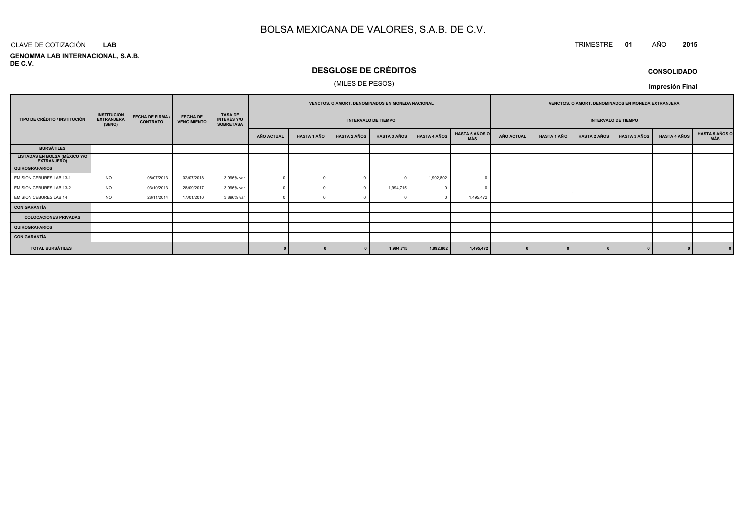# TRIMESTRE **<sup>01</sup>** AÑO **<sup>2015</sup>**

**GENOMMA LAB INTERNACIONAL, S.A.B. DE C.V.**CLAVE DE COTIZACIÓN**LAB**

# **DESGLOSE DE CRÉDITOS**

# (MILES DE PESOS)

**CONSOLIDADOImpresión Final**

|                                                            |                                                    |                                            |                                       |                                                          |            | <b>VENCTOS, O AMORT, DENOMINADOS EN MONEDA NACIONAL</b> |                     |                            |              | <b>VENCTOS, O AMORT, DENOMINADOS EN MONEDA EXTRANJERA</b> |                   |                    |                     |                            |                     |                       |
|------------------------------------------------------------|----------------------------------------------------|--------------------------------------------|---------------------------------------|----------------------------------------------------------|------------|---------------------------------------------------------|---------------------|----------------------------|--------------|-----------------------------------------------------------|-------------------|--------------------|---------------------|----------------------------|---------------------|-----------------------|
| TIPO DE CRÉDITO / INSTITUCIÓN                              | <b>INSTITUCION</b><br><b>EXTRANJERA</b><br>(SI/NO) | <b>FECHA DE FIRMA /</b><br><b>CONTRATO</b> | <b>FECHA DE</b><br><b>VENCIMIENTO</b> | <b>TASA DE</b><br><b>INTERÉS Y/O</b><br><b>SOBRETASA</b> |            |                                                         |                     | <b>INTERVALO DE TIEMPO</b> |              |                                                           |                   |                    |                     | <b>INTERVALO DE TIEMPO</b> |                     |                       |
|                                                            |                                                    |                                            |                                       |                                                          | AÑO ACTUAL | <b>HASTA 1 AÑO</b>                                      | <b>HASTA 2 AÑOS</b> | <b>HASTA 3 AÑOS</b>        | HASTA 4 AÑOS | <b>HASTA 5 AÑOS O</b><br>MÁS                              | <b>AÑO ACTUAL</b> | <b>HASTA 1 AÑO</b> | <b>HASTA 2 AÑOS</b> | <b>HASTA 3 AÑOS</b>        | <b>HASTA 4 AÑOS</b> | HASTA 5 AÑOS C<br>MÁS |
| <b>BURSÁTILES</b>                                          |                                                    |                                            |                                       |                                                          |            |                                                         |                     |                            |              |                                                           |                   |                    |                     |                            |                     |                       |
| <b>LISTADAS EN BOLSA (MÉXICO Y/O</b><br><b>EXTRANJERO)</b> |                                                    |                                            |                                       |                                                          |            |                                                         |                     |                            |              |                                                           |                   |                    |                     |                            |                     |                       |
| <b>QUIROGRAFARIOS</b>                                      |                                                    |                                            |                                       |                                                          |            |                                                         |                     |                            |              |                                                           |                   |                    |                     |                            |                     |                       |
| EMISION CEBURES LAB 13-1                                   | <b>NO</b>                                          | 08/07/2013                                 | 02/07/2018                            | 3.996% var                                               |            |                                                         | $\Omega$            |                            | 1,992,802    |                                                           |                   |                    |                     |                            |                     |                       |
| EMISION CEBURES LAB 13-2                                   | <b>NO</b>                                          | 03/10/2013                                 | 28/09/2017                            | 3.996% var                                               |            |                                                         | $\Omega$            | 1,994,715                  |              |                                                           |                   |                    |                     |                            |                     |                       |
| <b>EMISION CEBURES LAB 14</b>                              | NO.                                                | 28/11/2014                                 | 17/01/2010                            | 3.896% var                                               |            |                                                         |                     |                            |              | 1,495,472                                                 |                   |                    |                     |                            |                     |                       |
| <b>CON GARANTÍA</b>                                        |                                                    |                                            |                                       |                                                          |            |                                                         |                     |                            |              |                                                           |                   |                    |                     |                            |                     |                       |
| <b>COLOCACIONES PRIVADAS</b>                               |                                                    |                                            |                                       |                                                          |            |                                                         |                     |                            |              |                                                           |                   |                    |                     |                            |                     |                       |
| <b>QUIROGRAFARIOS</b>                                      |                                                    |                                            |                                       |                                                          |            |                                                         |                     |                            |              |                                                           |                   |                    |                     |                            |                     |                       |
| <b>CON GARANTÍA</b>                                        |                                                    |                                            |                                       |                                                          |            |                                                         |                     |                            |              |                                                           |                   |                    |                     |                            |                     |                       |
| <b>TOTAL BURSÁTILES</b>                                    |                                                    |                                            |                                       |                                                          |            |                                                         |                     | 1,994,715                  | 1,992,802    | 1,495,472                                                 |                   |                    |                     |                            |                     |                       |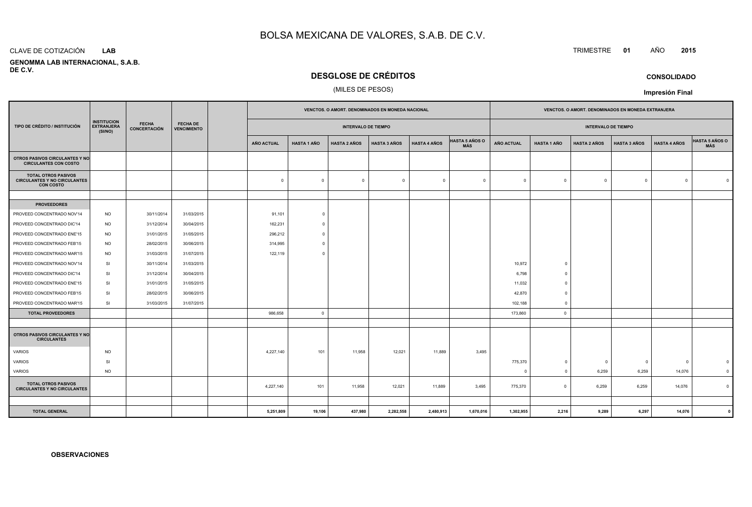#### CLAVE DE COTIZACIÓN**LAB**

 **GENOMMA LAB INTERNACIONAL, S.A.B.DE C.V.**

# **DESGLOSE DE CRÉDITOS**

# (MILES DE PESOS)

|                                                                                       |                                                    |                                     |                                       | <b>VENCTOS, O AMORT, DENOMINADOS EN MONEDA NACIONAL</b> |                            |                     |                     |                     |                              | <b>VENCTOS, O AMORT, DENOMINADOS EN MONEDA EXTRANJERA</b> |                    |                     |                     |                     |                              |
|---------------------------------------------------------------------------------------|----------------------------------------------------|-------------------------------------|---------------------------------------|---------------------------------------------------------|----------------------------|---------------------|---------------------|---------------------|------------------------------|-----------------------------------------------------------|--------------------|---------------------|---------------------|---------------------|------------------------------|
| TIPO DE CRÉDITO / INSTITUCIÓN                                                         | <b>INSTITUCION</b><br><b>EXTRANJERA</b><br>(SI/NO) | <b>FECHA</b><br><b>CONCERTACIÓN</b> | <b>FECHA DE</b><br><b>VENCIMIENTO</b> |                                                         | <b>INTERVALO DE TIEMPO</b> |                     |                     |                     |                              | <b>INTERVALO DE TIEMPO</b>                                |                    |                     |                     |                     |                              |
|                                                                                       |                                                    |                                     |                                       | <b>AÑO ACTUAL</b>                                       | <b>HASTA 1 AÑO</b>         | <b>HASTA 2 AÑOS</b> | <b>HASTA 3 AÑOS</b> | <b>HASTA 4 AÑOS</b> | <b>HASTA 5 AÑOS O</b><br>MÁS | <b>AÑO ACTUAL</b>                                         | <b>HASTA 1 AÑO</b> | <b>HASTA 2 AÑOS</b> | <b>HASTA 3 AÑOS</b> | <b>HASTA 4 AÑOS</b> | <b>HASTA 5 AÑOS O</b><br>MÁS |
| OTROS PASIVOS CIRCULANTES Y NO<br><b>CIRCULANTES CON COSTO</b>                        |                                                    |                                     |                                       |                                                         |                            |                     |                     |                     |                              |                                                           |                    |                     |                     |                     |                              |
| <b>TOTAL OTROS PASIVOS</b><br><b>CIRCULANTES Y NO CIRCULANTES</b><br><b>CON COSTO</b> |                                                    |                                     |                                       | $\circ$                                                 | $\Omega$                   | $\mathbf 0$         | $\overline{0}$      | $\Omega$            | $\overline{0}$               | $\mathbf{0}$                                              | $\mathbf 0$        | $\Omega$            | $\mathbf{0}$        | $\Omega$            | $\Omega$                     |
|                                                                                       |                                                    |                                     |                                       |                                                         |                            |                     |                     |                     |                              |                                                           |                    |                     |                     |                     |                              |
| <b>PROVEEDORES</b>                                                                    |                                                    |                                     |                                       |                                                         |                            |                     |                     |                     |                              |                                                           |                    |                     |                     |                     |                              |
| PROVEED CONCENTRADO NOV'14                                                            | <b>NO</b>                                          | 30/11/2014                          | 31/03/2015                            | 91,101                                                  | $\Omega$                   |                     |                     |                     |                              |                                                           |                    |                     |                     |                     |                              |
| PROVEED CONCENTRADO DIC'14                                                            | <b>NO</b>                                          | 31/12/2014                          | 30/04/2015                            | 162,231                                                 | $\overline{\mathbf{0}}$    |                     |                     |                     |                              |                                                           |                    |                     |                     |                     |                              |
| PROVEED CONCENTRADO ENE'15                                                            | <b>NO</b>                                          | 31/01/2015                          | 31/05/2015                            | 296,212                                                 | $\Omega$                   |                     |                     |                     |                              |                                                           |                    |                     |                     |                     |                              |
| PROVEED CONCENTRADO FEB'15                                                            | <b>NO</b>                                          | 28/02/2015                          | 30/06/2015                            | 314,995                                                 | $\mathbf{0}$               |                     |                     |                     |                              |                                                           |                    |                     |                     |                     |                              |
| PROVEED CONCENTRADO MAR'15                                                            | <b>NO</b>                                          | 31/03/2015                          | 31/07/2015                            | 122,119                                                 | $\Omega$                   |                     |                     |                     |                              |                                                           |                    |                     |                     |                     |                              |
| PROVEED CONCENTRADO NOV'14                                                            | SI                                                 | 30/11/2014                          | 31/03/2015                            |                                                         |                            |                     |                     |                     |                              | 10,972                                                    | $\overline{0}$     |                     |                     |                     |                              |
| PROVEED CONCENTRADO DIC'14                                                            | SI                                                 | 31/12/2014                          | 30/04/2015                            |                                                         |                            |                     |                     |                     |                              | 6,798                                                     | $\overline{0}$     |                     |                     |                     |                              |
| PROVEED CONCENTRADO ENE'15                                                            | <b>SI</b>                                          | 31/01/2015                          | 31/05/2015                            |                                                         |                            |                     |                     |                     |                              | 11,032                                                    | $\Omega$           |                     |                     |                     |                              |
| PROVEED CONCENTRADO FEB'15                                                            | SI                                                 | 28/02/2015                          | 30/06/2015                            |                                                         |                            |                     |                     |                     |                              | 42,870                                                    | $\overline{0}$     |                     |                     |                     |                              |
| PROVEED CONCENTRADO MAR'15                                                            | SI                                                 | 31/03/2015                          | 31/07/2015                            |                                                         |                            |                     |                     |                     |                              | 102,188                                                   | $\overline{0}$     |                     |                     |                     |                              |
| <b>TOTAL PROVEEDORES</b>                                                              |                                                    |                                     |                                       | 986,658                                                 | $\mathbf 0$                |                     |                     |                     |                              | 173,860                                                   | $\mathbf 0$        |                     |                     |                     |                              |
|                                                                                       |                                                    |                                     |                                       |                                                         |                            |                     |                     |                     |                              |                                                           |                    |                     |                     |                     |                              |
| OTROS PASIVOS CIRCULANTES Y NO<br><b>CIRCULANTES</b>                                  |                                                    |                                     |                                       |                                                         |                            |                     |                     |                     |                              |                                                           |                    |                     |                     |                     |                              |
| VARIOS                                                                                | <b>NO</b>                                          |                                     |                                       | 4,227,140                                               | 101                        | 11,958              | 12,021              | 11,889              | 3,495                        |                                                           |                    |                     |                     |                     |                              |
| <b>VARIOS</b>                                                                         | <b>SI</b>                                          |                                     |                                       |                                                         |                            |                     |                     |                     |                              | 775,370                                                   | $\overline{0}$     | $^{\circ}$          | $\overline{0}$      | $\Omega$            | $\overline{0}$               |
| VARIOS                                                                                | <b>NO</b>                                          |                                     |                                       |                                                         |                            |                     |                     |                     |                              | $\Omega$                                                  | $\overline{0}$     | 6,259               | 6,259               | 14,076              | $\mathbf 0$                  |
| <b>TOTAL OTROS PASIVOS</b><br><b>CIRCULANTES Y NO CIRCULANTES</b>                     |                                                    |                                     |                                       | 4,227,140                                               | 101                        | 11,958              | 12,021              | 11,889              | 3,495                        | 775,370                                                   | $\mathbf 0$        | 6,259               | 6,259               | 14,076              | $\Omega$                     |
|                                                                                       |                                                    |                                     |                                       |                                                         |                            |                     |                     |                     |                              |                                                           |                    |                     |                     |                     |                              |
| <b>TOTAL GENERAL</b>                                                                  |                                                    |                                     |                                       | 5,251,809                                               | 19,106                     | 437,980             | 2,282,558           | 2,480,913           | 1,670,016                    | 1,302,955                                                 | 2,216              | 9,289               | 6,297               | 14,076              |                              |

**Impresión Final**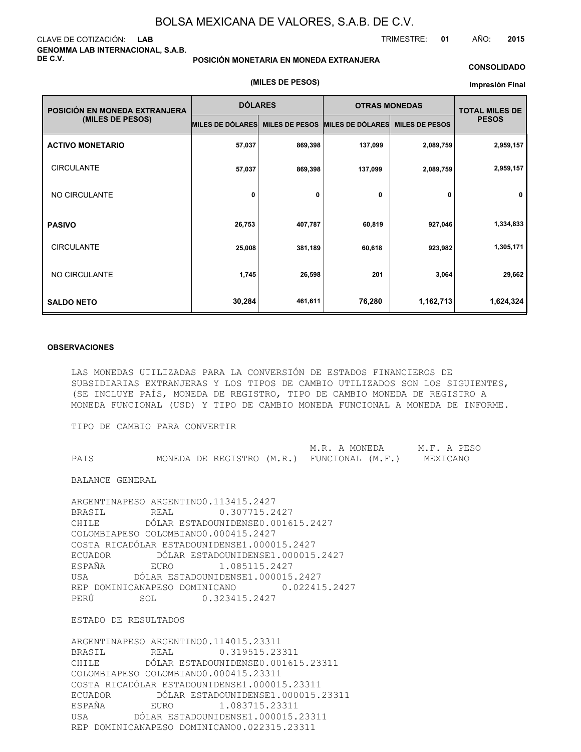# CLAVE DE COTIZACIÓN: **LAB GENOMMA LAB INTERNACIONAL, S.A.B. DE C.V.**

## **POSICIÓN MONETARIA EN MONEDA EXTRANJERA**

## **CONSOLIDADO**

TRIMESTRE: **01** AÑO: **2015**

## **(MILES DE PESOS)**

## **Impresión Final**

| POSICIÓN EN MONEDA EXTRANJERA | <b>DÓLARES</b>          |                       | <b>OTRAS MONEDAS</b> |                       | <b>TOTAL MILES DE</b> |  |
|-------------------------------|-------------------------|-----------------------|----------------------|-----------------------|-----------------------|--|
| (MILES DE PESOS)              | <b>MILES DE DÓLARES</b> | <b>MILES DE PESOS</b> | MILES DE DÓLARES     | <b>MILES DE PESOS</b> | <b>PESOS</b>          |  |
| <b>ACTIVO MONETARIO</b>       | 57,037                  | 869,398               | 137,099              | 2,089,759             | 2,959,157             |  |
| <b>CIRCULANTE</b>             | 57,037                  | 869,398               | 137,099              | 2,089,759             | 2,959,157             |  |
| NO CIRCULANTE                 | 0                       | 0                     | 0                    | 0                     | 0                     |  |
| <b>PASIVO</b>                 | 26,753                  | 407,787               | 60,819               | 927,046               | 1,334,833             |  |
| <b>CIRCULANTE</b>             | 25,008                  | 381,189               | 60,618               | 923,982               | 1,305,171             |  |
| NO CIRCULANTE                 | 1,745                   | 26,598                | 201                  | 3,064                 | 29,662                |  |
| <b>SALDO NETO</b>             | 30,284                  | 461,611               | 76,280               | 1,162,713             | 1,624,324             |  |

#### **OBSERVACIONES**

LAS MONEDAS UTILIZADAS PARA LA CONVERSIÓN DE ESTADOS FINANCIEROS DE SUBSIDIARIAS EXTRANJERAS Y LOS TIPOS DE CAMBIO UTILIZADOS SON LOS SIGUIENTES, (SE INCLUYE PAÍS, MONEDA DE REGISTRO, TIPO DE CAMBIO MONEDA DE REGISTRO A MONEDA FUNCIONAL (USD) Y TIPO DE CAMBIO MONEDA FUNCIONAL A MONEDA DE INFORME.

TIPO DE CAMBIO PARA CONVERTIR

| PAIS                                        | MONEDA DE REGISTRO (M.R.) FUNCIONAL (M.F.) MEXICANO |                | M.R. A MONEDA | M.F. A PESO |
|---------------------------------------------|-----------------------------------------------------|----------------|---------------|-------------|
| BALANCE GENERAL                             |                                                     |                |               |             |
| ARGENTINAPESO ARGENTINO0.113415.2427        |                                                     |                |               |             |
| BRASTI,                                     | REAL 0.307715.2427                                  |                |               |             |
| CHILE                                       | DÓLAR ESTADOUNIDENSE0.001615.2427                   |                |               |             |
| COLOMBIAPESO COLOMBIANO0.000415.2427        |                                                     |                |               |             |
| COSTA RICADÓLAR ESTADOUNIDENSE1.000015.2427 |                                                     |                |               |             |
| ECUADOR                                     | DÓLAR ESTADOUNIDENSE1.000015.2427                   |                |               |             |
| ESPAÑA                                      | EURO                                                | 1.085115.2427  |               |             |
| USA                                         | DÓLAR ESTADOUNIDENSE1.000015.2427                   |                |               |             |
| REP DOMINICANAPESO DOMINICANO 6.022415.2427 |                                                     |                |               |             |
| PERÚ<br>SOL                                 |                                                     | 0.323415.2427  |               |             |
|                                             |                                                     |                |               |             |
| ESTADO DE RESULTADOS                        |                                                     |                |               |             |
| ARGENTINAPESO ARGENTINO0.114015.23311       |                                                     |                |               |             |
| BRASIL                                      | REAL                                                | 0.319515.23311 |               |             |
| <b>CHILE</b>                                | DÓLAR ESTADOUNIDENSE0.001615.23311                  |                |               |             |
| COLOMBIAPESO COLOMBIANOO 000415.23311       |                                                     |                |               |             |

COLOMBIAPESO COLOMBIANO0.000415.23311 COSTA RICADÓLAR ESTADOUNIDENSE1.000015.23311 ECUADOR DÓLAR ESTADOUNIDENSE1.000015.23311<br>ESPAÑA EURO 1.083715.23311 EURO 1.083715.23311 USA DÓLAR ESTADOUNIDENSE1.000015.23311 REP DOMINICANAPESO DOMINICANO0.022315.23311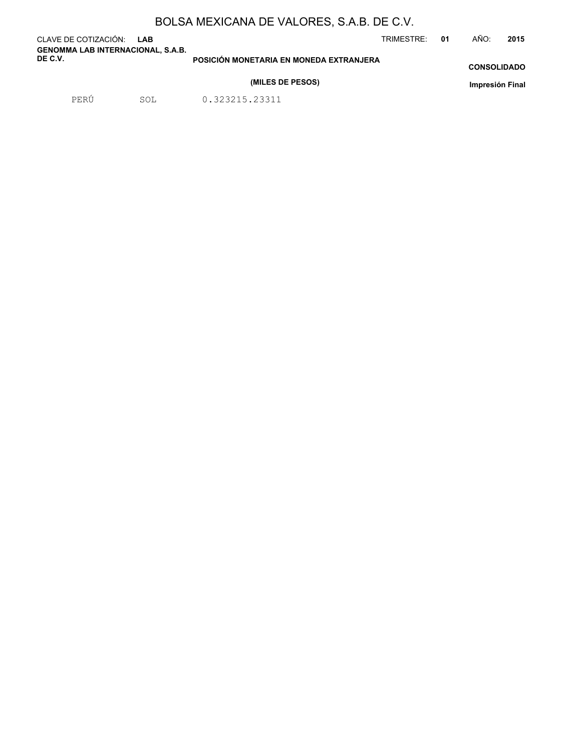| CLAVE DE COTIZACIÓN: LAB<br><b>GENOMMA LAB INTERNACIONAL, S.A.B.</b> |                                         | TRIMESTRE: | 01 | AÑO:               | 2015 |
|----------------------------------------------------------------------|-----------------------------------------|------------|----|--------------------|------|
| DE C.V.                                                              | POSICIÓN MONETARIA EN MONEDA EXTRANJERA |            |    | <b>CONSOLIDADO</b> |      |
|                                                                      | (MILES DE PESOS)                        |            |    | Impresión Final    |      |

PERÚ SOL 0.323215.23311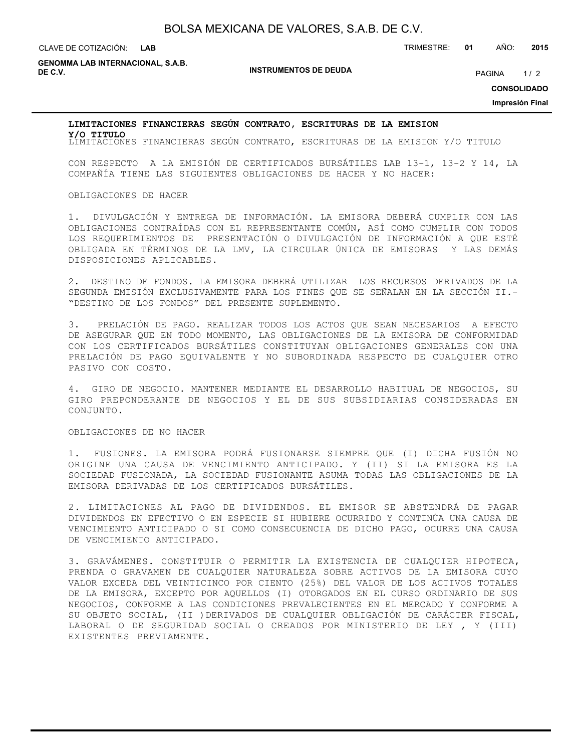### **LAB**

CLAVE DE COTIZACIÓN: TRIMESTRE: **01** AÑO: **2015**

**GENOMMA LAB INTERNACIONAL, S.A.B. DE C.V.** PAGINA 1/2

**INSTRUMENTOS DE DEUDA**

**CONSOLIDADO**

**Impresión Final**

# LIMITACIONES FINANCIERAS SEGÚN CONTRATO, ESCRITURAS DE LA EMISION Y/O TITULO **Y/O TITULOLIMITACIONES FINANCIERAS SEGÚN CONTRATO, ESCRITURAS DE LA EMISION**

CON RESPECTO A LA EMISIÓN DE CERTIFICADOS BURSÁTILES LAB 13-1, 13-2 Y 14, LA COMPAÑÍA TIENE LAS SIGUIENTES OBLIGACIONES DE HACER Y NO HACER:

## OBLIGACIONES DE HACER

1. DIVULGACIÓN Y ENTREGA DE INFORMACIÓN. LA EMISORA DEBERÁ CUMPLIR CON LAS OBLIGACIONES CONTRAÍDAS CON EL REPRESENTANTE COMÚN, ASÍ COMO CUMPLIR CON TODOS LOS REQUERIMIENTOS DE PRESENTACIÓN O DIVULGACIÓN DE INFORMACIÓN A QUE ESTÉ OBLIGADA EN TÉRMINOS DE LA LMV, LA CIRCULAR ÚNICA DE EMISORAS Y LAS DEMÁS DISPOSICIONES APLICABLES.

2. DESTINO DE FONDOS. LA EMISORA DEBERÁ UTILIZAR LOS RECURSOS DERIVADOS DE LA SEGUNDA EMISIÓN EXCLUSIVAMENTE PARA LOS FINES QUE SE SEÑALAN EN LA SECCIÓN II.- "DESTINO DE LOS FONDOS" DEL PRESENTE SUPLEMENTO.

3. PRELACIÓN DE PAGO. REALIZAR TODOS LOS ACTOS QUE SEAN NECESARIOS A EFECTO DE ASEGURAR QUE EN TODO MOMENTO, LAS OBLIGACIONES DE LA EMISORA DE CONFORMIDAD CON LOS CERTIFICADOS BURSÁTILES CONSTITUYAN OBLIGACIONES GENERALES CON UNA PRELACIÓN DE PAGO EQUIVALENTE Y NO SUBORDINADA RESPECTO DE CUALQUIER OTRO PASIVO CON COSTO.

4. GIRO DE NEGOCIO. MANTENER MEDIANTE EL DESARROLLO HABITUAL DE NEGOCIOS, SU GIRO PREPONDERANTE DE NEGOCIOS Y EL DE SUS SUBSIDIARIAS CONSIDERADAS EN CONJUNTO.

## OBLIGACIONES DE NO HACER

1. FUSIONES. LA EMISORA PODRÁ FUSIONARSE SIEMPRE QUE (I) DICHA FUSIÓN NO ORIGINE UNA CAUSA DE VENCIMIENTO ANTICIPADO. Y (II) SI LA EMISORA ES LA SOCIEDAD FUSIONADA, LA SOCIEDAD FUSIONANTE ASUMA TODAS LAS OBLIGACIONES DE LA EMISORA DERIVADAS DE LOS CERTIFICADOS BURSÁTILES.

2. LIMITACIONES AL PAGO DE DIVIDENDOS. EL EMISOR SE ABSTENDRÁ DE PAGAR DIVIDENDOS EN EFECTIVO O EN ESPECIE SI HUBIERE OCURRIDO Y CONTINÚA UNA CAUSA DE VENCIMIENTO ANTICIPADO O SI COMO CONSECUENCIA DE DICHO PAGO, OCURRE UNA CAUSA DE VENCIMIENTO ANTICIPADO.

3. GRAVÁMENES. CONSTITUIR O PERMITIR LA EXISTENCIA DE CUALQUIER HIPOTECA, PRENDA O GRAVAMEN DE CUALQUIER NATURALEZA SOBRE ACTIVOS DE LA EMISORA CUYO VALOR EXCEDA DEL VEINTICINCO POR CIENTO (25%) DEL VALOR DE LOS ACTIVOS TOTALES DE LA EMISORA, EXCEPTO POR AQUELLOS (I) OTORGADOS EN EL CURSO ORDINARIO DE SUS NEGOCIOS, CONFORME A LAS CONDICIONES PREVALECIENTES EN EL MERCADO Y CONFORME A SU OBJETO SOCIAL, (II )DERIVADOS DE CUALQUIER OBLIGACIÓN DE CARÁCTER FISCAL, LABORAL O DE SEGURIDAD SOCIAL O CREADOS POR MINISTERIO DE LEY , Y (III) EXISTENTES PREVIAMENTE.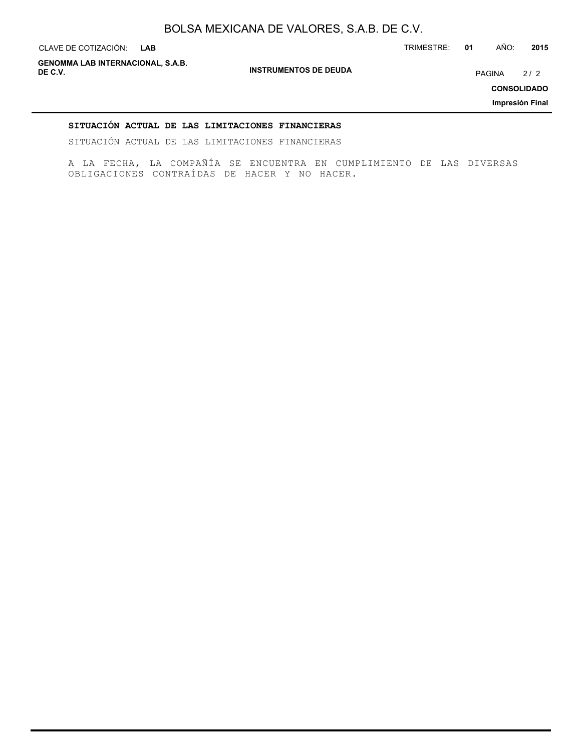**LAB**

CLAVE DE COTIZACIÓN: TRIMESTRE: **01** AÑO: **2015**

**INSTRUMENTOS DE DEUDA DE C.V.** PAGINA 2 / 2 **GENOMMA LAB INTERNACIONAL, S.A.B.**

**CONSOLIDADO**

**Impresión Final**

## **SITUACIÓN ACTUAL DE LAS LIMITACIONES FINANCIERAS**

SITUACIÓN ACTUAL DE LAS LIMITACIONES FINANCIERAS

A LA FECHA, LA COMPAÑÍA SE ENCUENTRA EN CUMPLIMIENTO DE LAS DIVERSAS OBLIGACIONES CONTRAÍDAS DE HACER Y NO HACER.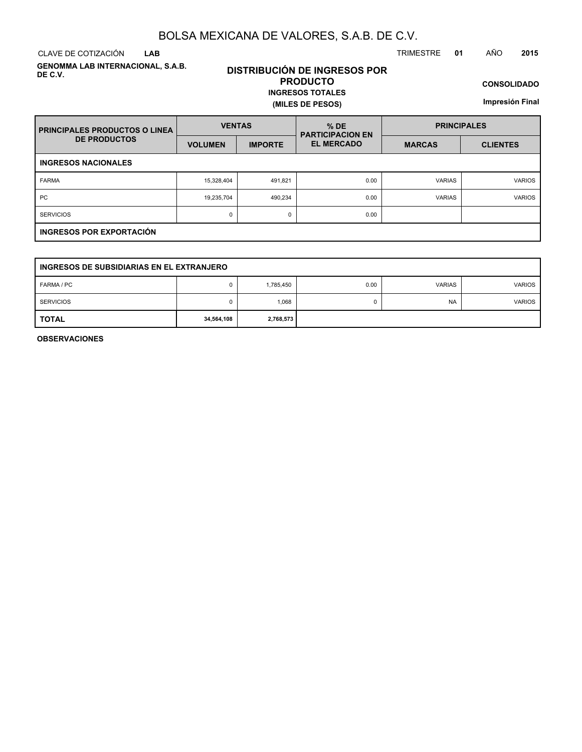CLAVE DE COTIZACIÓN TRIMESTRE **01** AÑO **2015 LAB**

**GENOMMA LAB INTERNACIONAL, S.A.B. DE C.V.**

# **DISTRIBUCIÓN DE INGRESOS POR PRODUCTO INGRESOS TOTALES**

**(MILES DE PESOS)**

**CONSOLIDADO**

**Impresión Final**

| <b>PRINCIPALES PRODUCTOS O LINEA</b> | <b>VENTAS</b>  |                | $%$ DE<br><b>PARTICIPACION EN</b> | <b>PRINCIPALES</b> |                 |  |  |  |  |  |
|--------------------------------------|----------------|----------------|-----------------------------------|--------------------|-----------------|--|--|--|--|--|
| <b>DE PRODUCTOS</b>                  | <b>VOLUMEN</b> | <b>IMPORTE</b> | <b>EL MERCADO</b>                 | <b>MARCAS</b>      | <b>CLIENTES</b> |  |  |  |  |  |
| <b>INGRESOS NACIONALES</b>           |                |                |                                   |                    |                 |  |  |  |  |  |
| <b>FARMA</b>                         | 15,328,404     | 491,821        | 0.00                              | <b>VARIAS</b>      | <b>VARIOS</b>   |  |  |  |  |  |
| <b>PC</b>                            | 19,235,704     | 490,234        | 0.00                              | <b>VARIAS</b>      | <b>VARIOS</b>   |  |  |  |  |  |
| <b>SERVICIOS</b>                     | 0              | 0              | 0.00                              |                    |                 |  |  |  |  |  |
| INGRESOS POR EXPORTACIÓN             |                |                |                                   |                    |                 |  |  |  |  |  |

| INGRESOS DE SUBSIDIARIAS EN EL EXTRANJERO |            |           |      |               |               |  |  |  |  |  |
|-------------------------------------------|------------|-----------|------|---------------|---------------|--|--|--|--|--|
| FARMA / PC                                | O          | 1,785,450 | 0.00 | <b>VARIAS</b> | <b>VARIOS</b> |  |  |  |  |  |
| <b>SERVICIOS</b>                          |            | 1,068     |      | <b>NA</b>     | <b>VARIOS</b> |  |  |  |  |  |
| <b>TOTAL</b>                              | 34,564,108 | 2,768,573 |      |               |               |  |  |  |  |  |

**OBSERVACIONES**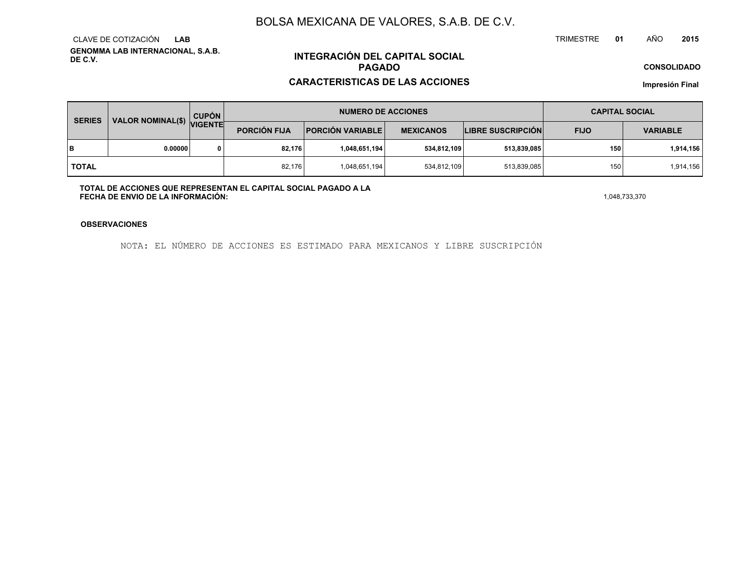**GENOMMA LAB INTERNACIONAL, S.A.B. DE C.V.**CLAVE DE COTIZACIÓN**LAB**

# **INTEGRACIÓN DEL CAPITAL SOCIALPAGADO**

## **CARACTERISTICAS DE LAS ACCIONES**

**CONSOLIDADO**

**Impresión Final**

| <b>SERIES</b> |                           | <b>CUPÓN</b> |                     | <b>NUMERO DE ACCIONES</b> | <b>CAPITAL SOCIAL</b> |                          |             |                 |
|---------------|---------------------------|--------------|---------------------|---------------------------|-----------------------|--------------------------|-------------|-----------------|
|               | VALOR NOMINAL(\$) VIGENTE |              | <b>PORCIÓN FIJA</b> | <b>PORCIÓN VARIABLE</b>   | <b>MEXICANOS</b>      | <b>LIBRE SUSCRIPCIÓN</b> | <b>FIJO</b> | <b>VARIABLE</b> |
| lв            | 0.00000                   |              | 82,176              | 1,048,651,194             | 534,812,109           | 513,839,085              | 150         | 1,914,156       |
| l total       |                           |              | 82,176              | 1,048,651,194             | 534,812,109           | 513,839,085              | 150         | 1,914,156       |

**TOTAL DE ACCIONES QUE REPRESENTAN EL CAPITAL SOCIAL PAGADO A LAFECHA DE ENVIO DE LA INFORMACIÓN:** $1,048,733,370$ 

TRIMESTRE

#### **OBSERVACIONES**

NOTA: EL NÚMERO DE ACCIONES ES ESTIMADO PARA MEXICANOS Y LIBRE SUSCRIPCIÓN

 **<sup>01</sup>** AÑO**<sup>2015</sup>**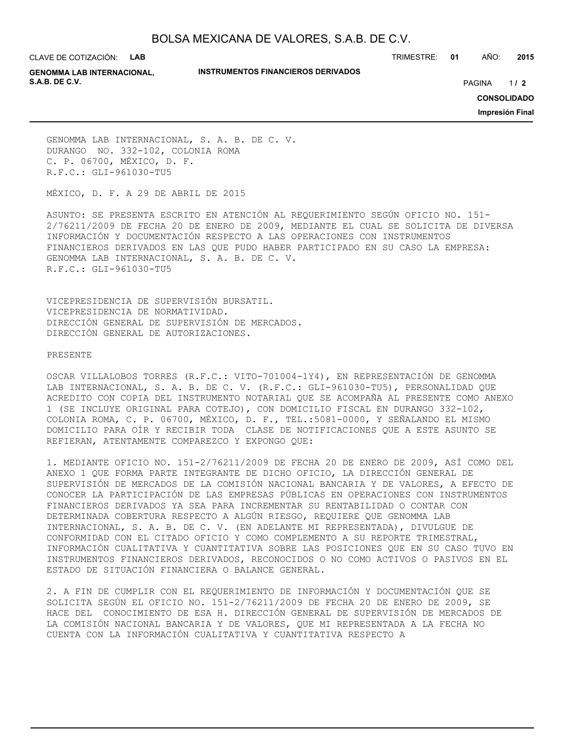CLAVE DE COTIZACIÓN: **LAB**

## **INSTRUMENTOS FINANCIEROS DERIVADOS**

TRIMESTRE: **01** AÑO: **2015**

**GENOMMA LAB INTERNACIONAL, S.A.B. DE C.V.** PAGINA **/ 2**

 $1/2$ 

**CONSOLIDADO**

**Impresión Final**

GENOMMA LAB INTERNACIONAL, S. A. B. DE C. V. DURANGO NO. 332-102, COLONIA ROMA C. P. 06700, MÉXICO, D. F. R.F.C.: GLI-961030-TU5

MÉXICO, D. F. A 29 DE ABRIL DE 2015

ASUNTO: SE PRESENTA ESCRITO EN ATENCIÓN AL REQUERIMIENTO SEGÚN OFICIO NO. 151- 2/76211/2009 DE FECHA 20 DE ENERO DE 2009, MEDIANTE EL CUAL SE SOLICITA DE DIVERSA INFORMACIÓN Y DOCUMENTACIÓN RESPECTO A LAS OPERACIONES CON INSTRUMENTOS FINANCIEROS DERIVADOS EN LAS QUE PUDO HABER PARTICIPADO EN SU CASO LA EMPRESA: GENOMMA LAB INTERNACIONAL, S. A. B. DE C. V. R.F.C.: GLI-961030-TU5

VICEPRESIDENCIA DE SUPERVISIÓN BURSATIL. VICEPRESIDENCIA DE NORMATIVIDAD. DIRECCIÓN GENERAL DE SUPERVISIÓN DE MERCADOS. DIRECCIÓN GENERAL DE AUTORIZACIONES.

## PRESENTE

OSCAR VILLALOBOS TORRES (R.F.C.: VITO-701004-1Y4), EN REPRESENTACIÓN DE GENOMMA LAB INTERNACIONAL, S. A. B. DE C. V. (R.F.C.: GLI-961030-TU5), PERSONALIDAD QUE ACREDITO CON COPIA DEL INSTRUMENTO NOTARIAL QUE SE ACOMPAÑA AL PRESENTE COMO ANEXO 1 (SE INCLUYE ORIGINAL PARA COTEJO), CON DOMICILIO FISCAL EN DURANGO 332-102, COLONIA ROMA, C. P. 06700, MÉXICO, D. F., TEL.:5081-0000, Y SEÑALANDO EL MISMO DOMICILIO PARA OÍR Y RECIBIR TODA CLASE DE NOTIFICACIONES QUE A ESTE ASUNTO SE REFIERAN, ATENTAMENTE COMPAREZCO Y EXPONGO QUE:

1. MEDIANTE OFICIO NO. 151-2/76211/2009 DE FECHA 20 DE ENERO DE 2009, ASÍ COMO DEL ANEXO 1 QUE FORMA PARTE INTEGRANTE DE DICHO OFICIO, LA DIRECCIÓN GENERAL DE SUPERVISIÓN DE MERCADOS DE LA COMISIÓN NACIONAL BANCARIA Y DE VALORES, A EFECTO DE CONOCER LA PARTICIPACIÓN DE LAS EMPRESAS PÚBLICAS EN OPERACIONES CON INSTRUMENTOS FINANCIEROS DERIVADOS YA SEA PARA INCREMENTAR SU RENTABILIDAD O CONTAR CON DETERMINADA COBERTURA RESPECTO A ALGÚN RIESGO, REQUIERE QUE GENOMMA LAB INTERNACIONAL, S. A. B. DE C. V. (EN ADELANTE MI REPRESENTADA), DIVULGUE DE CONFORMIDAD CON EL CITADO OFICIO Y COMO COMPLEMENTO A SU REPORTE TRIMESTRAL, INFORMACIÓN CUALITATIVA Y CUANTITATIVA SOBRE LAS POSICIONES QUE EN SU CASO TUVO EN INSTRUMENTOS FINANCIEROS DERIVADOS, RECONOCIDOS O NO COMO ACTIVOS O PASIVOS EN EL ESTADO DE SITUACIÓN FINANCIERA O BALANCE GENERAL.

2. A FIN DE CUMPLIR CON EL REQUERIMIENTO DE INFORMACIÓN Y DOCUMENTACIÓN QUE SE SOLICITA SEGÚN EL OFICIO NO. 151-2/76211/2009 DE FECHA 20 DE ENERO DE 2009, SE HACE DEL CONOCIMIENTO DE ESA H. DIRECCIÓN GENERAL DE SUPERVISIÓN DE MERCADOS DE LA COMISIÓN NACIONAL BANCARIA Y DE VALORES, QUE MI REPRESENTADA A LA FECHA NO CUENTA CON LA INFORMACIÓN CUALITATIVA Y CUANTITATIVA RESPECTO A